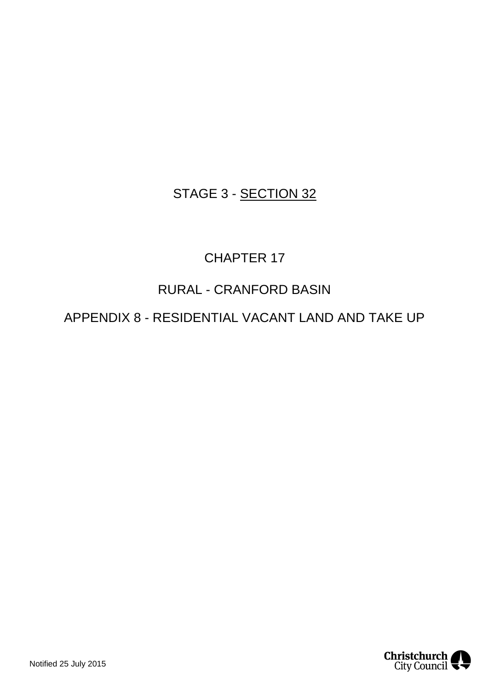## STAGE 3 - SECTION 32

# CHAPTER 17

## RURAL - CRANFORD BASIN

## APPENDIX 8 - RESIDENTIAL VACANT LAND AND TAKE UP

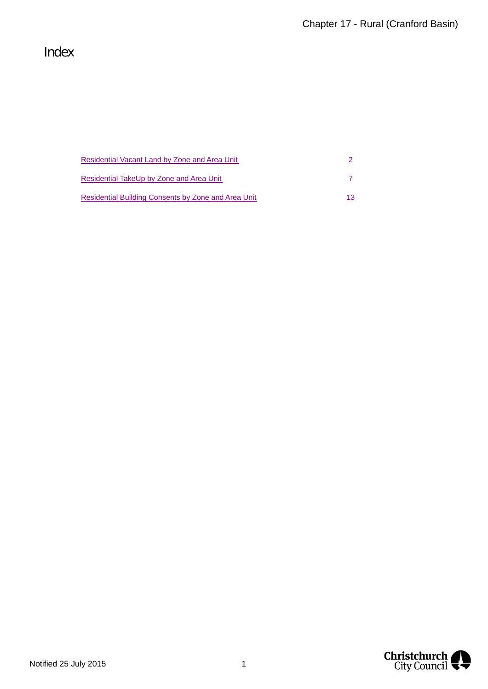## Index

| Residential Vacant Land by Zone and Area Unit       |    |
|-----------------------------------------------------|----|
| Residential TakeUp by Zone and Area Unit            |    |
| Residential Building Consents by Zone and Area Unit | 13 |

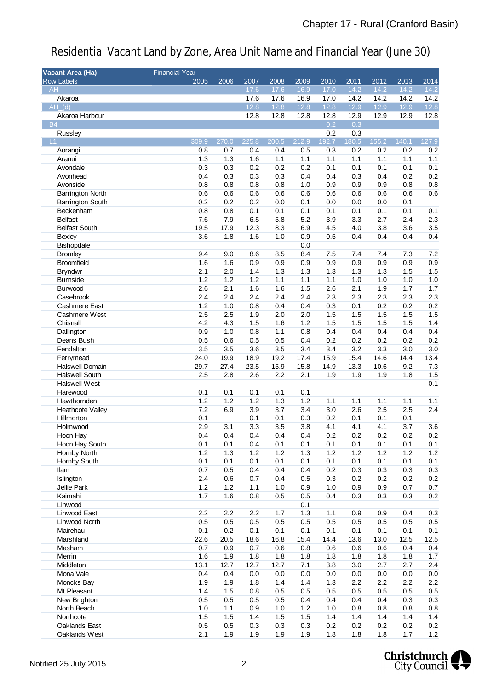| Vacant Area (Ha)            | <b>Financial Year</b> |             |             |            |            |            |            |            |            |                  |
|-----------------------------|-----------------------|-------------|-------------|------------|------------|------------|------------|------------|------------|------------------|
| Row Labels                  | 2005                  | 2006        | 2007        | 2008       | 2009       | 2010       | 2011       | 2012       | 2013       | 2014             |
| AH                          |                       |             | 17.6        | 17.6       | 16.9       | 17.0       | 14.2       | 14.2       | 14.2       | 14.2             |
| Akaroa                      |                       |             | 17.6        | 17.6       | 16.9       | 17.0       | 14.2       | 14.2       | 14.2       | 14.2             |
| $AH_d$ $(d)$                |                       |             | 12.8        | 12.8       | 12.8       | 12.8       | 12.9       | 12.9       | 12.9       | 12.8             |
| Akaroa Harbour              |                       |             | 12.8        | 12.8       | 12.8       | 12.8       | 12.9       | 12.9       | 12.9       | 12.8             |
| <b>B4</b>                   |                       |             |             |            |            | 0.2        | 0.3        |            |            |                  |
| Russley                     |                       |             |             |            |            | 0.2        | 0.3        |            |            |                  |
| - L1                        | 309.9                 | 270.0       | 225.8       | 200.5      | 212.9      | 192.7      | 180.5      | 155.2      | 140.1      | 127.9            |
| Aorangi                     | 0.8                   | 0.7         | 0.4         | 0.4        | 0.5        | 0.3        | 0.2        | 0.2        | 0.2        | 0.2              |
| Aranui                      | 1.3                   | 1.3         | 1.6         | 1.1        | 1.1        | 1.1        | 1.1        | 1.1        | 1.1        | 1.1              |
| Avondale                    | 0.3                   | 0.3         | 0.2         | 0.2        | 0.2        | 0.1        | 0.1        | 0.1        | 0.1        | 0.1              |
| Avonhead                    | 0.4                   | 0.3         | 0.3         | 0.3        | 0.4        | 0.4        | 0.3        | 0.4        | 0.2        | 0.2              |
| Avonside                    | 0.8                   | 0.8         | 0.8         | 0.8        | 1.0        | 0.9        | 0.9        | 0.9        | 0.8        | 0.8              |
| <b>Barrington North</b>     | 0.6                   | 0.6         | 0.6         | 0.6        | 0.6        | 0.6        | 0.6        | 0.6        | 0.6        | 0.6              |
| Barrington South            | 0.2                   | 0.2         | 0.2         | 0.0        | 0.1        | 0.0        | 0.0        | 0.0        | 0.1        |                  |
| Beckenham<br><b>Belfast</b> | 0.8                   | 0.8         | 0.1         | 0.1        | 0.1        | 0.1        | 0.1        | 0.1        | 0.1        | 0.1              |
|                             | 7.6                   | 7.9         | 6.5         | 5.8        | 5.2        | 3.9        | 3.3        | 2.7        | 2.4        | 2.3              |
| <b>Belfast South</b>        | 19.5<br>3.6           | 17.9<br>1.8 | 12.3<br>1.6 | 8.3<br>1.0 | 6.9<br>0.9 | 4.5        | 4.0<br>0.4 | 3.8<br>0.4 | 3.6<br>0.4 | 3.5<br>0.4       |
| Bexley<br>Bishopdale        |                       |             |             |            | 0.0        | 0.5        |            |            |            |                  |
| <b>Bromley</b>              | 9.4                   | 9.0         | 8.6         | 8.5        | 8.4        | 7.5        | 7.4        | 7.4        | 7.3        | 7.2              |
| <b>Broomfield</b>           | 1.6                   | 1.6         | 0.9         | 0.9        | 0.9        | 0.9        | 0.9        | 0.9        | 0.9        | 0.9              |
| <b>Bryndwr</b>              | 2.1                   | 2.0         | 1.4         | 1.3        | 1.3        | 1.3        | 1.3        | 1.3        | 1.5        | 1.5              |
| <b>Burnside</b>             | 1.2                   | 1.2         | 1.2         | 1.1        | 1.1        | 1.1        | 1.0        | 1.0        | 1.0        | 1.0              |
| Burwood                     | 2.6                   | 2.1         | 1.6         | 1.6        | 1.5        | 2.6        | 2.1        | 1.9        | 1.7        | 1.7              |
| Casebrook                   | 2.4                   | 2.4         | 2.4         | 2.4        | 2.4        | 2.3        | 2.3        | 2.3        | 2.3        | 2.3              |
| Cashmere East               | 1.2                   | 1.0         | 0.8         | 0.4        | 0.4        | 0.3        | 0.1        | 0.2        | 0.2        | 0.2              |
| Cashmere West               | 2.5                   | 2.5         | 1.9         | 2.0        | 2.0        | 1.5        | 1.5        | 1.5        | 1.5        | 1.5              |
| Chisnall                    | 4.2                   | 4.3         | 1.5         | 1.6        | 1.2        | 1.5        | 1.5        | 1.5        | 1.5        | 1.4              |
| Dallington                  | 0.9                   | 1.0         | 0.8         | 1.1        | 0.8        | 0.4        | 0.4        | 0.4        | 0.4        | 0.4              |
| Deans Bush                  | 0.5                   | 0.6         | 0.5         | 0.5        | 0.4        | 0.2        | 0.2        | 0.2        | 0.2        | 0.2              |
| Fendalton                   | 3.5                   | 3.5         | 3.6         | 3.5        | 3.4        | 3.4        | 3.2        | 3.3        | 3.0        | 3.0              |
| Ferrymead                   | 24.0                  | 19.9        | 18.9        | 19.2       | 17.4       | 15.9       | 15.4       | 14.6       | 14.4       | 13.4             |
| <b>Halswell Domain</b>      | 29.7                  | 27.4        | 23.5        | 15.9       | 15.8       | 14.9       | 13.3       | 10.6       | 9.2        | 7.3              |
| <b>Halswell South</b>       | 2.5                   | 2.8         | 2.6         | 2.2        | 2.1        | 1.9        | 1.9        | 1.9        | 1.8        | 1.5              |
| Halswell West               |                       |             |             |            |            |            |            |            |            | 0.1              |
| Harewood                    | 0.1                   | 0.1         | 0.1         | 0.1        | 0.1        |            |            |            |            |                  |
| Hawthornden                 | 1.2                   | 1.2         | 1.2         | 1.3        | 1.2        | 1.1        | 1.1        | 1.1        | 1.1        | 1.1              |
| <b>Heathcote Valley</b>     | 7.2                   | 6.9         | 3.9         | 3.7        | 3.4        | 3.0        | 2.6        | 2.5        | 2.5        | 2.4              |
| Hillmorton                  | 0.1                   |             | 0.1         | 0.1        | 0.3        | 0.2        | 0.1        | 0.1        | 0.1        |                  |
| Holmwood<br>Hoon Hay        | 2.9<br>0.4            | 3.1<br>0.4  | 3.3<br>0.4  | 3.5<br>0.4 | 3.8<br>0.4 | 4.1<br>0.2 | 4.1<br>0.2 | 4.1<br>0.2 | 3.7<br>0.2 | 3.6<br>$0.2\,$   |
| Hoon Hay South              | 0.1                   | 0.1         | 0.4         | 0.1        | 0.1        | 0.1        | 0.1        | 0.1        | 0.1        | 0.1              |
| Hornby North                | 1.2                   | 1.3         | 1.2         | 1.2        | 1.3        | 1.2        | 1.2        | 1.2        | 1.2        | 1.2              |
| Hornby South                | 0.1                   | 0.1         | 0.1         | 0.1        | 0.1        | 0.1        | 0.1        | 0.1        | 0.1        | 0.1              |
| llam                        | 0.7                   | 0.5         | 0.4         | 0.4        | 0.4        | 0.2        | 0.3        | 0.3        | 0.3        | 0.3              |
| Islington                   | 2.4                   | 0.6         | 0.7         | 0.4        | 0.5        | 0.3        | 0.2        | 0.2        | 0.2        | 0.2              |
| Jellie Park                 | 1.2                   | 1.2         | 1.1         | 1.0        | 0.9        | 1.0        | 0.9        | 0.9        | 0.7        | 0.7              |
| Kaimahi                     | 1.7                   | 1.6         | 0.8         | 0.5        | 0.5        | 0.4        | 0.3        | 0.3        | 0.3        | 0.2              |
| Linwood                     |                       |             |             |            | 0.1        |            |            |            |            |                  |
| Linwood East                | 2.2                   | 2.2         | 2.2         | 1.7        | 1.3        | 1.1        | 0.9        | 0.9        | 0.4        | 0.3              |
| Linwood North               | 0.5                   | 0.5         | 0.5         | 0.5        | 0.5        | 0.5        | 0.5        | 0.5        | 0.5        | $0.5\,$          |
| Mairehau                    | 0.1                   | 0.2         | 0.1         | 0.1        | 0.1        | 0.1        | 0.1        | 0.1        | 0.1        | 0.1              |
| Marshland                   | 22.6                  | 20.5        | 18.6        | 16.8       | 15.4       | 14.4       | 13.6       | 13.0       | 12.5       | 12.5             |
| Masham                      | 0.7                   | 0.9         | 0.7         | 0.6        | 0.8        | 0.6        | 0.6        | 0.6        | 0.4        | 0.4              |
| Merrin                      | 1.6                   | 1.9         | 1.8         | 1.8        | 1.8        | 1.8        | 1.8        | 1.8        | 1.8        | 1.7              |
| Middleton                   | 13.1                  | 12.7        | 12.7        | 12.7       | 7.1        | 3.8        | 3.0        | 2.7        | 2.7        | 2.4              |
| Mona Vale                   | 0.4                   | 0.4         | 0.0         | 0.0        | 0.0        | 0.0        | 0.0        | 0.0        | 0.0        | $0.0\,$          |
| Moncks Bay                  | 1.9                   | 1.9         | 1.8         | 1.4        | 1.4        | 1.3        | 2.2        | 2.2        | 2.2        | 2.2              |
| Mt Pleasant                 | 1.4                   | 1.5         | 0.8         | 0.5        | 0.5        | 0.5        | 0.5        | 0.5        | 0.5        | $0.5\,$          |
| New Brighton                | 0.5                   | 0.5         | 0.5         | 0.5        | 0.4        | 0.4        | 0.4        | 0.4        | 0.3        | 0.3              |
| North Beach<br>Northcote    | 1.0<br>1.5            | 1.1<br>1.5  | 0.9<br>1.4  | 1.0<br>1.5 | 1.2<br>1.5 | 1.0<br>1.4 | 0.8<br>1.4 | 0.8<br>1.4 | 0.8<br>1.4 | $0.8\,$<br>$1.4$ |
| Oaklands East               | 0.5                   | 0.5         | 0.3         | 0.3        | 0.3        | 0.2        | 0.2        | 0.2        | 0.2        | $0.2\,$          |
| Oaklands West               | 2.1                   | 1.9         | 1.9         | 1.9        | 1.9        | 1.8        | 1.8        | 1.8        | 1.7        | 1.2              |
|                             |                       |             |             |            |            |            |            |            |            |                  |

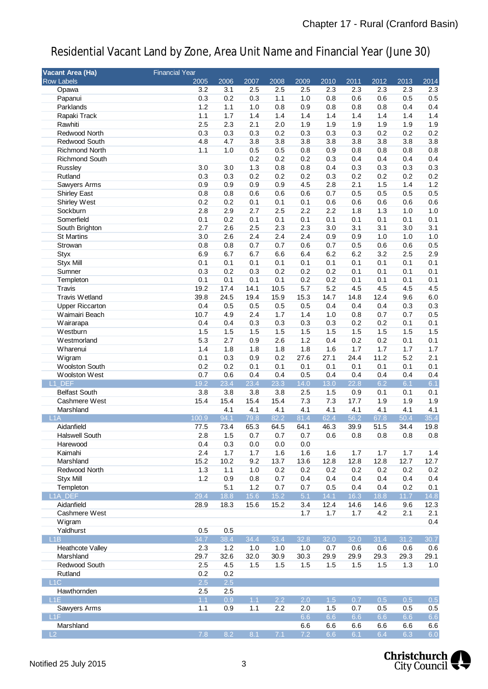| Vacant Area (Ha)                     | <b>Financial Year</b> |             |             |                   |                  |              |             |             |             |             |
|--------------------------------------|-----------------------|-------------|-------------|-------------------|------------------|--------------|-------------|-------------|-------------|-------------|
| <b>Row Labels</b>                    | 2005                  | 2006        | 2007        | 2008              | 2009             | 2010         | 2011        | 2012        | 2013        | 2014        |
| Opawa                                | 3.2                   | 3.1         | 2.5         | 2.5               | 2.5              | 2.3          | 2.3         | 2.3         | 2.3         | 2.3         |
| Papanui                              | 0.3                   | 0.2         | 0.3         | 1.1               | 1.0              | 0.8          | 0.6         | 0.6         | 0.5         | 0.5         |
| Parklands                            | 1.2                   | 1.1         | 1.0         | 0.8               | 0.9              | 0.8          | 0.8         | 0.8         | 0.4         | 0.4         |
| Rapaki Track                         | 1.1                   | 1.7         | 1.4         | 1.4               | 1.4              | 1.4          | 1.4         | 1.4         | 1.4         | 1.4         |
| Rawhiti                              | 2.5                   | 2.3         | 2.1         | 2.0               | 1.9              | 1.9          | 1.9         | 1.9         | 1.9         | 1.9         |
| Redwood North                        | 0.3                   | 0.3         | 0.3         | 0.2               | 0.3              | 0.3          | 0.3         | 0.2         | 0.2         | 0.2         |
| Redwood South                        | 4.8                   | 4.7         | 3.8         | 3.8               | 3.8              | 3.8          | 3.8         | 3.8         | 3.8         | 3.8         |
| <b>Richmond North</b>                | 1.1                   | 1.0         | 0.5         | 0.5               | 0.8              | 0.9          | 0.8         | 0.8         | 0.8         | 0.8         |
| <b>Richmond South</b>                |                       |             | 0.2         | 0.2               | 0.2              | 0.3          | 0.4         | 0.4         | 0.4         | 0.4         |
| Russley                              | 3.0                   | 3.0         | 1.3         | 0.8               | 0.8              | 0.4          | 0.3         | 0.3         | 0.3         | 0.3         |
| Rutland                              | 0.3                   | 0.3         | 0.2         | 0.2               | 0.2              | 0.3          | 0.2         | 0.2         | 0.2         | 0.2         |
| Sawyers Arms                         | 0.9                   | 0.9         | 0.9         | 0.9               | 4.5              | 2.8          | 2.1         | 1.5         | 1.4         | 1.2         |
| <b>Shirley East</b>                  | 0.8                   | 0.8         | 0.6         | 0.6               | 0.6              | 0.7          | 0.5         | 0.5         | 0.5         | 0.5         |
| Shirley West                         | 0.2                   | 0.2         | 0.1         | 0.1               | 0.1              | 0.6          | 0.6         | 0.6         | 0.6         | 0.6         |
| Sockburn                             | 2.8                   | 2.9         | 2.7         | 2.5               | 2.2              | 2.2          | 1.8         | 1.3         | 1.0         | 1.0         |
| Somerfield                           | 0.1                   | 0.2         | 0.1         | 0.1               | 0.1              | 0.1          | 0.1         | 0.1         | 0.1         | 0.1         |
| South Brighton                       | 2.7                   | 2.6         | 2.5         | 2.3               | 2.3              | 3.0          | 3.1         | 3.1         | 3.0         | 3.1         |
| <b>St Martins</b>                    | 3.0                   | 2.6         | 2.4         | 2.4               | 2.4              | 0.9          | 0.9         | 1.0         | 1.0         | 1.0         |
| Strowan                              | 0.8                   | 0.8         | 0.7         | 0.7               | 0.6              | 0.7          | 0.5         | 0.6         | 0.6         | 0.5         |
| <b>Styx</b>                          | 6.9                   | 6.7         | 6.7         | 6.6               | 6.4              | 6.2          | 6.2         | 3.2         | 2.5         | 2.9         |
| <b>Styx Mill</b>                     | 0.1                   | 0.1         | 0.1         | 0.1               | 0.1              | 0.1          | 0.1         | 0.1         | 0.1         | 0.1         |
| Sumner                               | 0.3                   | 0.2         | 0.3         | 0.2               | 0.2              | 0.2          | 0.1         | 0.1         | 0.1         | 0.1         |
| Templeton                            | 0.1                   | 0.1         | 0.1         | 0.1               | 0.2              | 0.2          | 0.1         | 0.1         | 0.1         | 0.1         |
| <b>Travis</b>                        | 19.2                  | 17.4        | 14.1        | 10.5              | 5.7              | 5.2          | 4.5         | 4.5         | 4.5         | 4.5         |
| Travis Wetland                       | 39.8                  | 24.5        | 19.4        | 15.9              | 15.3             | 14.7         | 14.8        | 12.4        | 9.6         | 6.0         |
| <b>Upper Riccarton</b>               | 0.4                   | 0.5         | 0.5         | 0.5               | 0.5              | 0.4          | 0.4         | 0.4         | 0.3         | 0.3         |
| Waimairi Beach                       | 10.7                  | 4.9         | 2.4         | 1.7               | 1.4              | 1.0          | 0.8         | 0.7         | 0.7         | 0.5         |
| Wairarapa                            | 0.4                   | 0.4         | 0.3         | 0.3               | 0.3              | 0.3          | 0.2         | 0.2         | 0.1         | 0.1         |
| Westburn                             | 1.5                   | 1.5         | 1.5         | 1.5               | 1.5              | 1.5          | 1.5         | 1.5         | 1.5         | 1.5         |
| Westmorland                          | 5.3                   | 2.7         | 0.9         | 2.6               | 1.2              | 0.4          | 0.2         | 0.2         | 0.1         | 0.1         |
| Wharenui                             | 1.4                   | 1.8         | 1.8         | 1.8               | 1.8              | 1.6          | 1.7         | 1.7         | 1.7         | 1.7         |
| Wigram                               | 0.1                   | 0.3         | 0.9         | 0.2               | 27.6             | 27.1         | 24.4        | 11.2        | 5.2         | 2.1         |
| Woolston South                       | 0.2                   | 0.2         | 0.1         | 0.1               | 0.1              | 0.1          | 0.1         | 0.1         | 0.1         | 0.1         |
| Woolston West                        | 0.7                   | 0.6         | 0.4         | 0.4               | 0.5              | 0.4          | 0.4         | 0.4         | 0.4         | 0.4         |
| L1_DEF                               | 19.2                  | 23.4        | 23.4        | 23.3              | 14.0             | 13.0         | 22.8        | 6.2         | 6.1         | 6.1         |
| <b>Belfast South</b>                 | 3.8                   | 3.8         | 3.8         | 3.8               | 2.5              | 1.5          | 0.9         | 0.1         | 0.1         | 0.1         |
| Cashmere West                        | 15.4                  | 15.4        | 15.4        | 15.4              | 7.3              | 7.3          | 17.7        | 1.9         | 1.9         | 1.9         |
| Marshland                            |                       | 4.1         | 4.1         | 4.1               | 4.1              | 4.1          | 4.1         | 4.1         | 4.1         | 4.1         |
| L1A                                  | 100.9                 | 94.1        | 79.8        | 82.2              | 81.4             | 62.4         | 56.2        | 67.8        | 50.4        | 35.4        |
| Aidanfield                           | 77.5                  | 73.4        | 65.3        | 64.5              | 64.1             | 46.3         | 39.9        | 51.5        | 34.4        | 19.8        |
| <b>Halswell South</b>                | 2.8                   | 1.5         | 0.7         | 0.7               | 0.7              | 0.6          | 0.8         | $0.8\,$     | 0.8         | 0.8         |
| Harewood                             | 0.4                   | 0.3         | 0.0         | 0.0               | 0.0              |              |             |             |             |             |
| Kaimahi                              | 2.4                   | 1.7         | 1.7         | 1.6               | 1.6              | 1.6          | 1.7         | 1.7         | 1.7         | 1.4         |
| Marshland                            | 15.2                  | 10.2        | 9.2         | 13.7              | 13.6             | 12.8         | 12.8        | 12.8        | 12.7        | 12.7        |
| Redwood North                        | 1.3                   | 1.1         | 1.0         | 0.2               | 0.2              | 0.2          | 0.2         | 0.2         | 0.2         | 0.2         |
| <b>Styx Mill</b>                     | 1.2                   | 0.9         | 0.8         | 0.7               | 0.4              | 0.4          | 0.4         | 0.4         | 0.4         | 0.4         |
| Templeton                            |                       | 5.1         | 1.2         | 0.7               | 0.7              | 0.5          | 0.4         | 0.4         | 0.2         | 0.1         |
| L <sub>1A_DEF</sub>                  | 29.4                  | 18.8        | 15.6        | $\overline{15.2}$ | 5.1              | 14.1         | 16.3        | 18.8        | 11.7        | 14.8        |
| Aidanfield                           | 28.9                  | 18.3        | 15.6        | 15.2              | 3.4              | 12.4         | 14.6        | 14.6        | 9.6         | 12.3        |
| Cashmere West                        |                       |             |             |                   | 1.7              | 1.7          | 1.7         | 4.2         | 2.1         | 2.1         |
| Wigram                               |                       |             |             |                   |                  |              |             |             |             | 0.4         |
| Yaldhurst                            | 0.5                   | 0.5         |             |                   |                  |              |             |             |             |             |
| L1B                                  | 34.7                  | 38.4        | 34.4        | 33.4              | 32.8             | 32.0         | 32.0        | 31.4        | 31.2        | 30.7        |
|                                      |                       |             |             |                   |                  |              |             |             |             |             |
| <b>Heathcote Valley</b><br>Marshland | 2.3<br>29.7           | 1.2<br>32.6 | 1.0<br>32.0 | 1.0<br>30.9       | 1.0<br>30.3      | 0.7<br>29.9  | 0.6<br>29.9 | 0.6<br>29.3 | 0.6<br>29.3 | 0.6<br>29.1 |
| Redwood South                        | 2.5                   | 4.5         | 1.5         | 1.5               | 1.5              | 1.5          | 1.5         | 1.5         | 1.3         | 1.0         |
| Rutland                              | 0.2                   | 0.2         |             |                   |                  |              |             |             |             |             |
| L1C                                  | 2.5                   | 2.5         |             |                   |                  |              |             |             |             |             |
|                                      |                       |             |             |                   |                  |              |             |             |             |             |
| Hawthornden                          | 2.5                   | 2.5         |             |                   | $\overline{2.0}$ |              |             |             |             |             |
| L1E                                  | 1.1<br>1.1            | 0.9         | 1.1<br>1.1  | 2.2<br>2.2        | 2.0              | $1.5$<br>1.5 | 0.7<br>0.7  | 0.5<br>0.5  | 0.5<br>0.5  | $0.5\,$     |
| Sawyers Arms<br>L <sub>1</sub> F     |                       | 0.9         |             |                   | 6.6              | 6.6          | 6.6         | 6.6         | 6.6         | 0.5<br>6.6  |
| Marshland                            |                       |             |             |                   |                  |              |             |             |             |             |
| L <sub>2</sub>                       | 7.8                   | 8.2         | 8.1         | 7.1               | 6.6<br>7.2       | 6.6<br>6.6   | 6.6<br>6.1  | 6.6<br>6.4  | 6.6<br>6.3  | 6.6<br>6.0  |
|                                      |                       |             |             |                   |                  |              |             |             |             |             |

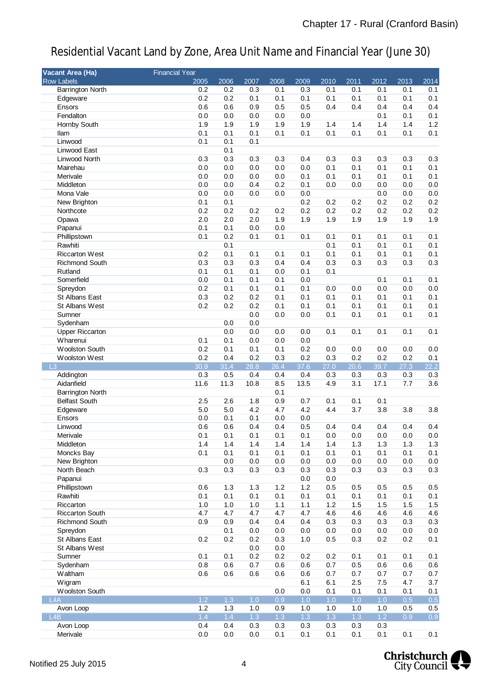| Vacant Area (Ha)        | <b>Financial Year</b> |      |      |      |      |      |      |       |      |         |
|-------------------------|-----------------------|------|------|------|------|------|------|-------|------|---------|
| <b>Row Labels</b>       | 2005                  | 2006 | 2007 | 2008 | 2009 | 2010 | 2011 | 2012  | 2013 | 2014    |
| <b>Barrington North</b> | 0.2                   | 0.2  | 0.3  | 0.1  | 0.3  | 0.1  | 0.1  | 0.1   | 0.1  | 0.1     |
| Edgeware                | 0.2                   | 0.2  | 0.1  | 0.1  | 0.1  | 0.1  | 0.1  | 0.1   | 0.1  | 0.1     |
| Ensors                  | 0.6                   | 0.6  | 0.9  | 0.5  | 0.5  | 0.4  | 0.4  | 0.4   | 0.4  | 0.4     |
| Fendalton               | 0.0                   | 0.0  | 0.0  | 0.0  | 0.0  |      |      | 0.1   | 0.1  | 0.1     |
| Hornby South            | 1.9                   | 1.9  | 1.9  | 1.9  | 1.9  | 1.4  | 1.4  | 1.4   | 1.4  | $1.2$   |
| llam                    | 0.1                   | 0.1  | 0.1  | 0.1  | 0.1  | 0.1  | 0.1  | 0.1   | 0.1  | 0.1     |
| Linwood                 | 0.1                   | 0.1  | 0.1  |      |      |      |      |       |      |         |
| Linwood East            |                       | 0.1  |      |      |      |      |      |       |      |         |
| Linwood North           | 0.3                   | 0.3  | 0.3  | 0.3  | 0.4  | 0.3  | 0.3  | 0.3   | 0.3  | 0.3     |
| Mairehau                | 0.0                   | 0.0  | 0.0  | 0.0  | 0.0  | 0.1  | 0.1  | 0.1   | 0.1  | 0.1     |
| Merivale                | 0.0                   | 0.0  | 0.0  | 0.0  | 0.1  | 0.1  | 0.1  | 0.1   | 0.1  | 0.1     |
| Middleton               | 0.0                   | 0.0  | 0.4  | 0.2  | 0.1  | 0.0  | 0.0  | 0.0   | 0.0  | 0.0     |
| Mona Vale               | 0.0                   | 0.0  | 0.0  | 0.0  | 0.0  |      |      | 0.0   | 0.0  | $0.0\,$ |
| New Brighton            | 0.1                   | 0.1  |      |      | 0.2  | 0.2  | 0.2  | 0.2   | 0.2  | 0.2     |
| Northcote               | 0.2                   | 0.2  | 0.2  | 0.2  | 0.2  | 0.2  | 0.2  | 0.2   | 0.2  | 0.2     |
| Opawa                   | 2.0                   | 2.0  | 2.0  | 1.9  | 1.9  | 1.9  | 1.9  | 1.9   | 1.9  | 1.9     |
| Papanui                 | 0.1                   | 0.1  | 0.0  | 0.0  |      |      |      |       |      |         |
| Phillipstown            | 0.1                   | 0.2  | 0.1  | 0.1  | 0.1  | 0.1  | 0.1  | 0.1   | 0.1  | 0.1     |
| Rawhiti                 |                       | 0.1  |      |      |      | 0.1  | 0.1  | 0.1   | 0.1  | 0.1     |
| <b>Riccarton West</b>   | 0.2                   | 0.1  | 0.1  | 0.1  | 0.1  | 0.1  | 0.1  | 0.1   | 0.1  | 0.1     |
| <b>Richmond South</b>   | 0.3                   | 0.3  | 0.3  | 0.4  | 0.4  | 0.3  | 0.3  | 0.3   | 0.3  | 0.3     |
| Rutland                 | 0.1                   | 0.1  | 0.1  | 0.0  | 0.1  | 0.1  |      |       |      |         |
| Somerfield              | 0.0                   | 0.1  | 0.1  | 0.1  | 0.0  |      |      | 0.1   | 0.1  | 0.1     |
| Spreydon                | 0.2                   | 0.1  | 0.1  | 0.1  | 0.1  | 0.0  | 0.0  | 0.0   | 0.0  | 0.0     |
| St Albans East          | 0.3                   | 0.2  | 0.2  | 0.1  | 0.1  | 0.1  | 0.1  | 0.1   | 0.1  | 0.1     |
| St Albans West          | 0.2                   | 0.2  | 0.2  | 0.1  | 0.1  | 0.1  | 0.1  | 0.1   | 0.1  | 0.1     |
| Sumner                  |                       |      | 0.0  | 0.0  | 0.0  | 0.1  | 0.1  | 0.1   | 0.1  | 0.1     |
| Sydenham                |                       | 0.0  | 0.0  |      |      |      |      |       |      |         |
| <b>Upper Riccarton</b>  |                       | 0.0  | 0.0  | 0.0  | 0.0  | 0.1  | 0.1  | 0.1   | 0.1  | 0.1     |
| Wharenui                | 0.1                   | 0.1  | 0.0  | 0.0  | 0.0  |      |      |       |      |         |
| Woolston South          | 0.2                   | 0.1  | 0.1  | 0.1  | 0.2  | 0.0  | 0.0  | 0.0   | 0.0  | 0.0     |
| Woolston West           | 0.2                   | 0.4  | 0.2  | 0.3  | 0.2  | 0.3  | 0.2  | 0.2   | 0.2  | 0.1     |
| $\mathsf{L}3$           | 30.9                  | 31.4 | 28.8 | 26.4 | 37.6 | 27.0 | 20.6 | 39.7  | 27.3 | 22.2    |
| Addington               | 0.3                   | 0.5  | 0.4  | 0.4  | 0.4  | 0.3  | 0.3  | 0.3   | 0.3  | 0.3     |
| Aidanfield              | 11.6                  | 11.3 | 10.8 | 8.5  | 13.5 | 4.9  | 3.1  | 17.1  | 7.7  | 3.6     |
| <b>Barrington North</b> |                       |      |      | 0.1  |      |      |      |       |      |         |
| <b>Belfast South</b>    | 2.5                   | 2.6  | 1.8  | 0.9  | 0.7  | 0.1  | 0.1  | 0.1   |      |         |
| Edgeware                | 5.0                   | 5.0  | 4.2  | 4.7  | 4.2  | 4.4  | 3.7  | 3.8   | 3.8  | 3.8     |
| Ensors                  | 0.0                   | 0.1  | 0.1  | 0.0  | 0.0  |      |      |       |      |         |
| Linwood                 | 0.6                   | 0.6  | 0.4  | 0.4  | 0.5  | 0.4  | 0.4  | 0.4   | 0.4  | 0.4     |
| Merivale                | 0.1                   | 0.1  | 0.1  | 0.1  | 0.1  | 0.0  | 0.0  | 0.0   | 0.0  | $0.0\,$ |
| Middleton               | 1.4                   | 1.4  | 1.4  | 1.4  | 1.4  | 1.4  | 1.3  | 1.3   | 1.3  | 1.3     |
| Moncks Bay              | 0.1                   | 0.1  | 0.1  | 0.1  | 0.1  | 0.1  | 0.1  | 0.1   | 0.1  | 0.1     |
| New Brighton            |                       | 0.0  | 0.0  | 0.0  | 0.0  | 0.0  | 0.0  | 0.0   | 0.0  | 0.0     |
| North Beach             | 0.3                   | 0.3  | 0.3  | 0.3  | 0.3  | 0.3  | 0.3  | 0.3   | 0.3  | 0.3     |
| Papanui                 |                       |      |      |      | 0.0  | 0.0  |      |       |      |         |
| Phillipstown            | 0.6                   | 1.3  | 1.3  | 1.2  | 1.2  | 0.5  | 0.5  | 0.5   | 0.5  | 0.5     |
| Rawhiti                 | 0.1                   | 0.1  | 0.1  | 0.1  | 0.1  | 0.1  | 0.1  | 0.1   | 0.1  | 0.1     |
| Riccarton               | 1.0                   | 1.0  | 1.0  | 1.1  | 1.1  | 1.2  | 1.5  | 1.5   | 1.5  | 1.5     |
| <b>Riccarton South</b>  | 4.7                   | 4.7  | 4.7  | 4.7  | 4.7  | 4.6  | 4.6  | 4.6   | 4.6  | 4.6     |
| Richmond South          | 0.9                   | 0.9  | 0.4  | 0.4  | 0.4  | 0.3  | 0.3  | 0.3   | 0.3  | 0.3     |
| Spreydon                |                       | 0.1  | 0.0  | 0.0  | 0.0  | 0.0  | 0.0  | 0.0   | 0.0  | 0.0     |
| St Albans East          | 0.2                   | 0.2  | 0.2  | 0.3  | 1.0  | 0.5  | 0.3  | 0.2   | 0.2  | 0.1     |
| St Albans West          |                       |      | 0.0  | 0.0  |      |      |      |       |      |         |
| Sumner                  | 0.1                   | 0.1  | 0.2  | 0.2  | 0.2  | 0.2  | 0.1  | 0.1   | 0.1  | 0.1     |
| Sydenham                | 0.8                   | 0.6  | 0.7  | 0.6  | 0.6  | 0.7  | 0.5  | 0.6   | 0.6  | 0.6     |
| Waltham                 | 0.6                   | 0.6  | 0.6  | 0.6  | 0.6  | 0.7  | 0.7  | 0.7   | 0.7  | 0.7     |
| Wigram                  |                       |      |      |      | 6.1  | 6.1  | 2.5  | 7.5   | 4.7  | 3.7     |
| Woolston South          |                       |      |      | 0.0  | 0.0  | 0.1  | 0.1  | 0.1   | 0.1  | 0.1     |
| LAA                     | 1.2                   | 1.3  | 1.0  | 0.9  | 1.0  | 1.0  | 1.0  | 1.0   | 0.5  | 0.5     |
| Avon Loop               | 1.2                   | 1.3  | 1.0  | 0.9  | 1.0  | 1.0  | 1.0  | 1.0   | 0.5  | 0.5     |
| L4B                     | 1.4                   | 1.4  | 1.3  | 1.3  | 1.3  | 1.3  | 1.3  | $1.2$ | 0.9  | 0.9     |
| Avon Loop               | 0.4                   | 0.4  | 0.3  | 0.3  | 0.3  | 0.3  | 0.3  | 0.3   |      |         |
| Merivale                | 0.0                   | 0.0  | 0.0  | 0.1  | 0.1  | 0.1  | 0.1  | 0.1   | 0.1  | 0.1     |

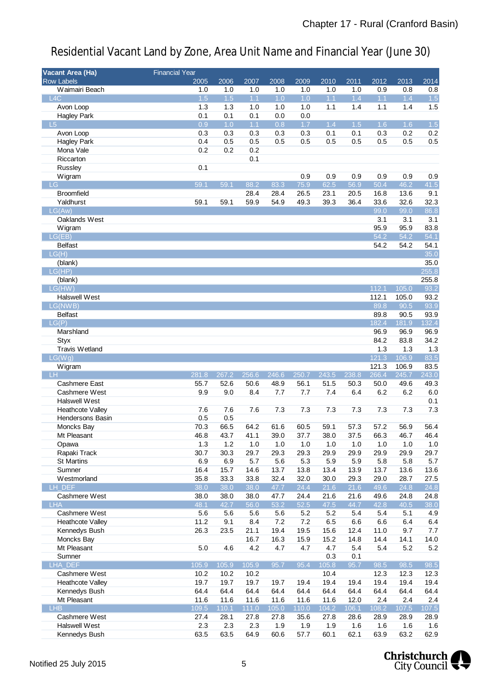| Vacant Area (Ha)        | <b>Financial Year</b> |       |       |       |       |                   |       |       |       |                  |
|-------------------------|-----------------------|-------|-------|-------|-------|-------------------|-------|-------|-------|------------------|
| <b>Row Labels</b>       | 2005                  | 2006  | 2007  | 2008  | 2009  | $\overline{2010}$ | 2011  | 2012  | 2013  | 2014             |
| Waimairi Beach          | 1.0                   | 1.0   | 1.0   | 1.0   | 1.0   | 1.0               | 1.0   | 0.9   | 0.8   | 0.8              |
| L4C                     | 1.5                   | 1.5   | 1.1   | 1.0   | 1.0   | 1.1               | 1.4   | 1.1   | 1.4   | $\overline{1.5}$ |
| Avon Loop               | 1.3                   | 1.3   | 1.0   | 1.0   | 1.0   | 1.1               | 1.4   | 1.1   | 1.4   | 1.5              |
| <b>Hagley Park</b>      | 0.1                   | 0.1   | 0.1   | 0.0   | 0.0   |                   |       |       |       |                  |
| $-L5$                   | 0.9                   | 1.0   | 1.1   | 0.8   | 1.7   | 1.4               | 1.5   | 1.6   | 1.6   | 1.5              |
| Avon Loop               | 0.3                   | 0.3   | 0.3   | 0.3   | 0.3   | 0.1               | 0.1   | 0.3   | 0.2   | 0.2              |
| <b>Hagley Park</b>      | 0.4                   | 0.5   | 0.5   | 0.5   | 0.5   | 0.5               | 0.5   | 0.5   | 0.5   | 0.5              |
| Mona Vale               | 0.2                   | 0.2   | 0.2   |       |       |                   |       |       |       |                  |
| Riccarton               |                       |       | 0.1   |       |       |                   |       |       |       |                  |
| Russley                 | 0.1                   |       |       |       |       |                   |       |       |       |                  |
| Wigram                  |                       |       |       |       | 0.9   | 0.9               | 0.9   | 0.9   | 0.9   | 0.9              |
| LG                      | 59.1                  | 59.1  | 88.2  | 83.3  | 75.9  | 62.5              | 56.9  | 50.4  | 46.2  | 41.5             |
| <b>Broomfield</b>       |                       |       | 28.4  | 28.4  | 26.5  | 23.1              | 20.5  | 16.8  | 13.6  | 9.1              |
| Yaldhurst               | 59.1                  | 59.1  | 59.9  | 54.9  | 49.3  | 39.3              | 36.4  | 33.6  | 32.6  | 32.3             |
| LG(Aw)                  |                       |       |       |       |       |                   |       | 99.0  | 99.0  | 86.8             |
| Oaklands West           |                       |       |       |       |       |                   |       | 3.1   | 3.1   | 3.1              |
| Wigram                  |                       |       |       |       |       |                   |       | 95.9  | 95.9  | 83.8             |
| LG(EB)                  |                       |       |       |       |       |                   |       | 54.2  | 54.2  | 54.1             |
| <b>Belfast</b>          |                       |       |       |       |       |                   |       | 54.2  | 54.2  | 54.1             |
| LG(H)                   |                       |       |       |       |       |                   |       |       |       | 35.0             |
| (blank)                 |                       |       |       |       |       |                   |       |       |       | 35.0             |
| LG(HP)                  |                       |       |       |       |       |                   |       |       |       | 255.8            |
| (blank)                 |                       |       |       |       |       |                   |       |       |       | 255.8            |
| LG(HW)                  |                       |       |       |       |       |                   |       | 112.1 | 105.0 | 93.2             |
| Halswell West           |                       |       |       |       |       |                   |       | 112.1 | 105.0 | 93.2             |
|                         |                       |       |       |       |       |                   |       |       |       |                  |
| LG(NWB)                 |                       |       |       |       |       |                   |       | 89.8  | 90.5  | 93.9             |
| <b>Belfast</b>          |                       |       |       |       |       |                   |       | 89.8  | 90.5  | 93.9             |
| LG(P)                   |                       |       |       |       |       |                   |       | 182.4 | 181.9 | 132.4            |
| Marshland               |                       |       |       |       |       |                   |       | 96.9  | 96.9  | 96.9             |
| <b>Styx</b>             |                       |       |       |       |       |                   |       | 84.2  | 83.8  | 34.2             |
| Travis Wetland          |                       |       |       |       |       |                   |       | 1.3   | 1.3   | 1.3              |
| LG(Wg)                  |                       |       |       |       |       |                   |       | 121.3 | 106.9 | 83.5             |
| Wigram                  |                       |       |       |       |       |                   |       | 121.3 | 106.9 | 83.5             |
| <b>LH</b>               | 281.8                 | 267.2 | 256.6 | 246.6 | 250.7 | 243.5             | 238.8 | 266.4 | 245.7 | 243.0            |
| Cashmere East           | 55.7                  | 52.6  | 50.6  | 48.9  | 56.1  | 51.5              | 50.3  | 50.0  | 49.6  | 49.3             |
| Cashmere West           | 9.9                   | 9.0   | 8.4   | 7.7   | 7.7   | 7.4               | 6.4   | 6.2   | 6.2   | $6.0\,$          |
| Halswell West           |                       |       |       |       |       |                   |       |       |       | 0.1              |
| <b>Heathcote Valley</b> | 7.6                   | 7.6   | 7.6   | 7.3   | 7.3   | 7.3               | 7.3   | 7.3   | 7.3   | 7.3              |
| <b>Hendersons Basin</b> | 0.5                   | 0.5   |       |       |       |                   |       |       |       |                  |
| Moncks Bay              | 70.3                  | 66.5  | 64.2  | 61.6  | 60.5  | 59.1              | 57.3  | 57.2  | 56.9  | 56.4             |
| Mt Pleasant             | 46.8                  | 43.7  | 41.1  | 39.0  | 37.7  | 38.0              | 37.5  | 66.3  | 46.7  | 46.4             |
| Opawa                   | 1.3                   | 1.2   | 1.0   | 1.0   | 1.0   | 1.0               | 1.0   | 1.0   | 1.0   | $1.0$            |
| Rapaki Track            | 30.7                  | 30.3  | 29.7  | 29.3  | 29.3  | 29.9              | 29.9  | 29.9  | 29.9  | 29.7             |
| <b>St Martins</b>       | 6.9                   | 6.9   | 5.7   | 5.6   | 5.3   | 5.9               | 5.9   | 5.8   | 5.8   | 5.7              |
| Sumner                  | 16.4                  | 15.7  | 14.6  | 13.7  | 13.8  | 13.4              | 13.9  | 13.7  | 13.6  | 13.6             |
| Westmorland             | 35.8                  | 33.3  | 33.8  | 32.4  | 32.0  | 30.0              | 29.3  | 29.0  | 28.7  | 27.5             |
| LH DEF                  | 38.0                  | 38.0  | 38.0  | 47.7  | 24.4  | 21.6              | 21.6  | 49.6  | 24.8  | 24.8             |
| Cashmere West           | 38.0                  | 38.0  | 38.0  | 47.7  | 24.4  | 21.6              | 21.6  | 49.6  | 24.8  | 24.8             |
| <b>LHA</b>              | 48.1                  | 42.7  | 56.0  | 53.2  | 52.5  | 47.5              | 44.7  | 42.8  | 40.5  | 38.0             |
| Cashmere West           | 5.6                   | 5.6   | 5.6   | 5.6   | 5.2   | 5.2               | 5.4   | 5.4   | 5.1   | 4.9              |
| <b>Heathcote Valley</b> | 11.2                  | 9.1   | 8.4   | 7.2   | 7.2   | 6.5               | 6.6   | 6.6   | 6.4   | 6.4              |
| Kennedys Bush           | 26.3                  | 23.5  | 21.1  | 19.4  | 19.5  | 15.6              | 12.4  | 11.0  | 9.7   | 7.7              |
| Moncks Bay              |                       |       | 16.7  | 16.3  | 15.9  | 15.2              | 14.8  | 14.4  | 14.1  | 14.0             |
| Mt Pleasant             | 5.0                   | 4.6   | 4.2   | 4.7   | 4.7   | 4.7               | 5.4   | 5.4   | 5.2   | 5.2              |
| Sumner                  |                       |       |       |       |       | 0.3               | 0.1   |       |       |                  |
| LHA_DEF                 | 105.9                 | 105.9 | 105.9 | 95.7  | 95.4  | 105.8             | 95.7  | 98.5  | 98.5  | 98.5             |
| Cashmere West           | 10.2                  | 10.2  | 10.2  |       |       | 10.4              |       | 12.3  | 12.3  | 12.3             |
| <b>Heathcote Valley</b> | 19.7                  | 19.7  | 19.7  | 19.7  | 19.4  | 19.4              | 19.4  | 19.4  | 19.4  | 19.4             |
| Kennedys Bush           | 64.4                  | 64.4  | 64.4  | 64.4  | 64.4  | 64.4              | 64.4  | 64.4  | 64.4  | 64.4             |
| Mt Pleasant             | 11.6                  | 11.6  | 11.6  | 11.6  | 11.6  | 11.6              | 12.0  | 2.4   | 2.4   | 2.4              |
| <b>LHB</b>              | 109.5                 | 110.1 | 111.0 | 105.0 | 110.0 | 104.2             | 106.1 | 108.2 | 107.5 | 107.5            |
| Cashmere West           | 27.4                  | 28.1  | 27.8  | 27.8  | 35.6  | 27.8              | 28.6  | 28.9  | 28.9  | 28.9             |
| <b>Halswell West</b>    | 2.3                   | 2.3   | 2.3   | 1.9   | 1.9   | 1.9               | 1.6   | 1.6   | 1.6   | 1.6              |
| Kennedys Bush           | 63.5                  | 63.5  | 64.9  | 60.6  | 57.7  | 60.1              | 62.1  | 63.9  | 63.2  | 62.9             |

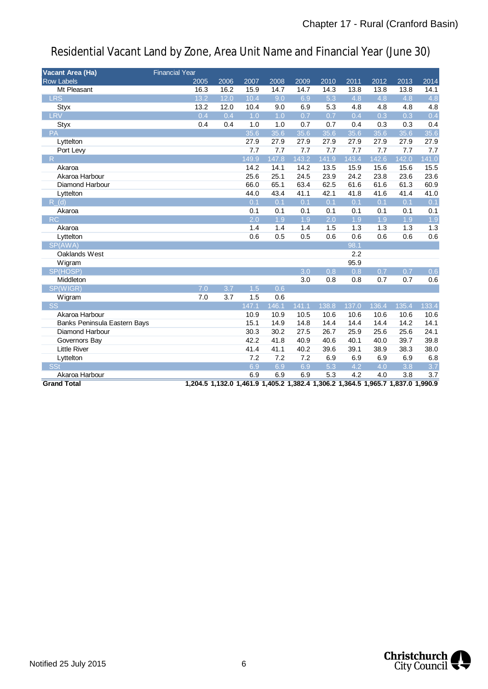| Vacant Area (Ha)                    | <b>Financial Year</b> |      |                  |       |                  |                  |       |       |       |                  |
|-------------------------------------|-----------------------|------|------------------|-------|------------------|------------------|-------|-------|-------|------------------|
| <b>Row Labels</b>                   | 2005                  | 2006 | 2007             | 2008  | 2009             | 2010             | 2011  | 2012  | 2013  | 2014             |
| Mt Pleasant                         | 16.3                  | 16.2 | 15.9             | 14.7  | 14.7             | 14.3             | 13.8  | 13.8  | 13.8  | 14.1             |
| <b>LRS</b>                          | 13.2                  | 12.0 | 10.4             | 9.0   | 6.9              | $\overline{5.3}$ | 4.8   | 4.8   | 4.8   | 4.8              |
| Styx                                | 13.2                  | 12.0 | 10.4             | 9.0   | 6.9              | 5.3              | 4.8   | 4.8   | 4.8   | 4.8              |
| LRV                                 | 0.4                   | 0.4  | 1.0              | 1.0   | $\overline{0.7}$ | 0.7              | 0.4   | 0.3   | 0.3   | 0.4              |
| Styx                                | 0.4                   | 0.4  | 1.0              | 1.0   | 0.7              | 0.7              | 0.4   | 0.3   | 0.3   | 0.4              |
| PA                                  |                       |      | 35.6             | 35.6  | 35.6             | 35.6             | 35.6  | 35.6  | 35.6  | 35.6             |
| Lyttelton                           |                       |      | 27.9             | 27.9  | 27.9             | 27.9             | 27.9  | 27.9  | 27.9  | 27.9             |
| Port Levy                           |                       |      | 7.7              | 7.7   | 7.7              | 7.7              | 7.7   | 7.7   | 7.7   | 7.7              |
| R                                   |                       |      | 149.9            | 147.8 | 143.2            | 141.9            | 143.4 | 142.6 | 142.0 | 141.0            |
| Akaroa                              |                       |      | 14.2             | 14.1  | 14.2             | 13.5             | 15.9  | 15.6  | 15.6  | 15.5             |
| Akaroa Harbour                      |                       |      | 25.6             | 25.1  | 24.5             | 23.9             | 24.2  | 23.8  | 23.6  | 23.6             |
| <b>Diamond Harbour</b>              |                       |      | 66.0             | 65.1  | 63.4             | 62.5             | 61.6  | 61.6  | 61.3  | 60.9             |
| Lyttelton                           |                       |      | 44.0             | 43.4  | 41.1             | 42.1             | 41.8  | 41.6  | 41.4  | 41.0             |
| R(d)                                |                       |      | 0.1              | 0.1   | 0.1              | 0.1              | 0.1   | 0.1   | 0.1   | 0.1              |
| Akaroa                              |                       |      | 0.1              | 0.1   | 0.1              | 0.1              | 0.1   | 0.1   | 0.1   | 0.1              |
| <b>RC</b>                           |                       |      | $\overline{2.0}$ | 1.9   | 1.9              | 2.0              | 1.9   | 1.9   | 1.9   | 1.9              |
| Akaroa                              |                       |      | 1.4              | 1.4   | 1.4              | 1.5              | 1.3   | 1.3   | 1.3   | 1.3              |
| Lyttelton                           |                       |      | 0.6              | 0.5   | 0.5              | 0.6              | 0.6   | 0.6   | 0.6   | 0.6              |
| SP(AWA)                             |                       |      |                  |       |                  |                  | 98.1  |       |       |                  |
| Oaklands West                       |                       |      |                  |       |                  |                  | 2.2   |       |       |                  |
| Wigram                              |                       |      |                  |       |                  |                  | 95.9  |       |       |                  |
| SP(HOSP)                            |                       |      |                  |       | 3.0              | 0.8              | 0.8   | 0.7   | 0.7   | 0.6              |
| Middleton                           |                       |      |                  |       | 3.0              | 0.8              | 0.8   | 0.7   | 0.7   | 0.6              |
| SP(WIGR)                            | 7.0                   | 3.7  | 1.5              | 0.6   |                  |                  |       |       |       |                  |
| Wigram                              | 7.0                   | 3.7  | 1.5              | 0.6   |                  |                  |       |       |       |                  |
| <b>SS</b>                           |                       |      | 147.1            | 146.1 | 141.1            | 138.8            | 137.0 | 136.4 | 135.4 | 133.4            |
| Akaroa Harbour                      |                       |      | 10.9             | 10.9  | 10.5             | 10.6             | 10.6  | 10.6  | 10.6  | 10.6             |
| <b>Banks Peninsula Eastern Bays</b> |                       |      | 15.1             | 14.9  | 14.8             | 14.4             | 14.4  | 14.4  | 14.2  | 14.1             |
| <b>Diamond Harbour</b>              |                       |      | 30.3             | 30.2  | 27.5             | 26.7             | 25.9  | 25.6  | 25.6  | 24.1             |
| Governors Bay                       |                       |      | 42.2             | 41.8  | 40.9             | 40.6             | 40.1  | 40.0  | 39.7  | 39.8             |
| <b>Little River</b>                 |                       |      | 41.4             | 41.1  | 40.2             | 39.6             | 39.1  | 38.9  | 38.3  | 38.0             |
| Lyttelton                           |                       |      | 7.2              | 7.2   | 7.2              | 6.9              | 6.9   | 6.9   | 6.9   | 6.8              |
| <b>SSt</b>                          |                       |      | 6.9              | 6.9   | 6.9              | $\overline{5.3}$ | 4.2   | 4.0   | 3.8   | $\overline{3.7}$ |
| Akaroa Harbour                      |                       |      | 6.9              | 6.9   | 6.9              | 5.3              | 4.2   | 4.0   | 3.8   | 3.7              |

**Grand Total 1,204.5 1,132.0 1,461.9 1,405.2 1,382.4 1,306.2 1,364.5 1,965.7 1,837.0 1,990.9**

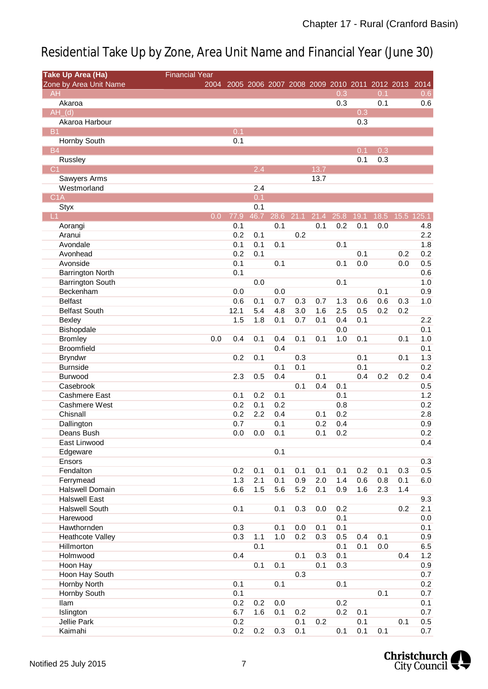| <b>Take Up Area (Ha)</b> | <b>Financial Year</b> |      |      |                  |      |      |      |      |      |      |                                                   |            |
|--------------------------|-----------------------|------|------|------------------|------|------|------|------|------|------|---------------------------------------------------|------------|
| Zone by Area Unit Name   |                       | 2004 |      |                  |      |      |      |      |      |      | 2005 2006 2007 2008 2009 2010 2011 2012 2013 2014 |            |
| <b>AH</b>                |                       |      |      |                  |      |      |      | 0.3  |      | 0.1  |                                                   | 0.6        |
| Akaroa                   |                       |      |      |                  |      |      |      | 0.3  |      | 0.1  |                                                   | 0.6        |
| $AH_d$ (d)               |                       |      |      |                  |      |      |      |      | 0.3  |      |                                                   |            |
| Akaroa Harbour           |                       |      |      |                  |      |      |      |      | 0.3  |      |                                                   |            |
| <b>B1</b>                |                       |      | 0.1  |                  |      |      |      |      |      |      |                                                   |            |
| Hornby South             |                       |      | 0.1  |                  |      |      |      |      |      |      |                                                   |            |
| <b>B4</b>                |                       |      |      |                  |      |      |      |      | 0.1  | 0.3  |                                                   |            |
| <b>Russley</b>           |                       |      |      |                  |      |      |      |      | 0.1  | 0.3  |                                                   |            |
| C <sub>1</sub>           |                       |      |      | 2.4              |      |      | 13.7 |      |      |      |                                                   |            |
| Sawyers Arms             |                       |      |      |                  |      |      | 13.7 |      |      |      |                                                   |            |
| Westmorland              |                       |      |      | 2.4              |      |      |      |      |      |      |                                                   |            |
| C1A                      |                       |      |      | $\overline{0.1}$ |      |      |      |      |      |      |                                                   |            |
| <b>Styx</b>              |                       |      |      | 0.1              |      |      |      |      |      |      |                                                   |            |
| L1                       |                       | 0.0  | 77.9 | 46.7             | 28.6 | 21.1 | 21.4 | 25.8 | 19.1 | 18.5 |                                                   | 15.5 125.1 |
| Aorangi                  |                       |      | 0.1  |                  | 0.1  |      | 0.1  | 0.2  | 0.1  | 0.0  |                                                   | 4.8        |
| Aranui                   |                       |      | 0.2  | 0.1              |      | 0.2  |      |      |      |      |                                                   | 2.2        |
| Avondale                 |                       |      | 0.1  | 0.1              | 0.1  |      |      | 0.1  |      |      |                                                   | 1.8        |
| Avonhead                 |                       |      | 0.2  | 0.1              |      |      |      |      | 0.1  |      | 0.2                                               | 0.2        |
| Avonside                 |                       |      | 0.1  |                  | 0.1  |      |      | 0.1  | 0.0  |      | 0.0                                               | 0.5        |
| <b>Barrington North</b>  |                       |      | 0.1  |                  |      |      |      |      |      |      |                                                   | 0.6        |
| <b>Barrington South</b>  |                       |      |      | 0.0              |      |      |      | 0.1  |      |      |                                                   | 1.0        |
| Beckenham                |                       |      | 0.0  |                  | 0.0  |      |      |      |      | 0.1  |                                                   | 0.9        |
| <b>Belfast</b>           |                       |      | 0.6  | 0.1              | 0.7  | 0.3  | 0.7  | 1.3  | 0.6  | 0.6  | 0.3                                               | 1.0        |
| <b>Belfast South</b>     |                       |      | 12.1 | 5.4              | 4.8  | 3.0  | 1.6  | 2.5  | 0.5  | 0.2  | 0.2                                               |            |
| Bexley                   |                       |      | 1.5  | 1.8              | 0.1  | 0.7  | 0.1  | 0.4  | 0.1  |      |                                                   | 2.2        |
| Bishopdale               |                       |      |      |                  |      |      |      | 0.0  |      |      |                                                   | 0.1        |
| <b>Bromley</b>           |                       | 0.0  | 0.4  | 0.1              | 0.4  | 0.1  | 0.1  | 1.0  | 0.1  |      | 0.1                                               | 1.0        |
| <b>Broomfield</b>        |                       |      |      |                  | 0.4  |      |      |      |      |      |                                                   | 0.1        |
| <b>Bryndwr</b>           |                       |      | 0.2  | 0.1              |      | 0.3  |      |      | 0.1  |      | 0.1                                               | 1.3        |
| <b>Burnside</b>          |                       |      |      |                  | 0.1  | 0.1  |      |      | 0.1  |      |                                                   | 0.2        |
| Burwood                  |                       |      | 2.3  | 0.5              | 0.4  |      | 0.1  |      | 0.4  | 0.2  | 0.2                                               | 0.4        |
| Casebrook                |                       |      |      |                  |      | 0.1  | 0.4  | 0.1  |      |      |                                                   | 0.5        |
| <b>Cashmere East</b>     |                       |      | 0.1  | 0.2              | 0.1  |      |      | 0.1  |      |      |                                                   | 1.2        |
| Cashmere West            |                       |      | 0.2  | 0.1              | 0.2  |      |      | 0.8  |      |      |                                                   | 0.2        |
| Chisnall                 |                       |      | 0.2  | 2.2              | 0.4  |      | 0.1  | 0.2  |      |      |                                                   | 2.8        |
| Dallington               |                       |      | 0.7  |                  | 0.1  |      | 0.2  | 0.4  |      |      |                                                   | 0.9        |
| Deans Bush               |                       |      | 0.0  | 0.0              | 0.1  |      | 0.1  | 0.2  |      |      |                                                   | 0.2        |
| East Linwood             |                       |      |      |                  |      |      |      |      |      |      |                                                   | 0.4        |
| Edgeware                 |                       |      |      |                  | 0.1  |      |      |      |      |      |                                                   |            |
| Ensors                   |                       |      |      |                  |      |      |      |      |      |      |                                                   | 0.3        |
| Fendalton                |                       |      | 0.2  | 0.1              | 0.1  | 0.1  | 0.1  | 0.1  | 0.2  | 0.1  | 0.3                                               | 0.5        |
| Ferrymead                |                       |      | 1.3  | 2.1              | 0.1  | 0.9  | 2.0  | 1.4  | 0.6  | 0.8  | 0.1                                               | 6.0        |
| <b>Halswell Domain</b>   |                       |      | 6.6  | 1.5              | 5.6  | 5.2  | 0.1  | 0.9  | 1.6  | 2.3  | 1.4                                               |            |
| <b>Halswell East</b>     |                       |      |      |                  |      |      |      |      |      |      |                                                   | 9.3        |
| <b>Halswell South</b>    |                       |      | 0.1  |                  | 0.1  | 0.3  | 0.0  | 0.2  |      |      | 0.2                                               | 2.1        |
| Harewood                 |                       |      |      |                  |      |      |      | 0.1  |      |      |                                                   | 0.0        |
| Hawthornden              |                       |      | 0.3  |                  | 0.1  | 0.0  | 0.1  | 0.1  |      |      |                                                   | 0.1        |
| <b>Heathcote Valley</b>  |                       |      | 0.3  | 1.1              | 1.0  | 0.2  | 0.3  | 0.5  | 0.4  | 0.1  |                                                   | 0.9        |
| Hillmorton               |                       |      |      | 0.1              |      |      |      | 0.1  | 0.1  | 0.0  |                                                   | 6.5        |
| Holmwood                 |                       |      | 0.4  |                  |      | 0.1  | 0.3  | 0.1  |      |      | 0.4                                               | 1.2        |
| Hoon Hay                 |                       |      |      | 0.1              | 0.1  |      | 0.1  | 0.3  |      |      |                                                   | 0.9        |
| Hoon Hay South           |                       |      |      |                  |      | 0.3  |      |      |      |      |                                                   | 0.7        |
| Hornby North             |                       |      | 0.1  |                  | 0.1  |      |      | 0.1  |      |      |                                                   | 0.2        |
| <b>Hornby South</b>      |                       |      | 0.1  |                  |      |      |      |      |      | 0.1  |                                                   | 0.7        |
| llam                     |                       |      | 0.2  | 0.2              | 0.0  |      |      | 0.2  |      |      |                                                   | 0.1        |
| Islington                |                       |      | 6.7  | 1.6              | 0.1  | 0.2  |      | 0.2  | 0.1  |      |                                                   | 0.7        |
| <b>Jellie Park</b>       |                       |      | 0.2  |                  |      | 0.1  | 0.2  |      | 0.1  |      | 0.1                                               | 0.5        |
| Kaimahi                  |                       |      | 0.2  | 0.2              | 0.3  | 0.1  |      | 0.1  | 0.1  | 0.1  |                                                   | 0.7        |

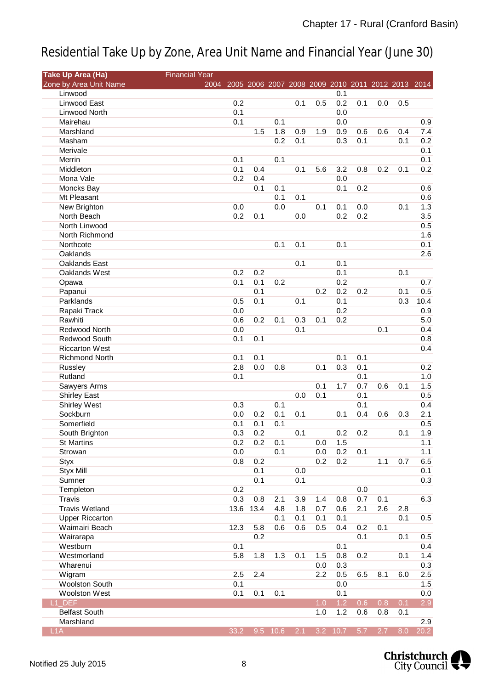| <b>Take Up Area (Ha)</b> | <b>Financial Year</b> |      |      |            |     |     |            |     |     |     |                                                   |
|--------------------------|-----------------------|------|------|------------|-----|-----|------------|-----|-----|-----|---------------------------------------------------|
| Zone by Area Unit Name   | 2004                  |      |      |            |     |     |            |     |     |     | 2005 2006 2007 2008 2009 2010 2011 2012 2013 2014 |
| Linwood                  |                       |      |      |            |     |     | 0.1        |     |     |     |                                                   |
| Linwood East             |                       | 0.2  |      |            | 0.1 | 0.5 | 0.2        | 0.1 | 0.0 | 0.5 |                                                   |
| Linwood North            |                       | 0.1  |      |            |     |     | 0.0        |     |     |     |                                                   |
| Mairehau                 |                       | 0.1  |      | 0.1        |     |     | 0.0        |     |     |     | 0.9                                               |
| Marshland                |                       |      | 1.5  | 1.8        | 0.9 | 1.9 | 0.9        | 0.6 | 0.6 | 0.4 | 7.4                                               |
| Masham                   |                       |      |      | 0.2        | 0.1 |     | 0.3        | 0.1 |     | 0.1 | 0.2                                               |
| Merivale                 |                       |      |      |            |     |     |            |     |     |     | 0.1                                               |
| Merrin                   |                       | 0.1  |      | 0.1        |     |     |            |     |     |     | 0.1                                               |
| Middleton                |                       | 0.1  | 0.4  |            | 0.1 | 5.6 | 3.2        | 0.8 | 0.2 | 0.1 | 0.2                                               |
| Mona Vale                |                       | 0.2  | 0.4  |            |     |     | 0.0        |     |     |     |                                                   |
| Moncks Bay               |                       |      | 0.1  | 0.1        |     |     | 0.1        | 0.2 |     |     | 0.6                                               |
| Mt Pleasant              |                       |      |      | 0.1        | 0.1 |     |            |     |     |     | 0.6                                               |
| New Brighton             |                       | 0.0  |      | 0.0        |     | 0.1 | 0.1        | 0.0 |     | 0.1 | 1.3                                               |
| North Beach              |                       | 0.2  | 0.1  |            | 0.0 |     | 0.2        | 0.2 |     |     | 3.5                                               |
| North Linwood            |                       |      |      |            |     |     |            |     |     |     | 0.5                                               |
| North Richmond           |                       |      |      |            |     |     |            |     |     |     | 1.6                                               |
| Northcote                |                       |      |      | 0.1        | 0.1 |     | 0.1        |     |     |     | 0.1                                               |
| Oaklands                 |                       |      |      |            |     |     |            |     |     |     | 2.6                                               |
| Oaklands East            |                       |      |      |            | 0.1 |     | 0.1        |     |     |     |                                                   |
| Oaklands West            |                       | 0.2  | 0.2  |            |     |     | 0.1        |     |     | 0.1 |                                                   |
| Opawa                    |                       | 0.1  | 0.1  | 0.2        |     |     | 0.2        |     |     |     | 0.7                                               |
| Papanui                  |                       |      | 0.1  |            |     | 0.2 | 0.2        | 0.2 |     | 0.1 | 0.5                                               |
| Parklands                |                       | 0.5  | 0.1  |            | 0.1 |     | 0.1        |     |     | 0.3 | 10.4                                              |
| Rapaki Track             |                       | 0.0  |      |            |     |     | 0.2        |     |     |     | 0.9                                               |
| Rawhiti                  |                       | 0.6  | 0.2  | 0.1        | 0.3 | 0.1 | 0.2        |     |     |     | 5.0                                               |
| Redwood North            |                       | 0.0  |      |            | 0.1 |     |            |     | 0.1 |     | 0.4                                               |
| Redwood South            |                       | 0.1  | 0.1  |            |     |     |            |     |     |     | 0.8                                               |
| <b>Riccarton West</b>    |                       |      |      |            |     |     |            |     |     |     | 0.4                                               |
| <b>Richmond North</b>    |                       | 0.1  | 0.1  |            |     |     | 0.1        | 0.1 |     |     |                                                   |
| Russley                  |                       | 2.8  | 0.0  | 0.8        |     | 0.1 | 0.3        | 0.1 |     |     | 0.2                                               |
| Rutland                  |                       | 0.1  |      |            |     |     |            | 0.1 |     |     | 1.0                                               |
| Sawyers Arms             |                       |      |      |            |     | 0.1 | 1.7        | 0.7 | 0.6 | 0.1 | 1.5                                               |
| <b>Shirley East</b>      |                       |      |      |            | 0.0 | 0.1 |            | 0.1 |     |     | 0.5                                               |
| <b>Shirley West</b>      |                       | 0.3  |      | 0.1        |     |     |            | 0.1 |     |     | 0.4                                               |
| Sockburn                 |                       | 0.0  | 0.2  | 0.1        | 0.1 |     | 0.1        | 0.4 | 0.6 | 0.3 | 2.1                                               |
| Somerfield               |                       | 0.1  | 0.1  | 0.1        |     |     |            |     |     |     | 0.5                                               |
| South Brighton           |                       | 0.3  | 0.2  |            | 0.1 |     | 0.2        | 0.2 |     | 0.1 | 1.9                                               |
| <b>St Martins</b>        |                       | 0.2  | 0.2  | 0.1        |     | 0.0 | 1.5        |     |     |     | 1.1                                               |
| Strowan                  |                       | 0.0  |      | 0.1        |     | 0.0 | 0.2        | 0.1 |     |     | 1.1                                               |
| <b>Styx</b>              |                       | 0.8  | 0.2  |            |     | 0.2 | 0.2        |     | 1.1 | 0.7 | 6.5                                               |
| <b>Styx Mill</b>         |                       |      | 0.1  |            | 0.0 |     |            |     |     |     | 0.1                                               |
| Sumner                   |                       |      | 0.1  |            | 0.1 |     |            |     |     |     | 0.3                                               |
| Templeton                |                       | 0.2  |      |            |     |     |            | 0.0 |     |     |                                                   |
| Travis                   |                       | 0.3  | 0.8  | 2.1        | 3.9 | 1.4 | 0.8        | 0.7 | 0.1 |     | 6.3                                               |
| <b>Travis Wetland</b>    |                       | 13.6 | 13.4 | 4.8        | 1.8 | 0.7 | 0.6        | 2.1 | 2.6 | 2.8 |                                                   |
| <b>Upper Riccarton</b>   |                       |      |      | 0.1        | 0.1 | 0.1 | 0.1        |     |     | 0.1 | 0.5                                               |
| Waimairi Beach           |                       | 12.3 | 5.8  | 0.6        | 0.6 | 0.5 | 0.4        | 0.2 | 0.1 |     |                                                   |
| Wairarapa                |                       |      | 0.2  |            |     |     |            | 0.1 |     | 0.1 | 0.5                                               |
| Westburn                 |                       | 0.1  |      |            |     |     | 0.1        |     |     |     | 0.4                                               |
| Westmorland              |                       | 5.8  | 1.8  | 1.3        | 0.1 | 1.5 | 0.8        | 0.2 |     | 0.1 | 1.4                                               |
| Wharenui                 |                       |      |      |            |     | 0.0 | 0.3        |     |     |     | 0.3                                               |
| Wigram                   |                       | 2.5  | 2.4  |            |     | 2.2 | 0.5        | 6.5 | 8.1 | 6.0 | 2.5                                               |
| <b>Woolston South</b>    |                       | 0.1  |      |            |     |     | 0.0        |     |     |     | 1.5                                               |
| <b>Woolston West</b>     |                       | 0.1  | 0.1  | 0.1        |     |     | 0.1        |     |     |     | 0.0                                               |
| L1 DEF                   |                       |      |      |            |     | 1.0 | 1.2        | 0.6 | 0.8 | 0.1 | 2.9                                               |
| <b>Belfast South</b>     |                       |      |      |            |     | 1.0 | 1.2        | 0.6 | 0.8 | 0.1 |                                                   |
| Marshland                |                       |      |      |            |     |     |            |     |     |     | 2.9                                               |
| L <sub>1</sub> A         |                       | 33.2 |      | $9.5$ 10.6 | 2.1 |     | $3.2$ 10.7 | 5.7 | 2.7 | 8.0 | 20.2                                              |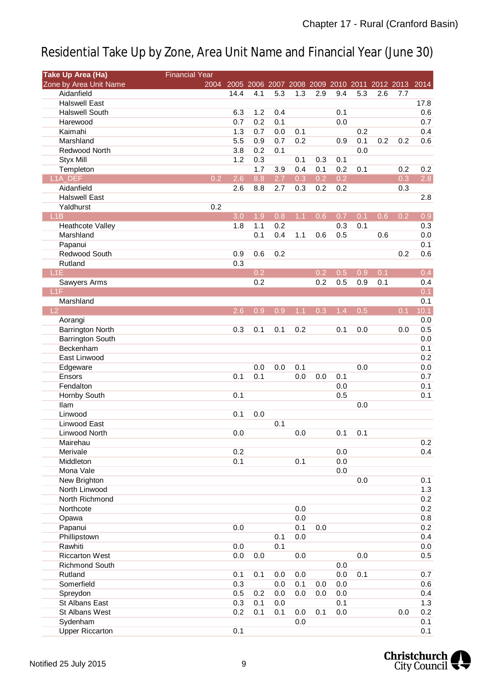| <b>Take Up Area (Ha)</b> | <b>Financial Year</b> |      |     |     |     |                  |     |     |     |                                                   |                  |
|--------------------------|-----------------------|------|-----|-----|-----|------------------|-----|-----|-----|---------------------------------------------------|------------------|
| Zone by Area Unit Name   | 2004                  |      |     |     |     |                  |     |     |     | 2005 2006 2007 2008 2009 2010 2011 2012 2013 2014 |                  |
| Aidanfield               |                       | 14.4 | 4.1 | 5.3 | 1.3 | 2.9              | 9.4 | 5.3 | 2.6 | 7.7                                               |                  |
| <b>Halswell East</b>     |                       |      |     |     |     |                  |     |     |     |                                                   | 17.8             |
| <b>Halswell South</b>    |                       | 6.3  | 1.2 | 0.4 |     |                  | 0.1 |     |     |                                                   | 0.6              |
| Harewood                 |                       | 0.7  | 0.2 | 0.1 |     |                  | 0.0 |     |     |                                                   | 0.7              |
| Kaimahi                  |                       | 1.3  | 0.7 | 0.0 | 0.1 |                  |     | 0.2 |     |                                                   | 0.4              |
| Marshland                |                       | 5.5  | 0.9 | 0.7 | 0.2 |                  | 0.9 | 0.1 | 0.2 | 0.2                                               | 0.6              |
| Redwood North            |                       | 3.8  | 0.2 | 0.1 |     |                  |     | 0.0 |     |                                                   |                  |
| <b>Styx Mill</b>         |                       | 1.2  | 0.3 |     | 0.1 | 0.3              | 0.1 |     |     |                                                   |                  |
| Templeton                |                       |      | 1.7 | 3.9 | 0.4 | 0.1              | 0.2 | 0.1 |     | 0.2                                               | 0.2              |
| <b>L1A DEF</b>           | 0.2                   | 2.6  | 8.8 | 2.7 | 0.3 | 0.2              | 0.2 |     |     | 0.3                                               | 2.8              |
| Aidanfield               |                       | 2.6  | 8.8 | 2.7 | 0.3 | 0.2              | 0.2 |     |     | 0.3                                               |                  |
| <b>Halswell East</b>     |                       |      |     |     |     |                  |     |     |     |                                                   | 2.8              |
| Yaldhurst                | 0.2                   |      |     |     |     |                  |     |     |     |                                                   |                  |
| L1B                      |                       | 3.0  | 1.9 | 0.8 | 1.1 | 0.6              | 0.7 | 0.1 | 0.6 | 0.2                                               | $\overline{0.9}$ |
| Heathcote Valley         |                       | 1.8  | 1.1 | 0.2 |     |                  | 0.3 | 0.1 |     |                                                   | 0.3              |
| Marshland                |                       |      | 0.1 | 0.4 | 1.1 | 0.6              | 0.5 |     | 0.6 |                                                   | 0.0              |
| Papanui                  |                       |      |     |     |     |                  |     |     |     |                                                   | 0.1              |
| Redwood South            |                       | 0.9  | 0.6 | 0.2 |     |                  |     |     |     | 0.2                                               | 0.6              |
| Rutland                  |                       | 0.3  |     |     |     |                  |     |     |     |                                                   |                  |
| L <sub>1</sub> E         |                       |      | 0.2 |     |     | $\overline{0.2}$ | 0.5 | 0.9 | 0.1 |                                                   | 0.4              |
| Sawyers Arms             |                       |      | 0.2 |     |     | 0.2              | 0.5 | 0.9 | 0.1 |                                                   | 0.4              |
| L1F                      |                       |      |     |     |     |                  |     |     |     |                                                   | 0.1              |
| Marshland                |                       |      |     |     |     |                  |     |     |     |                                                   | 0.1              |
| L <sub>2</sub>           |                       | 2.6  | 0.9 | 0.9 | 1.1 | 0.3              | 1.4 | 0.5 |     | 0.1                                               | 10.1             |
| Aorangi                  |                       |      |     |     |     |                  |     |     |     |                                                   | 0.0              |
| <b>Barrington North</b>  |                       | 0.3  | 0.1 | 0.1 | 0.2 |                  | 0.1 | 0.0 |     | 0.0                                               | 0.5              |
| <b>Barrington South</b>  |                       |      |     |     |     |                  |     |     |     |                                                   | 0.0              |
| Beckenham                |                       |      |     |     |     |                  |     |     |     |                                                   | 0.1              |
| East Linwood             |                       |      |     |     |     |                  |     |     |     |                                                   | 0.2              |
| Edgeware                 |                       |      | 0.0 | 0.0 | 0.1 |                  |     | 0.0 |     |                                                   | 0.0              |
| Ensors                   |                       | 0.1  | 0.1 |     | 0.0 | 0.0              | 0.1 |     |     |                                                   | 0.7              |
| Fendalton                |                       |      |     |     |     |                  | 0.0 |     |     |                                                   | 0.1              |
| Hornby South             |                       | 0.1  |     |     |     |                  | 0.5 |     |     |                                                   | 0.1              |
| <b>Ilam</b>              |                       |      |     |     |     |                  |     | 0.0 |     |                                                   |                  |
| Linwood                  |                       | 0.1  | 0.0 |     |     |                  |     |     |     |                                                   |                  |
| Linwood East             |                       |      |     | 0.1 |     |                  |     |     |     |                                                   |                  |
| Linwood North            |                       | 0.0  |     |     | 0.0 |                  | 0.1 | 0.1 |     |                                                   |                  |
| Mairehau                 |                       |      |     |     |     |                  |     |     |     |                                                   | 0.2              |
| Merivale                 |                       | 0.2  |     |     |     |                  | 0.0 |     |     |                                                   | 0.4              |
| Middleton                |                       | 0.1  |     |     | 0.1 |                  | 0.0 |     |     |                                                   |                  |
| Mona Vale                |                       |      |     |     |     |                  | 0.0 |     |     |                                                   |                  |
| New Brighton             |                       |      |     |     |     |                  |     | 0.0 |     |                                                   | 0.1              |
| North Linwood            |                       |      |     |     |     |                  |     |     |     |                                                   | 1.3              |
| North Richmond           |                       |      |     |     |     |                  |     |     |     |                                                   | 0.2              |
| Northcote                |                       |      |     |     | 0.0 |                  |     |     |     |                                                   | 0.2              |
| Opawa                    |                       |      |     |     | 0.0 |                  |     |     |     |                                                   | 0.8              |
| Papanui                  |                       | 0.0  |     |     | 0.1 | 0.0              |     |     |     |                                                   | 0.2              |
| Phillipstown             |                       |      |     | 0.1 | 0.0 |                  |     |     |     |                                                   | 0.4              |
| Rawhiti                  |                       | 0.0  |     | 0.1 |     |                  |     |     |     |                                                   | 0.0              |
| <b>Riccarton West</b>    |                       | 0.0  | 0.0 |     | 0.0 |                  |     | 0.0 |     |                                                   | 0.5              |
| Richmond South           |                       |      |     |     |     |                  | 0.0 |     |     |                                                   |                  |
| Rutland                  |                       | 0.1  | 0.1 | 0.0 | 0.0 |                  | 0.0 | 0.1 |     |                                                   | 0.7              |
| Somerfield               |                       | 0.3  |     | 0.0 | 0.1 | 0.0              | 0.0 |     |     |                                                   | 0.6              |
| Spreydon                 |                       | 0.5  | 0.2 | 0.0 | 0.0 | 0.0              | 0.0 |     |     |                                                   | 0.4              |
| St Albans East           |                       | 0.3  | 0.1 | 0.0 |     |                  | 0.1 |     |     |                                                   | 1.3              |
| St Albans West           |                       | 0.2  | 0.1 | 0.1 | 0.0 | 0.1              | 0.0 |     |     | 0.0                                               | 0.2              |
| Sydenham                 |                       |      |     |     | 0.0 |                  |     |     |     |                                                   | 0.1              |
| <b>Upper Riccarton</b>   |                       | 0.1  |     |     |     |                  |     |     |     |                                                   | 0.1              |
|                          |                       |      |     |     |     |                  |     |     |     |                                                   |                  |

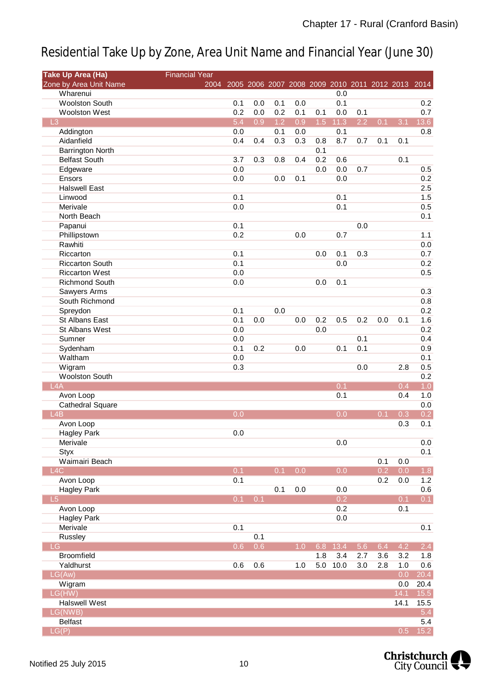| <b>Take Up Area (Ha)</b> | <b>Financial Year</b> |                                                        |     |     |     |     |      |     |                  |      |                   |
|--------------------------|-----------------------|--------------------------------------------------------|-----|-----|-----|-----|------|-----|------------------|------|-------------------|
| Zone by Area Unit Name   |                       | 2004 2005 2006 2007 2008 2009 2010 2011 2012 2013 2014 |     |     |     |     |      |     |                  |      |                   |
| Wharenui                 |                       |                                                        |     |     |     |     | 0.0  |     |                  |      |                   |
| <b>Woolston South</b>    |                       | 0.1                                                    | 0.0 | 0.1 | 0.0 |     | 0.1  |     |                  |      | 0.2               |
| <b>Woolston West</b>     |                       | 0.2                                                    | 0.0 | 0.2 | 0.1 | 0.1 | 0.0  | 0.1 |                  |      | 0.7               |
| L3                       |                       | 5.4                                                    | 0.9 | 1.2 | 0.9 | 1.5 | 11.3 | 2.2 | 0.1              | 3.1  | 13.6              |
| Addington                |                       | 0.0                                                    |     | 0.1 | 0.0 |     | 0.1  |     |                  |      | 0.8               |
| Aidanfield               |                       | 0.4                                                    | 0.4 | 0.3 | 0.3 | 0.8 | 8.7  | 0.7 | 0.1              | 0.1  |                   |
| <b>Barrington North</b>  |                       |                                                        |     |     |     | 0.1 |      |     |                  |      |                   |
| <b>Belfast South</b>     |                       | 3.7                                                    | 0.3 | 0.8 | 0.4 | 0.2 | 0.6  |     |                  | 0.1  |                   |
| Edgeware                 |                       | 0.0                                                    |     |     |     | 0.0 | 0.0  | 0.7 |                  |      | 0.5               |
| Ensors                   |                       | 0.0                                                    |     | 0.0 | 0.1 |     | 0.0  |     |                  |      | 0.2               |
| <b>Halswell East</b>     |                       |                                                        |     |     |     |     |      |     |                  |      | 2.5               |
| Linwood                  |                       | 0.1                                                    |     |     |     |     | 0.1  |     |                  |      | 1.5               |
|                          |                       |                                                        |     |     |     |     | 0.1  |     |                  |      |                   |
| Merivale                 |                       | 0.0                                                    |     |     |     |     |      |     |                  |      | 0.5               |
| North Beach              |                       |                                                        |     |     |     |     |      |     |                  |      | 0.1               |
| Papanui                  |                       | 0.1                                                    |     |     |     |     |      | 0.0 |                  |      |                   |
| Phillipstown             |                       | 0.2                                                    |     |     | 0.0 |     | 0.7  |     |                  |      | 1.1               |
| Rawhiti                  |                       |                                                        |     |     |     |     |      |     |                  |      | 0.0               |
| Riccarton                |                       | 0.1                                                    |     |     |     | 0.0 | 0.1  | 0.3 |                  |      | 0.7               |
| <b>Riccarton South</b>   |                       | 0.1                                                    |     |     |     |     | 0.0  |     |                  |      | 0.2               |
| <b>Riccarton West</b>    |                       | 0.0                                                    |     |     |     |     |      |     |                  |      | 0.5               |
| <b>Richmond South</b>    |                       | 0.0                                                    |     |     |     | 0.0 | 0.1  |     |                  |      |                   |
| Sawyers Arms             |                       |                                                        |     |     |     |     |      |     |                  |      | 0.3               |
| South Richmond           |                       |                                                        |     |     |     |     |      |     |                  |      | 0.8               |
| Spreydon                 |                       | 0.1                                                    |     | 0.0 |     |     |      |     |                  |      | 0.2               |
| St Albans East           |                       | 0.1                                                    | 0.0 |     | 0.0 | 0.2 | 0.5  | 0.2 | 0.0              | 0.1  | 1.6               |
| St Albans West           |                       | 0.0                                                    |     |     |     | 0.0 |      |     |                  |      | 0.2               |
| Sumner                   |                       | 0.0                                                    |     |     |     |     |      | 0.1 |                  |      | 0.4               |
| Sydenham                 |                       | 0.1                                                    | 0.2 |     | 0.0 |     | 0.1  | 0.1 |                  |      | 0.9               |
| Waltham                  |                       | 0.0                                                    |     |     |     |     |      |     |                  |      | 0.1               |
|                          |                       |                                                        |     |     |     |     |      |     |                  |      |                   |
| Wigram                   |                       | 0.3                                                    |     |     |     |     |      | 0.0 |                  | 2.8  | 0.5               |
| <b>Woolston South</b>    |                       |                                                        |     |     |     |     |      |     |                  |      | 0.2               |
| LAA                      |                       |                                                        |     |     |     |     | 0.1  |     |                  | 0.4  | 1.0               |
| Avon Loop                |                       |                                                        |     |     |     |     | 0.1  |     |                  | 0.4  | 1.0               |
| Cathedral Square         |                       |                                                        |     |     |     |     |      |     |                  |      | 0.0               |
| L4B                      |                       | 0.0                                                    |     |     |     |     | 0.0  |     | 0.1              | 0.3  | 0.2               |
| Avon Loop                |                       |                                                        |     |     |     |     |      |     |                  | 0.3  | 0.1               |
| <b>Hagley Park</b>       |                       | 0.0                                                    |     |     |     |     |      |     |                  |      |                   |
| Merivale                 |                       |                                                        |     |     |     |     | 0.0  |     |                  |      | 0.0               |
| Styx                     |                       |                                                        |     |     |     |     |      |     |                  |      | 0.1               |
| Waimairi Beach           |                       |                                                        |     |     |     |     |      |     | 0.1              | 0.0  |                   |
| L4C                      |                       | 0.1                                                    |     | 0.1 | 0.0 |     | 0.0  |     | $\overline{0.2}$ | 0.0  | 1.8               |
| Avon Loop                |                       | 0.1                                                    |     |     |     |     |      |     | 0.2              | 0.0  | 1.2               |
| <b>Hagley Park</b>       |                       |                                                        |     | 0.1 | 0.0 |     | 0.0  |     |                  |      | 0.6               |
| L5                       |                       | 0.1                                                    | 0.1 |     |     |     | 0.2  |     |                  | 0.1  | 0.1               |
| Avon Loop                |                       |                                                        |     |     |     |     | 0.2  |     |                  | 0.1  |                   |
| <b>Hagley Park</b>       |                       |                                                        |     |     |     |     | 0.0  |     |                  |      |                   |
| Merivale                 |                       | 0.1                                                    |     |     |     |     |      |     |                  |      | 0.1               |
| Russley                  |                       |                                                        | 0.1 |     |     |     |      |     |                  |      |                   |
| LG                       |                       | 0.6                                                    | 0.6 |     | 1.0 | 6.8 | 13.4 | 5.6 | 6.4              | 4.2  | 2.4               |
| <b>Broomfield</b>        |                       |                                                        |     |     |     | 1.8 | 3.4  | 2.7 | 3.6              | 3.2  | 1.8               |
|                          |                       |                                                        |     |     |     |     |      |     |                  |      |                   |
| Yaldhurst                |                       | 0.6                                                    | 0.6 |     | 1.0 | 5.0 | 10.0 | 3.0 | 2.8              | 1.0  | 0.6               |
| LG(Aw)                   |                       |                                                        |     |     |     |     |      |     |                  | 0.0  | 20.4              |
| Wigram                   |                       |                                                        |     |     |     |     |      |     |                  | 0.0  | 20.4              |
| LG(HW)                   |                       |                                                        |     |     |     |     |      |     |                  | 14.1 | 15.5              |
| <b>Halswell West</b>     |                       |                                                        |     |     |     |     |      |     |                  | 14.1 | 15.5              |
| LG(NWB)                  |                       |                                                        |     |     |     |     |      |     |                  |      | 5.4               |
| <b>Belfast</b>           |                       |                                                        |     |     |     |     |      |     |                  |      | 5.4               |
| LG(P)                    |                       |                                                        |     |     |     |     |      |     |                  | 0.5  | $\overline{15.2}$ |

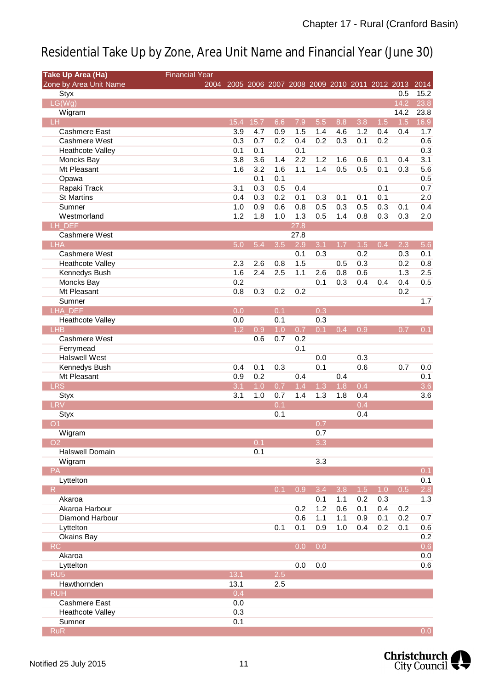| <b>Take Up Area (Ha)</b> | <b>Financial Year</b> |                                                        |      |     |              |     |     |     |     |      |                  |
|--------------------------|-----------------------|--------------------------------------------------------|------|-----|--------------|-----|-----|-----|-----|------|------------------|
| Zone by Area Unit Name   |                       | 2004 2005 2006 2007 2008 2009 2010 2011 2012 2013 2014 |      |     |              |     |     |     |     |      |                  |
| Styx                     |                       |                                                        |      |     |              |     |     |     |     | 0.5  | 15.2             |
| LG(Wg)                   |                       |                                                        |      |     |              |     |     |     |     | 14.2 | 23.8             |
| Wigram                   |                       |                                                        |      |     |              |     |     |     |     | 14.2 | 23.8             |
| LH                       |                       | 15.4                                                   | 15.7 | 6.6 | 7.9          | 5.5 | 8.8 | 3.8 | 1.5 | 1.5  | 16.9             |
| <b>Cashmere East</b>     |                       | 3.9                                                    | 4.7  | 0.9 | 1.5          | 1.4 | 4.6 | 1.2 | 0.4 | 0.4  | 1.7              |
| Cashmere West            |                       | 0.3                                                    | 0.7  | 0.2 | 0.4          | 0.2 | 0.3 | 0.1 | 0.2 |      | 0.6              |
| <b>Heathcote Valley</b>  |                       | 0.1                                                    | 0.1  |     | 0.1          |     |     |     |     |      | 0.3              |
| Moncks Bay               |                       | 3.8                                                    | 3.6  | 1.4 | 2.2          | 1.2 | 1.6 | 0.6 | 0.1 | 0.4  | 3.1              |
| Mt Pleasant              |                       | 1.6                                                    | 3.2  | 1.6 | 1.1          | 1.4 | 0.5 | 0.5 | 0.1 | 0.3  | 5.6              |
| Opawa                    |                       |                                                        | 0.1  | 0.1 |              |     |     |     |     |      | 0.5              |
| Rapaki Track             |                       | 3.1                                                    | 0.3  | 0.5 | 0.4          |     |     |     | 0.1 |      | 0.7              |
| <b>St Martins</b>        |                       | 0.4                                                    | 0.3  | 0.2 | 0.1          | 0.3 | 0.1 | 0.1 | 0.1 |      | 2.0              |
| Sumner                   |                       | 1.0                                                    | 0.9  | 0.6 | 0.8          | 0.5 | 0.3 | 0.5 | 0.3 | 0.1  | 0.4              |
| Westmorland              |                       | 1.2                                                    | 1.8  | 1.0 | 1.3          | 0.5 | 1.4 | 0.8 | 0.3 | 0.3  | 2.0              |
| LH DEF<br>Cashmere West  |                       |                                                        |      |     | 27.8<br>27.8 |     |     |     |     |      |                  |
| <b>LHA</b>               |                       | 5.0                                                    | 5.4  | 3.5 | 2.9          | 3.1 | 1.7 | 1.5 | 0.4 | 2.3  | 5.6              |
| Cashmere West            |                       |                                                        |      |     | 0.1          | 0.3 |     | 0.2 |     | 0.3  | 0.1              |
| <b>Heathcote Valley</b>  |                       | 2.3                                                    | 2.6  | 0.8 | 1.5          |     | 0.5 | 0.3 |     | 0.2  | 0.8              |
| Kennedys Bush            |                       | 1.6                                                    | 2.4  | 2.5 | 1.1          | 2.6 | 0.8 | 0.6 |     | 1.3  | 2.5              |
| Moncks Bay               |                       | 0.2                                                    |      |     |              | 0.1 | 0.3 | 0.4 | 0.4 | 0.4  | 0.5              |
| Mt Pleasant              |                       | 0.8                                                    | 0.3  | 0.2 | 0.2          |     |     |     |     | 0.2  |                  |
| Sumner                   |                       |                                                        |      |     |              |     |     |     |     |      | 1.7              |
| <b>LHA DEF</b>           |                       | 0.0                                                    |      | 0.1 |              | 0.3 |     |     |     |      |                  |
| <b>Heathcote Valley</b>  |                       | 0.0                                                    |      | 0.1 |              | 0.3 |     |     |     |      |                  |
| <b>LHB</b>               |                       | 1.2                                                    | 0.9  | 1.0 | 0.7          | 0.1 | 0.4 | 0.9 |     | 0.7  | 0.1              |
| <b>Cashmere West</b>     |                       |                                                        | 0.6  | 0.7 | 0.2          |     |     |     |     |      |                  |
| Ferrymead                |                       |                                                        |      |     | 0.1          |     |     |     |     |      |                  |
| <b>Halswell West</b>     |                       |                                                        |      |     |              | 0.0 |     | 0.3 |     |      |                  |
| Kennedys Bush            |                       | 0.4                                                    | 0.1  | 0.3 |              | 0.1 |     | 0.6 |     | 0.7  | 0.0              |
| Mt Pleasant              |                       | 0.9                                                    | 0.2  |     | 0.4          |     | 0.4 |     |     |      | 0.1              |
| <b>LRS</b>               |                       | 3.1                                                    | 1.0  | 0.7 | 1.4          | 1.3 | 1.8 | 0.4 |     |      | 3.6              |
| <b>Styx</b>              |                       | 3.1                                                    | 1.0  | 0.7 | 1.4          | 1.3 | 1.8 | 0.4 |     |      | 3.6              |
| <b>LRV</b>               |                       |                                                        |      | 0.1 |              |     |     | 0.4 |     |      |                  |
| <b>Styx</b>              |                       |                                                        |      | 0.1 |              |     |     | 0.4 |     |      |                  |
| Ο1                       |                       |                                                        |      |     |              | 0.7 |     |     |     |      |                  |
| Wigram                   |                       |                                                        |      |     |              | 0.7 |     |     |     |      |                  |
| O <sub>2</sub>           |                       |                                                        | 0.1  |     |              | 3.3 |     |     |     |      |                  |
| <b>Halswell Domain</b>   |                       |                                                        | 0.1  |     |              |     |     |     |     |      |                  |
| Wigram                   |                       |                                                        |      |     |              | 3.3 |     |     |     |      |                  |
| PA                       |                       |                                                        |      |     |              |     |     |     |     |      | 0.1              |
| Lyttelton                |                       |                                                        |      |     |              |     |     |     |     |      | 0.1              |
| R                        |                       |                                                        |      | 0.1 | 0.9          | 3.4 | 3.8 | 1.5 | 1.0 | 0.5  | 2.8              |
| Akaroa                   |                       |                                                        |      |     |              | 0.1 | 1.1 | 0.2 | 0.3 |      | 1.3              |
| Akaroa Harbour           |                       |                                                        |      |     | 0.2          | 1.2 | 0.6 | 0.1 | 0.4 | 0.2  |                  |
| Diamond Harbour          |                       |                                                        |      |     | 0.6          | 1.1 | 1.1 | 0.9 | 0.1 | 0.2  | 0.7              |
| Lyttelton                |                       |                                                        |      | 0.1 | 0.1          | 0.9 | 1.0 | 0.4 | 0.2 | 0.1  | 0.6              |
| Okains Bay               |                       |                                                        |      |     |              |     |     |     |     |      | 0.2              |
| <b>RC</b>                |                       |                                                        |      |     | 0.0          | 0.0 |     |     |     |      | 0.6              |
| Akaroa                   |                       |                                                        |      |     |              |     |     |     |     |      | 0.0              |
| Lyttelton                |                       |                                                        |      |     | 0.0          | 0.0 |     |     |     |      | 0.6              |
| RU <sub>5</sub>          |                       | 13.1                                                   |      | 2.5 |              |     |     |     |     |      |                  |
| Hawthornden              |                       | 13.1                                                   |      | 2.5 |              |     |     |     |     |      |                  |
| <b>RUH</b>               |                       | 0.4                                                    |      |     |              |     |     |     |     |      |                  |
| Cashmere East            |                       | 0.0                                                    |      |     |              |     |     |     |     |      |                  |
| <b>Heathcote Valley</b>  |                       | 0.3                                                    |      |     |              |     |     |     |     |      |                  |
| Sumner                   |                       | 0.1                                                    |      |     |              |     |     |     |     |      |                  |
| <b>RuR</b>               |                       |                                                        |      |     |              |     |     |     |     |      | 0.0 <sub>1</sub> |

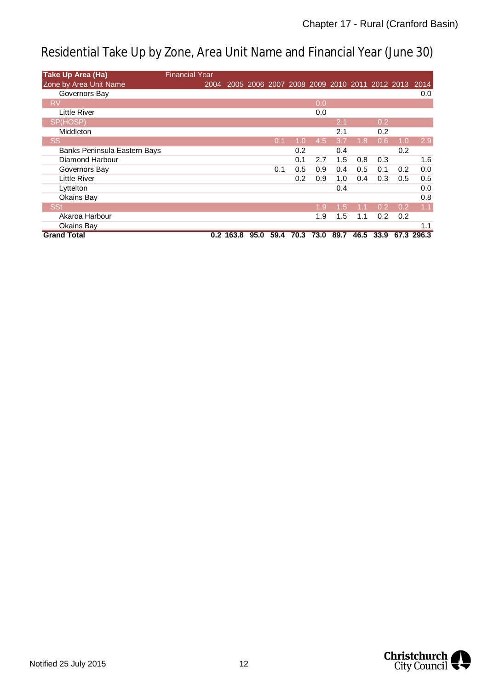| <b>Take Up Area (Ha)</b>     | <b>Financial Year</b> |             |      |      |      |      |                                              |                  |      |     |            |
|------------------------------|-----------------------|-------------|------|------|------|------|----------------------------------------------|------------------|------|-----|------------|
| Zone by Area Unit Name       | 2004                  |             |      |      |      |      | 2005 2006 2007 2008 2009 2010 2011 2012 2013 |                  |      |     | 2014       |
| Governors Bay                |                       |             |      |      |      |      |                                              |                  |      |     | 0.0        |
| <b>RV</b>                    |                       |             |      |      |      | 0.0  |                                              |                  |      |     |            |
| Little River                 |                       |             |      |      |      | 0.0  |                                              |                  |      |     |            |
| SP(HOSP)                     |                       |             |      |      |      |      | 2.1                                          |                  | 0.2  |     |            |
| <b>Middleton</b>             |                       |             |      |      |      |      | 2.1                                          |                  | 0.2  |     |            |
| <b>SS</b>                    |                       |             |      | 0.1  | 1.0  | 4.5  | 3.7                                          | 1.8 <sup>°</sup> | 0.6  | 1.0 | 2.9        |
| Banks Peninsula Eastern Bays |                       |             |      |      | 0.2  |      | 0.4                                          |                  |      | 0.2 |            |
| Diamond Harbour              |                       |             |      |      | 0.1  | 2.7  | 1.5                                          | 0.8              | 0.3  |     | 1.6        |
| Governors Bay                |                       |             |      | 0.1  | 0.5  | 0.9  | 0.4                                          | 0.5              | 0.1  | 0.2 | 0.0        |
| <b>Little River</b>          |                       |             |      |      | 0.2  | 0.9  | 1.0                                          | 0.4              | 0.3  | 0.5 | 0.5        |
| Lyttelton                    |                       |             |      |      |      |      | 0.4                                          |                  |      |     | 0.0        |
| Okains Bay                   |                       |             |      |      |      |      |                                              |                  |      |     | 0.8        |
| <b>SSt</b>                   |                       |             |      |      |      | 1.9  | 1.5                                          | 1.1              | 0.2  | 0.2 | 1.1        |
| Akaroa Harbour               |                       |             |      |      |      | 1.9  | 1.5                                          | 1.1              | 0.2  | 0.2 |            |
| Okains Bay                   |                       |             |      |      |      |      |                                              |                  |      |     | 1.1        |
| <b>Grand Total</b>           |                       | $0.2$ 163.8 | 95.0 | 59.4 | 70.3 | 73.0 | 89.7                                         | 46.5             | 33.9 |     | 67.3 296.3 |

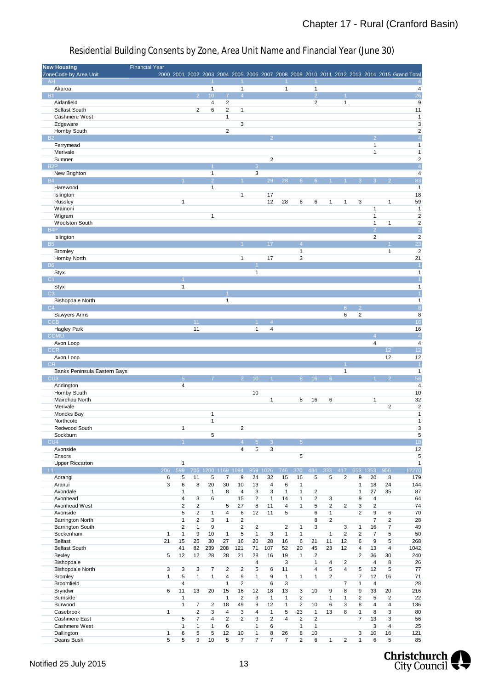| <b>New Housing</b>           | <b>Financial Year</b> |                         |                         |                         |                    |                         |                         |                         |                      |                         |                |                |                |                   |                |                         |                                                                                             |
|------------------------------|-----------------------|-------------------------|-------------------------|-------------------------|--------------------|-------------------------|-------------------------|-------------------------|----------------------|-------------------------|----------------|----------------|----------------|-------------------|----------------|-------------------------|---------------------------------------------------------------------------------------------|
| ZoneCode by Area Unit        |                       |                         |                         |                         |                    |                         |                         |                         |                      |                         |                |                |                |                   |                |                         | 2000 2001 2002 2003 2004 2005 2006 2007 2008 2009 2010 2011 2012 2013 2014 2015 Grand Total |
| AH                           |                       |                         |                         |                         |                    |                         |                         |                         |                      |                         |                |                |                |                   |                |                         | $\overline{4}$                                                                              |
| Akaroa                       |                       |                         |                         | $\mathbf{1}$            |                    | $\mathbf{1}$            |                         |                         | $\mathbf{1}$         |                         | $\mathbf{1}$   |                |                |                   |                |                         | 4                                                                                           |
| <b>B1</b>                    |                       |                         | 2 <sup>7</sup>          | 10 <sup>1</sup>         | $\overline{7}$     | $\overline{4}$          |                         |                         |                      |                         | $\overline{2}$ |                |                |                   |                |                         | $\overline{26}$                                                                             |
| Aidanfield                   |                       |                         |                         | 4                       | $\overline{2}$     |                         |                         |                         |                      |                         | $\overline{2}$ |                | $\mathbf{1}$   |                   |                |                         | 9                                                                                           |
| <b>Belfast South</b>         |                       |                         | $\overline{2}$          | 6                       | $\overline{2}$     | $\mathbf{1}$            |                         |                         |                      |                         |                |                |                |                   |                |                         | 11                                                                                          |
| Cashmere West                |                       |                         |                         |                         | $\mathbf{1}$       |                         |                         |                         |                      |                         |                |                |                |                   |                |                         | $\mathbf{1}$                                                                                |
| Edgeware                     |                       |                         |                         |                         |                    | 3                       |                         |                         |                      |                         |                |                |                |                   |                |                         | $\ensuremath{\mathsf{3}}$                                                                   |
| Hornby South                 |                       |                         |                         |                         | $\overline{2}$     |                         |                         |                         |                      |                         |                |                |                |                   |                |                         | $\overline{2}$                                                                              |
| <b>B2</b>                    |                       |                         |                         |                         |                    |                         |                         |                         |                      |                         |                |                |                |                   |                |                         | $\overline{4}$                                                                              |
| Ferrymead                    |                       |                         |                         |                         |                    |                         |                         |                         |                      |                         |                |                |                |                   | $\mathbf{1}$   |                         | $\mathbf{1}$                                                                                |
| Merivale                     |                       |                         |                         |                         |                    |                         |                         |                         |                      |                         |                |                |                |                   | $\mathbf{1}$   |                         | $\mathbf 1$                                                                                 |
| Sumner                       |                       |                         |                         |                         |                    |                         |                         | $\overline{\mathbf{c}}$ |                      |                         |                |                |                |                   |                |                         | $\overline{\mathbf{c}}$                                                                     |
| B <sub>2</sub> P             |                       |                         |                         |                         |                    |                         | 3                       |                         |                      |                         |                |                |                |                   |                |                         | $\overline{4}$                                                                              |
| New Brighton                 |                       |                         |                         | $\mathbf{1}$            |                    |                         | 3                       |                         |                      |                         |                |                |                |                   |                |                         | $\overline{4}$                                                                              |
| <b>B4</b>                    |                       |                         |                         | $\overline{2}$          |                    |                         |                         | 29                      | 28                   | 6                       |                |                |                |                   |                |                         | 83                                                                                          |
| Harewood                     |                       |                         |                         | $\mathbf{1}$            |                    |                         |                         |                         |                      |                         |                |                |                |                   |                |                         | $\mathbf{1}$                                                                                |
| Islington                    |                       |                         |                         |                         |                    | $\mathbf{1}$            |                         | 17                      |                      |                         |                |                |                |                   |                |                         | 18                                                                                          |
| Russley                      |                       | $\mathbf{1}$            |                         |                         |                    |                         |                         | 12                      | 28                   | 6                       | 6              | 1              | 1              | 3                 |                | $\mathbf{1}$            | 59                                                                                          |
| Wainoni                      |                       |                         |                         |                         |                    |                         |                         |                         |                      |                         |                |                |                |                   | $\mathbf{1}$   |                         | $\mathbf{1}$                                                                                |
| Wigram                       |                       |                         |                         | $\mathbf{1}$            |                    |                         |                         |                         |                      |                         |                |                |                |                   | $\mathbf{1}$   |                         | $\overline{2}$                                                                              |
| <b>Woolston South</b>        |                       |                         |                         |                         |                    |                         |                         |                         |                      |                         |                |                |                |                   | $\mathbf{1}$   | 1                       | $\mathbf 2$                                                                                 |
| B <sub>4</sub> P             |                       |                         |                         |                         |                    |                         |                         |                         |                      |                         |                |                |                |                   | $\overline{2}$ |                         | $\overline{2}$                                                                              |
| Islington                    |                       |                         |                         |                         |                    |                         |                         |                         |                      |                         |                |                |                |                   | $\overline{c}$ |                         | $\sqrt{2}$                                                                                  |
| <b>B5</b>                    |                       |                         |                         |                         |                    |                         |                         | 17                      |                      | $\overline{4}$          |                |                |                |                   |                |                         | $\overline{23}$                                                                             |
| <b>Bromley</b>               |                       |                         |                         |                         |                    |                         |                         |                         |                      | 1                       |                |                |                |                   |                | $\mathbf{1}$            | $\overline{2}$                                                                              |
| Hornby North                 |                       |                         |                         |                         |                    | $\mathbf{1}$            |                         | 17                      |                      | 3                       |                |                |                |                   |                |                         | 21                                                                                          |
| <b>B6</b>                    |                       |                         |                         |                         |                    |                         |                         |                         |                      |                         |                |                |                |                   |                |                         | $\vert$ 1                                                                                   |
| Styx                         |                       |                         |                         |                         |                    |                         | $\mathbf{1}$            |                         |                      |                         |                |                |                |                   |                |                         | $\mathbf{1}$                                                                                |
| C1                           |                       |                         |                         |                         |                    |                         |                         |                         |                      |                         |                |                |                |                   |                |                         |                                                                                             |
|                              |                       | $\mathbf{1}$            |                         |                         |                    |                         |                         |                         |                      |                         |                |                |                |                   |                |                         |                                                                                             |
| Styx<br>C3                   |                       |                         |                         |                         |                    |                         |                         |                         |                      |                         |                |                |                |                   |                |                         | $\mathbf{1}$                                                                                |
|                              |                       |                         |                         |                         |                    |                         |                         |                         |                      |                         |                |                |                |                   |                |                         | $\overline{1}$                                                                              |
| <b>Bishopdale North</b>      |                       |                         |                         |                         | $\mathbf{1}$       |                         |                         |                         |                      |                         |                |                |                |                   |                |                         | $\mathbf{1}$                                                                                |
| C4                           |                       |                         |                         |                         |                    |                         |                         |                         |                      |                         |                |                | 6 <sup>°</sup> | $\overline{2}$    |                |                         | $\overline{8}$                                                                              |
| Sawyers Arms                 |                       |                         |                         |                         |                    |                         |                         |                         |                      |                         |                |                | 6              | 2                 |                |                         | 8                                                                                           |
| <b>CCB</b>                   |                       |                         | 11                      |                         |                    |                         |                         |                         |                      |                         |                |                |                |                   |                |                         | 16                                                                                          |
| <b>Hagley Park</b>           |                       |                         | 11                      |                         |                    |                         | 1                       | 4                       |                      |                         |                |                |                |                   |                |                         | 16                                                                                          |
| <b>CCMU</b>                  |                       |                         |                         |                         |                    |                         |                         |                         |                      |                         |                |                |                |                   |                |                         | $\overline{4}$                                                                              |
| Avon Loop                    |                       |                         |                         |                         |                    |                         |                         |                         |                      |                         |                |                |                |                   | 4              |                         | $\overline{4}$                                                                              |
| <b>CCR</b>                   |                       |                         |                         |                         |                    |                         |                         |                         |                      |                         |                |                |                |                   |                | 12                      | 12                                                                                          |
| Avon Loop                    |                       |                         |                         |                         |                    |                         |                         |                         |                      |                         |                |                |                |                   |                | 12                      | 12                                                                                          |
| CR                           |                       |                         |                         |                         |                    |                         |                         |                         |                      |                         |                |                |                |                   |                |                         | $\vert$ 1                                                                                   |
| Banks Peninsula Eastern Bays |                       |                         |                         |                         |                    |                         |                         |                         |                      |                         |                |                | $\mathbf{1}$   |                   |                |                         | $\mathbf{1}$                                                                                |
| CU <sub>3</sub>              |                       | $\overline{5}$          |                         |                         |                    |                         | 10                      |                         |                      | 8                       | 16             | 6              |                |                   |                |                         | $\overline{58}$                                                                             |
| Addington                    |                       | $\overline{\mathbf{4}}$ |                         |                         |                    |                         |                         |                         |                      |                         |                |                |                |                   |                |                         | $\overline{4}$                                                                              |
| Hornby South                 |                       |                         |                         |                         |                    |                         | 10                      |                         |                      |                         |                |                |                |                   |                |                         | 10                                                                                          |
| Mairehau North               |                       |                         |                         |                         |                    |                         |                         | $\mathbf{1}$            |                      | 8                       | 16             | 6              |                |                   | 1              |                         | 32                                                                                          |
| Merivale                     |                       |                         |                         |                         |                    |                         |                         |                         |                      |                         |                |                |                |                   |                | $\overline{\mathbf{c}}$ | $\sqrt{2}$                                                                                  |
| Moncks Bay                   |                       |                         |                         | $\mathbf{1}$            |                    |                         |                         |                         |                      |                         |                |                |                |                   |                |                         | $\mathbf{1}$                                                                                |
| Northcote                    |                       |                         |                         | $\mathbf{1}$            |                    |                         |                         |                         |                      |                         |                |                |                |                   |                |                         | $\mathbf{1}$                                                                                |
| Redwood South                |                       | $\mathbf{1}$            |                         |                         |                    | 2                       |                         |                         |                      |                         |                |                |                |                   |                |                         | 3                                                                                           |
| Sockburn                     |                       |                         |                         | 5                       |                    |                         |                         |                         |                      |                         |                |                |                |                   |                |                         | 5                                                                                           |
| CU4                          |                       |                         |                         |                         |                    | $\overline{4}$          | 5 <sup>1</sup>          | $\mathcal{E}$           |                      | $\overline{5}$          |                |                |                |                   |                |                         | 18                                                                                          |
| Avonside                     |                       |                         |                         |                         |                    | 4                       | 5                       | 3                       |                      |                         |                |                |                |                   |                |                         | 12                                                                                          |
| Ensors                       |                       |                         |                         |                         |                    |                         |                         |                         |                      | 5                       |                |                |                |                   |                |                         | 5                                                                                           |
| <b>Upper Riccarton</b>       |                       |                         |                         |                         |                    |                         |                         |                         |                      |                         |                |                |                |                   |                |                         | $\mathbf{1}$                                                                                |
|                              |                       | $\mathbf{1}$            |                         |                         |                    |                         |                         |                         |                      |                         |                |                |                |                   |                |                         |                                                                                             |
|                              | 206                   | 599                     |                         |                         | 705 1200 1169 1094 |                         | 959 1026                |                         | 746                  | 370                     | 484            | 333            | 417            |                   | 653 1353       | 956                     | 12270                                                                                       |
| $-L1$<br>Aorangi             | 6                     | 5                       | 11                      | 5                       | $\overline{7}$     | 9                       | 24                      | 32                      | 15                   | 16                      | 5              | 5              | 2              | 9                 | 20             | 8                       | 179                                                                                         |
| Aranui                       | 3                     | 6                       | 8                       | 20                      | 30                 | 10                      | 13                      | 4                       | 6                    | $\mathbf{1}$            |                |                |                | 1                 | 18             | 24                      | 144                                                                                         |
| Avondale                     |                       | $\mathbf{1}$            |                         | $\mathbf{1}$            | 8                  | 4                       | $\mathsf 3$             | 3                       | $\mathbf{1}$         | $\mathbf{1}$            | $\overline{2}$ |                |                | 1                 | 27             | 35                      | 87                                                                                          |
| Avonhead                     |                       | 4                       |                         | 6                       |                    | 15                      | $\overline{2}$          | $\mathbf{1}$            | 14                   | $\mathbf{1}$            | $\overline{2}$ |                |                | 9                 | 4              |                         |                                                                                             |
|                              |                       |                         | 3                       |                         |                    |                         |                         |                         |                      |                         |                | 3              |                |                   |                |                         | 64                                                                                          |
| Avonhead West                |                       | $\overline{2}$          | $\sqrt{2}$              |                         | 5                  | 27                      | 8                       | 11                      | 4                    | $\mathbf{1}$            | 5              | $\overline{2}$ | $\overline{2}$ | 3                 | $\overline{2}$ |                         | 74                                                                                          |
| Avonside                     |                       | 5                       | $\overline{2}$          | $\mathbf{1}$            | 4                  | 6                       | 12                      | 11                      | 5                    |                         | 6              | $\mathbf{1}$   |                | 2                 | 9              | 6                       | 70                                                                                          |
| Barrington North             |                       | $\mathbf{1}$            | $\overline{\mathbf{c}}$ | 3                       | $\mathbf{1}$       | $\overline{\mathbf{c}}$ |                         |                         |                      |                         | 8              | $\sqrt{2}$     |                |                   | $\overline{7}$ | $\overline{2}$          | 28                                                                                          |
| Barrington South             |                       | $\overline{2}$          | $\mathbf{1}$            | 9                       |                    | 2                       | $\overline{\mathbf{c}}$ |                         | $\sqrt{2}$           | $\mathbf{1}$            | 3              |                | 3              | $\mathbf{1}$      | 16             | 7                       | 49                                                                                          |
| Beckenham                    | $\mathbf{1}$          | $\mathbf{1}$            | 9                       | 10                      | $\mathbf{1}$       | 5                       | $\mathbf{1}$            | 3                       | $\mathbf{1}$         | $\mathbf{1}$            |                | $\mathbf{1}$   | $\overline{2}$ | $\overline{c}$    | $\overline{7}$ | 5                       | 50                                                                                          |
| <b>Belfast</b>               | 21                    | 15                      | 25                      | 30                      | 27                 | 16                      | 20                      | 28                      | 16                   | 6                       | 21             | 11             | 12             | 6                 | 9              | 5                       | 268                                                                                         |
| <b>Belfast South</b>         |                       | 41                      | 82                      | 239                     | 208                | 121                     | 71                      | 107                     | 52                   | 20                      | 45             | 23             | 12             | 4                 | 13             | 4                       | 1042                                                                                        |
| Bexley                       | 5                     | 12                      | 12                      | 28                      | 28                 | 21                      | 28                      | 16                      | 19                   | $\mathbf{1}$            | $\overline{2}$ |                |                | 2                 | 36             | 30                      | 240                                                                                         |
| Bishopdale                   |                       |                         |                         |                         |                    |                         | 4                       |                         | 3                    |                         | $\mathbf{1}$   | 4              | $\overline{c}$ |                   | 4              | 8                       | 26                                                                                          |
| <b>Bishopdale North</b>      | 3                     | 3                       | 3                       | 7                       | $\overline{2}$     | $\overline{\mathbf{c}}$ | 5                       | 6                       | 11                   |                         | 4              | 5              | 4              | 5                 | 12             | 5                       | 77                                                                                          |
| <b>Bromley</b>               | $\mathbf{1}$          | 5                       | $\mathbf{1}$            | $\mathbf{1}$            | $\overline{4}$     | 9                       | $\mathbf{1}$            | 9                       | $\mathbf{1}$         | $\mathbf{1}$            | $\mathbf{1}$   | $\overline{c}$ |                | 7                 | 12             | 16                      | 71                                                                                          |
| Broomfield                   |                       | $\overline{\mathbf{4}}$ |                         |                         | $\mathbf{1}$       | $\overline{\mathbf{c}}$ |                         | 6                       | 3                    |                         |                |                | 7              | $\mathbf{1}$      | 4              |                         | 28                                                                                          |
| <b>Bryndwr</b>               | 6                     | 11                      | 13                      | 20                      | 15                 | 16                      | 12                      | 18                      | 13                   | 3                       | 10             | 9              | 8              | 9                 | 33             | 20                      | 216                                                                                         |
| <b>Burnside</b>              |                       | $\mathbf{1}$            |                         |                         | $\mathbf{1}$       | $\overline{c}$          | 3                       | $\mathbf{1}$            | $\mathbf{1}$         | $\overline{\mathbf{c}}$ |                | $\mathbf{1}$   | $\mathbf{1}$   | $\overline{c}$    | 5              | $\overline{2}$          | 22                                                                                          |
| Burwood                      |                       | $\mathbf{1}$            | $\overline{7}$          | 2                       | 18                 | 49                      | 9                       | 12                      | $\mathbf{1}$         | $\overline{2}$          | 10             | 6              | 3              | 8                 | 4              | 4                       | 136                                                                                         |
| Casebrook                    | 1                     |                         | $\overline{2}$          | 3                       | 4                  | 3                       | $\overline{\mathbf{4}}$ | $\mathbf{1}$            | 5                    | 23                      | $\mathbf{1}$   | 13             | 8              | $\mathbf{1}$      | 8              | 3                       | 80                                                                                          |
| Cashmere East                |                       | 5                       | $\overline{7}$          | $\overline{\mathbf{4}}$ | $\overline{2}$     | $\overline{2}$          | 3                       | $\overline{2}$          | $\overline{4}$       | $\overline{2}$          | $\overline{2}$ |                |                | $\overline{7}$    | 13             | 3                       | 56                                                                                          |
| Cashmere West                |                       | $\mathbf{1}$            | $\mathbf{1}$            | $\mathbf{1}$            | 6                  |                         | 1                       | 6                       |                      | $\mathbf{1}$            | $\mathbf{1}$   |                |                |                   | 3              | 4                       | 25                                                                                          |
| Dallington<br>Deans Bush     | $\mathbf{1}$<br>5     | 6<br>5                  | 5<br>9                  | 5<br>10                 | 12<br>5            | 10<br>7                 | $\mathbf{1}$<br>7       | 8<br>7                  | 26<br>$\overline{7}$ | 8<br>$\overline{2}$     | 10<br>6        | $\mathbf{1}$   | $\overline{2}$ | 3<br>$\mathbf{1}$ | 10<br>6        | 16<br>5                 | 121<br>85                                                                                   |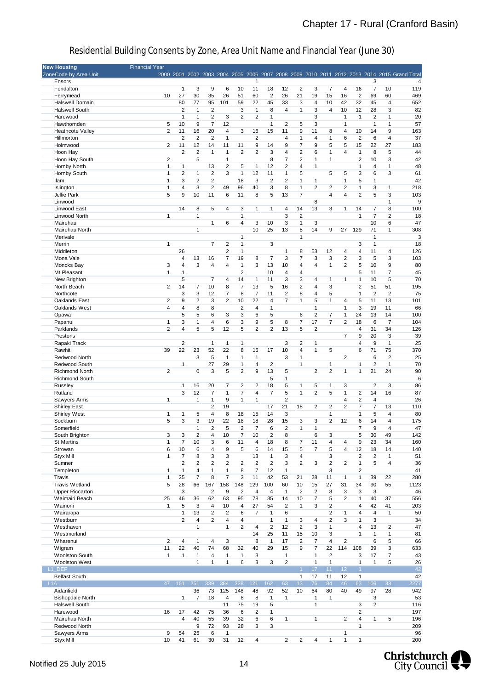| <b>New Housing</b>      | <b>Financial Year</b> |                         |                         |                |                |                         |                         |                         |                         |                |                         |                         |                         |                      |                |                |                                                                                             |
|-------------------------|-----------------------|-------------------------|-------------------------|----------------|----------------|-------------------------|-------------------------|-------------------------|-------------------------|----------------|-------------------------|-------------------------|-------------------------|----------------------|----------------|----------------|---------------------------------------------------------------------------------------------|
| ZoneCode by Area Unit   |                       |                         |                         |                |                |                         |                         |                         |                         |                |                         |                         |                         |                      |                |                | 2000 2001 2002 2003 2004 2005 2006 2007 2008 2009 2010 2011 2012 2013 2014 2015 Grand Total |
| Ensors                  |                       |                         |                         |                |                |                         | 1                       |                         |                         |                |                         |                         |                         |                      | 3              |                | 4                                                                                           |
| Fendalton               |                       | $\mathbf{1}$            |                         |                |                |                         |                         |                         |                         |                |                         |                         |                         |                      |                |                |                                                                                             |
|                         |                       |                         | 3                       | 9              | 6              | 10                      | 11                      | 18                      | 12                      | $\overline{2}$ | 3                       | 7                       | 4                       | 16                   | 7              | 10             | 119                                                                                         |
| Ferrymead               | 10                    | 27                      | 30                      | 35             | 26             | 51                      | 60                      | $\overline{2}$          | 26                      | 21             | 19                      | 15                      | 16                      | $\overline{2}$       | 69             | 60             | 469                                                                                         |
| Halswell Domain         |                       | 80                      | 77                      | 95             | 101            | 59                      | 22                      | 45                      | 33                      | 3              | 4                       | 10                      | 42                      | 32                   | 45             | 4              | 652                                                                                         |
| <b>Halswell South</b>   |                       | $\overline{2}$          | $\mathbf 1$             | $\overline{2}$ |                | 3                       | $\mathbf{1}$            | 8                       | 4                       | $\mathbf{1}$   | 3                       | $\overline{4}$          | 10                      | 12                   | 28             | 3              | 82                                                                                          |
| Harewood                |                       | $\mathbf{1}$            | $\mathbf{1}$            | $\overline{2}$ | 3              | $\overline{2}$          | 2                       | $\mathbf{1}$            |                         |                | 3                       |                         | $\mathbf{1}$            | $\mathbf{1}$         | 2              | 1              | 20                                                                                          |
| Hawthornden             | 5                     | 10                      | 9                       | 7              | 12             |                         |                         | $\mathbf{1}$            | 2                       | 5              | 3                       |                         | $\mathbf{1}$            |                      | 1              | 1              | 57                                                                                          |
| <b>Heathcote Valley</b> | $\overline{2}$        | 11                      | 16                      | 20             | 4              | 3                       | 16                      | 15                      | 11                      | 9              | 11                      | 8                       | 4                       | 10                   | 14             | 9              | 163                                                                                         |
| Hillmorton              |                       | $\overline{2}$          | $\overline{2}$          | $\overline{2}$ | 1              |                         | 2                       |                         | 4                       | 1              | 4                       | 1                       | 6                       | $\overline{2}$       | 6              | 4              | 37                                                                                          |
|                         |                       |                         |                         |                |                |                         |                         |                         |                         |                |                         |                         |                         |                      |                |                |                                                                                             |
| Holmwood                | $\overline{2}$        | 11                      | 12                      | 14             | 11             | 11                      | 9                       | 14                      | 9                       | $\overline{7}$ | 9                       | 5                       | 5                       | 15                   | 22             | 27             | 183                                                                                         |
| Hoon Hay                |                       | 2                       | $\overline{2}$          | $\mathbf{1}$   | 1              | $\overline{2}$          | 2                       | 3                       | 4                       | $\overline{2}$ | 6                       | 1                       | $\overline{4}$          | $\mathbf{1}$         | 8              | 5              | 44                                                                                          |
| Hoon Hay South          | 2                     |                         | 5                       |                | 1              |                         |                         | 8                       | 7                       | $\overline{2}$ | 1                       | $\mathbf{1}$            |                         | $\overline{2}$       | 10             | 3              | 42                                                                                          |
| Hornby North            | $\mathbf{1}$          | 1                       |                         | 13             | 2              | 5                       | $\mathbf{1}$            | 12                      | 2                       | 4              | 1                       |                         |                         | 1                    | 4              | 1              | 48                                                                                          |
| Hornby South            | $\mathbf{1}$          | $\overline{2}$          | $\mathbf{1}$            | $\overline{2}$ | 3              | $\mathbf{1}$            | 12                      | 11                      | $\mathbf{1}$            | 5              |                         | 5                       | 5                       | 3                    | 6              | 3              | 61                                                                                          |
| llam                    | $\mathbf{1}$          | 3                       | $\overline{2}$          | $\overline{2}$ |                | 18                      | 3                       | $\overline{2}$          | $\overline{c}$          | $\mathbf{1}$   | 1                       |                         | $\mathbf{1}$            | 5                    | $\mathbf{1}$   |                | 42                                                                                          |
| Islington               | $\mathbf{1}$          | $\overline{4}$          | 3                       | $\overline{2}$ | 49             | 96                      | 40                      | 3                       | 8                       | $\mathbf{1}$   | 2                       | 2                       | 2                       | 1                    | 3              | 1              | 218                                                                                         |
|                         |                       |                         |                         |                |                |                         |                         |                         |                         |                |                         |                         |                         |                      |                |                |                                                                                             |
| Jellie Park             | 5                     | 9                       | 10                      | 11             | 6              | 11                      | 8                       | 5                       | 13                      | $\overline{7}$ |                         | 4                       | $\overline{4}$          | 2                    | 5              | 3              | 103                                                                                         |
| Linwood                 |                       |                         |                         |                |                |                         |                         |                         |                         |                | 8                       |                         |                         |                      |                | 1              | 9                                                                                           |
| Linwood East            |                       | 14                      | 8                       | 5              | 4              | 3                       | $\mathbf{1}$            | $\mathbf{1}$            | 4                       | 14             | 13                      | 3                       | $\mathbf{1}$            | 14                   | 7              | 8              | 100                                                                                         |
| Linwood North           | $\mathbf{1}$          |                         | 1                       |                |                | $\mathbf{1}$            |                         |                         | 3                       | $\overline{2}$ |                         |                         |                         | $\mathbf{1}$         | 7              | 2              | 18                                                                                          |
| Mairehau                |                       |                         |                         | 1              | 6              | 4                       | 3                       | 10                      | 3                       | $\mathbf{1}$   | 3                       |                         |                         |                      | 10             | 6              | 47                                                                                          |
| Mairehau North          |                       |                         | $\mathbf{1}$            |                |                |                         | 10                      | 25                      | 13                      | 8              | 14                      | 9                       | 27                      | 129                  | 71             | 1              | 308                                                                                         |
| Merivale                |                       |                         |                         |                |                | $\mathbf{1}$            |                         |                         |                         | $\mathbf{1}$   |                         |                         |                         |                      | 1              |                | 3                                                                                           |
|                         | $\mathbf{1}$          |                         |                         |                |                |                         |                         |                         |                         |                |                         |                         |                         |                      |                |                |                                                                                             |
| Merrin                  |                       |                         |                         | 7              | 2              | $\mathbf{1}$            |                         | 3                       |                         |                |                         |                         |                         | 3                    | 1              |                | 18                                                                                          |
| Middleton               |                       | 26                      |                         |                | $\overline{c}$ | $\overline{1}$          |                         |                         | 1                       | 8              | 53                      | 12                      | 4                       | 4                    | 11             | 4              | 126                                                                                         |
| Mona Vale               |                       | $\overline{4}$          | 13                      | 16             | 7              | 19                      | 8                       | $\overline{7}$          | 3                       | $\overline{7}$ | 3                       | 3                       | 2                       | 3                    | 5              | 3              | 103                                                                                         |
| Moncks Bay              | 3                     | 4                       | 3                       | 4              | 4              | $\mathbf{1}$            | 3                       | 13                      | 10                      | 4              | 4                       | 1                       | 2                       | 5                    | 10             | 9              | 80                                                                                          |
| Mt Pleasant             | $\mathbf{1}$          | $\mathbf{1}$            |                         |                |                | $\overline{2}$          |                         | 10                      | 4                       | 4              |                         |                         |                         | 5                    | 11             | 7              | 45                                                                                          |
| New Brighton            |                       | 5                       |                         | 7              | 4              | 14                      | $\mathbf{1}$            | 11                      | 3                       | 3              | 4                       | $\mathbf{1}$            | $\mathbf{1}$            | $\mathbf{1}$         | 10             | 5              | 70                                                                                          |
| North Beach             | 2                     | 14                      | 7                       | 10             | 8              | $\overline{7}$          | 13                      | 5                       | 16                      | 2              | 4                       | 3                       |                         | $\overline{2}$       | 51             | 51             | 195                                                                                         |
| Northcote               |                       | 3                       | 3                       | 12             | 7              | 8                       | $\overline{7}$          | 11                      | $\overline{c}$          | 8              | 4                       | 5                       |                         | $\mathbf{1}$         | 2              | $\overline{2}$ | 75                                                                                          |
|                         |                       |                         |                         |                |                |                         |                         |                         |                         |                |                         |                         |                         |                      |                |                |                                                                                             |
| Oaklands East           | $\overline{2}$        | 9                       | $\overline{c}$          | 3              | 2              | 10                      | 22                      | 4                       | $\overline{7}$          | $\mathbf{1}$   | 5                       | $\mathbf{1}$            | 4                       | 5                    | 11             | 13             | 101                                                                                         |
| Oaklands West           | $\overline{4}$        | 4                       | 8                       | 8              |                | $\overline{2}$          | 4                       | $\mathbf{1}$            |                         |                | 1                       |                         | 1                       | 3                    | 19             | 11             | 66                                                                                          |
| Opawa                   |                       | 5                       | 5                       | 6              | 3              | 3                       | 6                       | 5                       |                         | 6              | 2                       | 7                       | $\mathbf{1}$            | 24                   | 13             | 14             | 100                                                                                         |
| Papanui                 | $\mathbf{1}$          | 3                       | 1                       | $\overline{4}$ | 6              | 3                       | 9                       | 5                       | 8                       | $\overline{7}$ | 17                      | $\overline{7}$          | 2                       | 18                   | 6              | $\overline{7}$ | 104                                                                                         |
| Parklands               | $\overline{2}$        | 4                       | 5                       | 5              | 12             | 5                       | 2                       | 2                       | 13                      | 5              | 2                       |                         |                         | 4                    | 31             | 34             | 126                                                                                         |
| Prestons                |                       |                         |                         |                |                |                         |                         |                         |                         |                |                         |                         | 7                       | 9                    | 20             | 3              | 39                                                                                          |
| Rapaki Track            |                       | 2                       |                         | 1              | 1              | $\mathbf{1}$            |                         |                         | 3                       | 2              | 1                       |                         |                         | 4                    | 9              | 1              | 25                                                                                          |
| Rawhiti                 | 39                    | 22                      | 23                      | 52             | 22             | 8                       | 15                      | 17                      | 10                      | $\overline{4}$ | $\mathbf{1}$            | 5                       |                         | 6                    | 71             | 75             | 370                                                                                         |
|                         |                       |                         |                         |                |                |                         |                         |                         |                         |                |                         |                         |                         |                      |                |                |                                                                                             |
| Redwood North           |                       |                         | 3                       | 5              | $\mathbf{1}$   | $\mathbf{1}$            | $\mathbf{1}$            |                         | 3                       | $\mathbf{1}$   |                         |                         | 2                       |                      | 6              | $\overline{2}$ | 25                                                                                          |
| Redwood South           |                       | 1                       |                         | 27             | 29             | $\mathbf{1}$            | $\overline{4}$          | 2                       |                         | $\mathbf{1}$   |                         | 1                       |                         | $\mathbf{1}$         | 2              | 1              | 70                                                                                          |
| <b>Richmond North</b>   | $\overline{2}$        |                         | $\mathbf 0$             | 3              | 5              | $\overline{2}$          | 9                       | 13                      | 5                       |                | 2                       | $\overline{c}$          | 1                       | $\mathbf{1}$         | 21             | 24             | 90                                                                                          |
| <b>Richmond South</b>   |                       |                         |                         |                |                |                         |                         | 5                       | 1                       |                |                         |                         |                         |                      |                |                | 6                                                                                           |
| Russley                 |                       | 1                       | 16                      | 20             | 7              | $\overline{2}$          | 2                       | 18                      | 5                       | $\mathbf{1}$   | 5                       | $\mathbf{1}$            | 3                       |                      | 2              | 3              | 86                                                                                          |
| Rutland                 |                       | 3                       | 12                      | 7              | 1              | 7                       | 4                       | 7                       | 5                       | $\mathbf{1}$   | 2                       | 5                       | $\mathbf{1}$            | 2                    | 14             | 16             | 87                                                                                          |
| Sawyers Arms            | $\mathbf{1}$          |                         | 1                       | 1              | 9              | $\mathbf{1}$            | $\mathbf{1}$            |                         | $\overline{\mathbf{c}}$ |                |                         |                         | 4                       | $\overline{c}$       | 4              |                | 26                                                                                          |
| <b>Shirley East</b>     |                       |                         |                         | $\overline{2}$ | 19             |                         |                         | 17                      | 21                      | 18             | 2                       | 2                       | 2                       | 7                    | $\overline{7}$ | 13             | 110                                                                                         |
|                         |                       |                         |                         | $\overline{4}$ |                |                         |                         |                         |                         |                |                         |                         |                         | $\mathbf{1}$         |                | 4              |                                                                                             |
| Shirley West            | 1                     | 1                       | 5                       |                | 8              | 18                      | 15                      | 14                      | 3                       |                |                         | 1                       |                         |                      | 5              |                | 80                                                                                          |
| Sockburn                | 5                     | 3                       | 3                       | 19             | 22             | 18                      | 18                      | 28                      | 15                      | 3              | 3                       | 2                       | 12                      | 6                    | 14             | 4              | 175                                                                                         |
| Somerfield              |                       |                         | 1                       | 2              | 5              | 2                       | 7                       | 6                       | 2                       | 1              | 1                       |                         |                         | 7                    | $\mathbf{Q}$   | 4              | 47                                                                                          |
| South Brighton          | 3                     | 3                       | $\overline{2}$          | 4              | 10             | $\overline{7}$          | 10                      | $\overline{2}$          | 8                       |                | 6                       | 3                       |                         | 5                    | 30             | 49             | 142                                                                                         |
| <b>St Martins</b>       | $\mathbf{1}$          | $\overline{7}$          | 10                      | 3              | 6              | 11                      | 4                       | 18                      | 8                       | 7              | 11                      | 4                       | $\overline{4}$          | 9                    | 23             | 34             | 160                                                                                         |
| Strowan                 | 6                     | 10                      | 6                       | 4              | 9              | 5                       | 6                       | 14                      | 15                      | 5              | 7                       | 5                       | 4                       | 12                   | 18             | 14             | 140                                                                                         |
| <b>Styx Mill</b>        | $\mathbf{1}$          | $\overline{7}$          | 8                       | 3              | 3              |                         | 13                      | $\mathbf{1}$            | 3                       | 4              |                         | 3                       |                         | 2                    | 2              | $\mathbf{1}$   | 51                                                                                          |
| Sumner                  |                       | 2                       | 2                       | 2              | 2              | 2                       | $\overline{2}$          | $\sqrt{2}$              | 3                       | $\overline{2}$ | 3                       | 2                       | 2                       | $\mathbf{1}$         | 5              | 4              | 36                                                                                          |
|                         |                       |                         |                         |                |                |                         |                         |                         |                         |                |                         |                         |                         |                      |                |                |                                                                                             |
| Templeton               | $\mathbf{1}$          | $\mathbf{1}$            | $\overline{\mathbf{4}}$ | $\mathbf{1}$   | $\mathbf{1}$   | 8                       | $\overline{\mathbf{7}}$ | 12                      | $\mathbf{1}$            |                |                         | 3                       |                         | $\overline{c}$       |                |                | 41                                                                                          |
| Travis                  | $\mathbf{1}$          | 25                      | $\overline{7}$          | 8              | 7              | 3                       | 11                      | 42                      | 53                      | 21             | 28                      | 11                      | $\mathbf{1}$            | $\mathbf{1}$         | 39             | 22             | 280                                                                                         |
| Travis Wetland          | 5                     | 28                      | 66                      | 167            | 158            | 148                     | 129                     | 100                     | 60                      | 10             | 15                      | 27                      | 31                      | 34                   | 90             | 55             | 1123                                                                                        |
| <b>Upper Riccarton</b>  |                       | 3                       |                         | $\overline{c}$ | 9              | $\overline{\mathbf{c}}$ | $\overline{\mathbf{4}}$ | $\overline{\mathbf{4}}$ | $\mathbf{1}$            | $\overline{2}$ | $\overline{\mathbf{c}}$ | 8                       | 3                       | 3                    | 3              |                | 46                                                                                          |
| Waimairi Beach          | 25                    | 46                      | 36                      | 62             | 63             | 95                      | 78                      | 35                      | 14                      | 10             | $\overline{7}$          | 5                       | $\overline{\mathbf{c}}$ | $\mathbf{1}$         | 40             | 37             | 556                                                                                         |
| Wainoni                 | $\mathbf{1}$          | 5                       | 3                       | 4              | 10             | $\overline{4}$          | 27                      | 54                      | $\overline{c}$          | $\mathbf{1}$   | 3                       | $\overline{\mathbf{c}}$ |                         | 4                    | 42             | 41             | 203                                                                                         |
| Wairarapa               |                       | $\mathbf{1}$            | 13                      | 2              | $\overline{c}$ | 6                       | 7                       | $\mathbf{1}$            | 6                       |                |                         | 2                       | $\mathbf{1}$            | 4                    | 4              | $\mathbf{1}$   | 50                                                                                          |
|                         |                       |                         |                         |                |                |                         |                         |                         |                         |                |                         |                         |                         |                      |                |                |                                                                                             |
| Westburn                |                       | $\overline{\mathbf{c}}$ | 4                       | 2              | 4              | 4                       |                         | $\mathbf{1}$            | $\mathbf{1}$            | 3              | 4                       | 2                       | 3                       | $\mathbf{1}$         | 3              |                | 34                                                                                          |
| Westhaven               |                       |                         | $\mathbf{1}$            |                | $\mathbf{1}$   | $\overline{2}$          | 4                       | $\overline{2}$          | 12                      | $\overline{2}$ | 3                       | 1                       |                         | 4                    | 13             | 2              | 47                                                                                          |
| Westmorland             |                       |                         |                         |                |                |                         | 14                      | 25                      | 11                      | 15             | 10                      | 3                       |                         | $\mathbf{1}$         | $\mathbf{1}$   | $\mathbf{1}$   | 81                                                                                          |
| Wharenui                | $\overline{2}$        | $\overline{4}$          | $\mathbf{1}$            | $\overline{4}$ | 3              |                         | 8                       | $\mathbf{1}$            | 17                      | 2              | 7                       | 4                       | 2                       |                      | 6              | 5              | 66                                                                                          |
| Wigram                  | 11                    | 22                      | 40                      | 74             | 68             | 32                      | 40                      | 29                      | 15                      | 9              | 7                       | 22                      | 114                     | 108                  | 39             | 3              | 633                                                                                         |
| <b>Woolston South</b>   | $\mathbf{1}$          | $\mathbf{1}$            | 1                       | 4              | 1              | $\mathbf{1}$            | 3                       |                         | $\mathbf{1}$            |                | 1                       | $\overline{c}$          |                         | 3                    | 17             | 7              | 43                                                                                          |
| Woolston West           |                       |                         | 1                       | $\mathbf{1}$   | 1              | 6                       | 3                       | 3                       | $\overline{c}$          |                | $\mathbf{1}$            | $\mathbf{1}$            |                         | $\mathbf{1}$         | $\mathbf{1}$   | 5              | 26                                                                                          |
| L1_DEF                  |                       |                         |                         |                |                |                         |                         |                         |                         | 1              | 17                      | 11                      | 12 <sub>2</sub>         | $\blacktriangleleft$ |                |                | 42                                                                                          |
|                         |                       |                         |                         |                |                |                         |                         |                         |                         |                |                         |                         |                         |                      |                |                |                                                                                             |
| <b>Belfast South</b>    |                       |                         |                         |                |                |                         |                         |                         |                         | $\mathbf{1}$   | 17                      | 11                      | 12                      | $\mathbf{1}$         |                |                | 42                                                                                          |
| L1A                     | 47                    | 161                     | 251                     | 339            | 384            | 328                     | 121                     | 162                     | 63                      | 13             | 76                      | 84                      | 46                      | 63                   | 106            | 33             | 2277                                                                                        |
| Aidanfield              |                       |                         | 36                      | 73             | 125            | 148                     | 48                      | 92                      | 52                      | 10             | 64                      | 80                      | 40                      | 49                   | 97             | 28             | 942                                                                                         |
| <b>Bishopdale North</b> |                       | $\mathbf{1}$            | $\overline{7}$          | 18             | 4              | 8                       | 8                       | $\mathbf{1}$            | $\mathbf{1}$            |                | $\mathbf{1}$            | $\mathbf{1}$            |                         |                      | 3              |                | 53                                                                                          |
| <b>Halswell South</b>   |                       |                         |                         |                | 11             | 75                      | 19                      | 5                       |                         |                | $\mathbf{1}$            |                         |                         | 3                    | $\overline{2}$ |                | 116                                                                                         |
| Harewood                | 16                    | 17                      | 42                      | 75             | 36             | 6                       | $\overline{c}$          | $\mathbf{1}$            |                         |                |                         |                         |                         | $\overline{2}$       |                |                | 197                                                                                         |
| Mairehau North          |                       | 4                       | 40                      | 55             | 39             | 32                      | 6                       | 6                       | $\mathbf{1}$            |                | $\mathbf{1}$            |                         | $\overline{\mathbf{c}}$ | 4                    | $\mathbf{1}$   | 5              | 196                                                                                         |
|                         |                       |                         |                         |                |                |                         |                         |                         |                         |                |                         |                         |                         | $\mathbf{1}$         |                |                |                                                                                             |
| Redwood North           |                       |                         | 9                       | 72             | 93             | 28                      | 3                       | 3                       |                         |                |                         |                         |                         |                      |                |                | 209                                                                                         |
| Sawyers Arms            | 9                     | 54                      | 25                      | 6              | $\mathbf{1}$   |                         |                         |                         |                         |                |                         |                         | $\mathbf{1}$            |                      |                |                | 96                                                                                          |
| <b>Styx Mill</b>        | 10                    | 41                      | 61                      | 30             | 31             | 12                      | 4                       |                         | $\overline{2}$          | $\overline{2}$ | 4                       | $\mathbf{1}$            | $\mathbf{1}$            | $\mathbf{1}$         |                |                | 200                                                                                         |

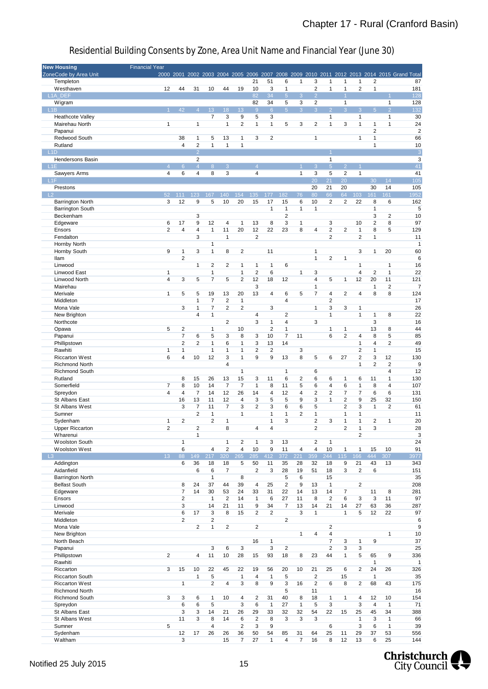| <b>New Housing</b>                          | <b>Financial Year</b>   |                                  |                                           |                         |                         |              |                    |                |                |                |                |                      |                         |                |                                |                |                                                                                             |
|---------------------------------------------|-------------------------|----------------------------------|-------------------------------------------|-------------------------|-------------------------|--------------|--------------------|----------------|----------------|----------------|----------------|----------------------|-------------------------|----------------|--------------------------------|----------------|---------------------------------------------------------------------------------------------|
| ZoneCode by Area Unit                       |                         |                                  |                                           |                         |                         |              |                    |                |                |                |                |                      |                         |                |                                |                | 2000 2001 2002 2003 2004 2005 2006 2007 2008 2009 2010 2011 2012 2013 2014 2015 Grand Total |
| Templeton                                   |                         |                                  |                                           |                         |                         |              | 21                 | 51             | 6              | $\mathbf{1}$   | 3              | 1                    | 1                       | 1              | 2                              |                | 87                                                                                          |
| Westhaven                                   | 12                      | 44                               | 31                                        | 10                      | 44                      | 19           | 10                 | 3              | $\mathbf{1}$   |                | $\overline{c}$ | 1                    | 1                       | 2              | $\mathbf{1}$                   |                | 181                                                                                         |
| L <sub>1</sub> A DEF                        |                         |                                  |                                           |                         |                         |              | 82                 | 34             | 5 <sup>1</sup> | 3              | $\overline{2}$ |                      | $\overline{1}$          |                |                                |                | 128                                                                                         |
| Wigram                                      |                         |                                  |                                           |                         |                         |              | 82                 | 34             | 5              | 3              | 2              |                      | $\mathbf{1}$            |                |                                | $\mathbf{1}$   | 128                                                                                         |
| L <sub>1</sub> B                            |                         | 42                               | $\overline{4}$                            | 13                      | 18                      | 13           | 9                  | $6\phantom{1}$ | 5 <sup>1</sup> | 3              | 3              | 2 <sup>1</sup>       | 3                       | $\mathbf{3}$   | 5 <sub>5</sub>                 | $\overline{2}$ | 132                                                                                         |
| <b>Heathcote Valley</b>                     |                         |                                  |                                           | $\overline{7}$          | 3                       | 9            | 5                  | 3              |                |                |                | $\mathbf{1}$         |                         | $\mathbf{1}$   |                                | $\mathbf{1}$   | 30                                                                                          |
| Mairehau North                              | $\mathbf{1}$            |                                  | $\mathbf{1}$                              |                         | $\mathbf{1}$            | 2            | $\mathbf{1}$       | $\mathbf{1}$   | 5              | 3              | 2              | $\mathbf{1}$         | 3                       | $\mathbf{1}$   | $\mathbf{1}$<br>$\overline{2}$ | $\mathbf{1}$   | 24                                                                                          |
| Papanui                                     |                         |                                  |                                           |                         |                         |              |                    |                |                |                |                |                      |                         |                |                                |                | $\overline{2}$                                                                              |
| Redwood South                               |                         | 38                               | 1                                         | 5                       | 13                      | 1            | 3                  | 2              |                |                | $\mathbf{1}$   |                      |                         | $\mathbf{1}$   | $\mathbf{1}$                   |                | 66                                                                                          |
| Rutland                                     |                         | $\sqrt{4}$                       | $\overline{\mathbf{c}}$<br>$\overline{2}$ | $\mathbf{1}$            | $\mathbf{1}$            | $\mathbf{1}$ |                    |                |                |                |                |                      |                         |                | 1                              |                | 10                                                                                          |
| L <sub>1</sub> D<br><b>Hendersons Basin</b> |                         |                                  | $\overline{c}$                            |                         |                         |              |                    |                |                |                |                | $\mathbf{1}$         |                         |                |                                |                | $\overline{3}$<br>3                                                                         |
| $-L1E$                                      | $\Delta$                | 6 <sup>°</sup>                   | $\overline{4}$                            | 8                       | 3                       |              | $\overline{4}$     |                |                |                | 3              | $\overline{5}$       | $\overline{2}$          |                |                                |                | 41                                                                                          |
|                                             | $\overline{4}$          | 6                                | 4                                         | 8                       | 3                       |              | $\overline{4}$     |                |                | 1              | 3              | 5                    | $\overline{2}$          | $\mathbf{1}$   |                                |                | 41                                                                                          |
| Sawyers Arms<br>L <sub>1</sub> F            |                         |                                  |                                           |                         |                         |              |                    |                |                |                | 20             | 21                   | 20                      |                | 30                             | 14             | 105                                                                                         |
| Prestons                                    |                         |                                  |                                           |                         |                         |              |                    |                |                |                | 20             | 21                   | 20                      |                | 30                             | 14             | 105                                                                                         |
| $-L2$                                       | 52                      | 111                              | 123                                       | 167                     | 140                     | 154          | 135                | 177            | 182            | 76             | 80             | 66                   | 64                      | 103            | 161                            | 161            | 1952                                                                                        |
| <b>Barrington North</b>                     | 3                       | 12                               | 9                                         | 5                       | 10                      | 20           | 15                 | 17             | 15             | 6              | 10             | 2                    | 2                       | 22             | 8                              | 6              | 162                                                                                         |
| <b>Barrington South</b>                     |                         |                                  |                                           |                         |                         |              |                    | $\mathbf{1}$   | $\mathbf{1}$   | $\mathbf{1}$   | $\mathbf{1}$   |                      |                         |                | $\mathbf{1}$                   |                | 5                                                                                           |
| Beckenham                                   |                         |                                  | 3                                         |                         |                         |              |                    |                | $\overline{2}$ |                |                |                      |                         |                | 3                              | 2              | 10                                                                                          |
| Edgeware                                    | 6                       | 17                               | 9                                         | 12                      | $\overline{4}$          | 1            | 13                 | 8              | 3              | 1              |                | 3                    |                         | 10             | 2                              | 8              | 97                                                                                          |
| Ensors                                      | $\overline{2}$          | 4                                | 4                                         | $\mathbf{1}$            | 11                      | 20           | 12                 | 22             | 23             | 8              | 4              | 2                    | $\overline{\mathbf{c}}$ | $\mathbf{1}$   | 8                              | 5              | 129                                                                                         |
| Fendalton                                   |                         |                                  | 3                                         |                         | $\mathbf{1}$            |              | $\overline{2}$     |                |                |                |                | $\overline{2}$       |                         | $\overline{2}$ | 1                              |                | 11                                                                                          |
| Hornby North                                |                         |                                  |                                           | 1                       |                         |              |                    |                |                |                |                |                      |                         |                |                                |                | $\mathbf{1}$                                                                                |
| Hornby South                                | 9                       | $\mathbf{1}$                     | 3                                         | 1                       | 8                       | 2            |                    | 11             |                |                | $\mathbf{1}$   |                      |                         | 3              | $\mathbf{1}$                   | 20             | 60                                                                                          |
| Ilam                                        |                         | $\overline{2}$                   |                                           |                         |                         |              |                    |                |                |                | $\mathbf{1}$   | 2                    | 1                       |                |                                |                | 6                                                                                           |
| Linwood                                     |                         |                                  | $\mathbf{1}$                              | 2                       | 2                       | 1            | $\mathbf{1}$       | $\mathbf{1}$   | 6              |                |                |                      |                         | $\mathbf{1}$   |                                | $\mathbf{1}$   | 16                                                                                          |
| Linwood East                                | $\mathbf{1}$            |                                  |                                           | 1                       |                         | 1            | $\overline{2}$     | 6              |                | 1              | 3              |                      |                         | $\overline{4}$ | 2                              | 1              | 22                                                                                          |
| Linwood North                               | $\overline{4}$          | 3                                | 5                                         | 7                       | 5                       | 2            | 12                 | 18             | 12             |                | $\overline{4}$ | 5                    | $\mathbf{1}$            | 12             | 20                             | 11             | 121                                                                                         |
| Mairehau                                    |                         |                                  |                                           |                         |                         |              | 3                  |                |                |                | 1              |                      |                         |                | $\mathbf{1}$                   | 2              | 7                                                                                           |
| Merivale                                    | $\mathbf{1}$            | 5                                | 5                                         | 19                      | 13                      | 20           | 13                 | 4              | 6              | 5              | 7              | 4                    | $\overline{2}$          | $\overline{4}$ | 8                              | 8              | 124                                                                                         |
| Middleton                                   |                         |                                  | $\mathbf{1}$                              | $\overline{7}$          | $\overline{2}$          | $\mathbf{1}$ |                    |                | $\overline{4}$ |                |                | 2                    |                         |                |                                |                | 17                                                                                          |
| Mona Vale                                   |                         | 3                                | $\mathbf{1}$                              | 7                       | $\overline{2}$          | 2            |                    | 3              |                |                | $\mathbf{1}$   | 3                    | 3                       | $\mathbf{1}$   |                                |                | 26                                                                                          |
| New Brighton                                |                         |                                  | $\overline{4}$                            | 1                       |                         |              | 4                  |                | 2              |                |                | $\mathbf{1}$         |                         | $\mathbf{1}$   | 1                              | 8              | 22                                                                                          |
| Northcote                                   |                         |                                  |                                           |                         | 2                       |              | 3                  | $\mathbf{1}$   | $\overline{4}$ |                | 3              |                      |                         |                | 3                              |                | 16                                                                                          |
| Opawa                                       | 5                       | $\overline{\mathbf{c}}$          |                                           | 1                       |                         | 10           |                    | $\overline{2}$ | $\mathbf{1}$   |                |                | $\mathbf{1}$         | $\mathbf{1}$            |                | 13                             | 8              | 44                                                                                          |
| Papanui                                     |                         | $\overline{7}$                   | 6                                         | 5                       | 3                       | 8            | 3                  | 10             | $\overline{7}$ | 11             |                | 6                    | $\overline{2}$          | $\overline{4}$ | 8                              | 5              | 85                                                                                          |
| Phillipstown                                |                         | 2                                | 2                                         | 1                       | 6                       | 1            | 3                  | 13             | 14             |                |                |                      |                         | 1              | 4                              | 2              | 49                                                                                          |
| Rawhiti                                     | 1                       | 1                                |                                           | 1                       | 1                       | 1            | $\overline{2}$     | $\overline{2}$ |                | 3              |                |                      |                         | $\overline{2}$ | $\mathbf{1}$                   |                | 15                                                                                          |
| <b>Riccarton West</b>                       | 6                       | $\overline{4}$                   | 10                                        | 12                      | 3                       | $\mathbf{1}$ | 9                  | 9              | 13             | 8              | 5              | 6                    | 27                      | $\overline{2}$ | 3                              | 12             | 130                                                                                         |
| <b>Richmond North</b>                       |                         |                                  |                                           |                         | $\overline{4}$          |              |                    |                |                |                |                |                      |                         | $\mathbf{1}$   | $\overline{2}$                 | 2              | 9                                                                                           |
| <b>Richmond South</b>                       |                         |                                  |                                           |                         |                         | $\mathbf{1}$ |                    |                | $\mathbf{1}$   |                | 6              |                      |                         |                |                                | 4              | 12                                                                                          |
| Rutland                                     |                         | 8                                | 15                                        | 26                      | 13                      | 15           | 3                  | 11             | 6              | 2              | 6              | 6                    | $\mathbf{1}$            | 6              | 11                             | $\mathbf{1}$   | 130                                                                                         |
| Somerfield                                  | $\overline{7}$          | 8                                | 10                                        | 14                      | $\overline{7}$          | 7            | $\mathbf{1}$       | 8              | 11             | 5              | 6              | 4                    | 6                       | $\mathbf{1}$   | 8                              | $\overline{4}$ | 107                                                                                         |
| Spreydon                                    | $\overline{4}$          | $\overline{4}$                   | $\overline{7}$                            | 14                      | 12                      | 26           | 14                 | 4              | 12             | 4              | $\overline{2}$ | 2                    | $\overline{7}$          | $\overline{7}$ | 6                              | 6              | 131                                                                                         |
| St Albans East                              |                         | 16                               | 13                                        | 11                      | 12                      | 4            | 3                  | 5              | 5              | 9              | 3              | 1                    | 2                       | 9              | 25                             | 32             | 150                                                                                         |
| St Albans West                              |                         | 3                                | $\overline{7}$                            | 11                      | 7                       | 3            | $\overline{2}$     | 3              | 6              | 6              | 5              |                      | 2                       | 3              | $\mathbf{1}$                   | 2              | 61                                                                                          |
| Sumner                                      |                         |                                  | $\overline{2}$                            | $\mathbf{1}$            |                         | 1            |                    | $\mathbf{1}$   | $\mathbf{1}$   | $\overline{2}$ | $\mathbf{1}$   |                      | 1                       | $\mathbf{1}$   |                                |                | 11                                                                                          |
| Sydenham                                    | $\mathbf{1}$            | $\overline{2}$                   |                                           | $\overline{2}$          | $\mathbf{1}$            |              |                    | $\mathbf{1}$   | 3              |                | $\overline{2}$ | 3                    | 1                       | $\mathbf{1}$   | $\overline{2}$                 | $\mathbf{1}$   | 20                                                                                          |
| <b>Upper Riccarton</b>                      | $\overline{2}$          |                                  | $\overline{2}$                            |                         | 8                       |              | 4                  | $\overline{4}$ |                |                | $\overline{2}$ |                      | $\overline{2}$          | $\mathbf{1}$   | 3                              |                | 28                                                                                          |
| Wharenui                                    |                         |                                  | $\mathbf{1}$                              |                         |                         |              |                    |                |                |                |                |                      |                         | $\overline{c}$ |                                |                | 3                                                                                           |
| <b>Woolston South</b>                       |                         | $\mathbf{1}$                     |                                           |                         | $\mathbf{1}$            | 2            | $\mathbf{1}$       | 3              | 13             |                | 2              | $\mathbf{1}$         |                         |                |                                |                | 24                                                                                          |
| <b>Woolston West</b>                        |                         | 6                                |                                           | 4                       | $\overline{2}$          | 4            | 10                 | 9              | 11             | $\overline{4}$ | $\overline{4}$ | 10                   | $\mathbf{1}$            | $\mathbf{1}$   | 15                             | 10             | 91                                                                                          |
| $-L3$                                       | 13 <sup>°</sup>         | 88                               | 149                                       | 217                     | 320                     | 265          | 285                | 412            | 372            | 221            | 359            | 244                  | 115                     | 166            | 444                            | 307            | 3977                                                                                        |
| Addington                                   |                         | 6                                | 36                                        | 18                      | 18                      | 5            | 50                 | 11             | 35             | 28             | 32             | 18                   | 9                       | 21             | 43                             | 13             | 343                                                                                         |
| Aidanfield<br>Barrington North              |                         |                                  | 6                                         | 6<br>$\mathbf{1}$       | $\overline{7}$          | 8            | 2                  | 3              | 28<br>5        | 19<br>6        | 51             | 18<br>15             | 3                       | $\sqrt{2}$     | 6                              |                | 151<br>35                                                                                   |
| <b>Belfast South</b>                        |                         | 8                                | 24                                        | 37                      | 44                      |              | 4                  |                | $\sqrt{2}$     | 9              | 13             | $\mathbf{1}$         |                         | $\overline{2}$ |                                |                |                                                                                             |
|                                             |                         |                                  |                                           |                         |                         | 39           |                    | 25             |                |                |                |                      |                         |                |                                |                | 208                                                                                         |
| Edgeware<br>Ensors                          |                         | $\overline{7}$<br>$\overline{2}$ | 14                                        | 30<br>$\mathbf{1}$      | 53<br>$\overline{2}$    | 24<br>14     | 33<br>$\mathbf{1}$ | 31<br>6        | 22<br>27       | 14<br>11       | 13<br>8        | 14<br>$\overline{2}$ | $\overline{7}$<br>6     | 3              | 11<br>3                        | 8<br>11        | 281<br>97                                                                                   |
| Linwood                                     |                         | 3                                |                                           | 14                      | 21                      | 11           | 9                  | 34             | $\overline{7}$ | 13             | 14             | 21                   | 14                      | 27             | 63                             | 36             | 287                                                                                         |
| Merivale                                    |                         | 6                                |                                           | 3                       | 8                       | 15           | 2                  | 2              |                | 3              | $\mathbf{1}$   |                      | $\mathbf{1}$            | 5              | 12                             | 22             | 97                                                                                          |
| Middleton                                   |                         | $\overline{2}$                   | 17                                        | $\overline{\mathbf{c}}$ |                         |              |                    |                | $\overline{2}$ |                |                |                      |                         |                |                                |                | 6                                                                                           |
| Mona Vale                                   |                         |                                  | $\overline{2}$                            | $\mathbf{1}$            | $\overline{\mathbf{c}}$ |              | $\overline{2}$     |                |                |                |                | $\overline{2}$       |                         |                |                                |                | 9                                                                                           |
| New Brighton                                |                         |                                  |                                           |                         |                         |              |                    |                |                | $\mathbf{1}$   | $\overline{4}$ | 4                    |                         |                |                                | $\mathbf{1}$   | 10                                                                                          |
| North Beach                                 |                         |                                  |                                           |                         |                         |              | 16                 | $\mathbf{1}$   |                |                |                | $\overline{7}$       | 3                       | $\mathbf{1}$   | 9                              |                | 37                                                                                          |
| Papanui                                     |                         |                                  |                                           | 3                       | 6                       | 3            |                    | 3              | 2              |                |                | $\overline{2}$       | 3                       | 3              |                                |                | 25                                                                                          |
| Phillipstown                                | $\overline{\mathbf{c}}$ |                                  | 4                                         | 11                      | 10                      | 28           | 15                 | 93             | 18             | 8              | 23             | 44                   | $\mathbf{1}$            | 5              | 65                             | 9              | 336                                                                                         |
| Rawhiti                                     |                         |                                  |                                           |                         |                         |              |                    |                |                |                |                |                      |                         |                | $\mathbf{1}$                   |                | $\mathbf{1}$                                                                                |
| Riccarton                                   | 3                       | 15                               | 10                                        | 22                      | 45                      | 22           | 19                 | 56             | 20             | 10             | 21             | 25                   | 6                       | $\overline{c}$ | 24                             | 26             | 326                                                                                         |
| <b>Riccarton South</b>                      |                         |                                  | $\mathbf{1}$                              | 5                       |                         | $\mathbf{1}$ | 4                  | $\mathbf{1}$   | 5              |                | $\overline{c}$ |                      | 15                      |                | $\mathbf{1}$                   |                | 35                                                                                          |
| <b>Riccarton West</b>                       |                         | $\mathbf{1}$                     |                                           | $\overline{c}$          | 4                       | 3            | 8                  | 9              | 3              | 16             | $\overline{2}$ | 6                    | 8                       | $\overline{c}$ | 68                             | 43             | 175                                                                                         |
| <b>Richmond North</b>                       |                         |                                  |                                           |                         |                         |              |                    |                | 5              |                | 11             |                      |                         |                |                                |                | 16                                                                                          |
| Richmond South                              | 3                       | 3                                | 6                                         | $\mathbf{1}$            | 10                      | 4            | 2                  | 31             | 40             | 8              | 18             | $\mathbf{1}$         | $\mathbf{1}$            | 4              | 12                             | 10             | 154                                                                                         |
| Spreydon                                    |                         | 6                                | 6                                         | 5                       |                         | 3            | 6                  | $\mathbf{1}$   | 27             | $\mathbf{1}$   | 5              | 3                    |                         | 3              | $\overline{4}$                 | $\mathbf{1}$   | 71                                                                                          |
| St Albans East                              |                         | 3                                | 3                                         | 14                      | 21                      | 26           | 29                 | 33             | 32             | 32             | 54             | 22                   | 15                      | 25             | 45                             | 34             | 388                                                                                         |
| St Albans West                              |                         | 11                               | 3                                         | $\bf 8$                 | 14                      | 6            | $\overline{c}$     | 8              | 3              | 3              | 3              |                      |                         | $\mathbf{1}$   | 3                              | $\mathbf{1}$   | 66                                                                                          |
| Sumner                                      | 5                       |                                  |                                           | 4                       |                         | 2            | 3                  | 9              |                |                |                | 6                    |                         | 3              | 6                              | $\mathbf{1}$   | 39                                                                                          |
| Sydenham                                    |                         | 12                               | 17                                        | 26                      | 26                      | 36           | 50                 | 54             | 85             | 31             | 64             | 25                   | 11                      | 29             | 37                             | 53             | 556                                                                                         |
| Waltham                                     |                         | 3                                |                                           |                         | 15                      | 7            | 27                 | $\mathbf{1}$   | 4              | $\overline{7}$ | 16             | 8                    | 12                      | 13             | 6                              | 25             | 144                                                                                         |
|                                             |                         |                                  |                                           |                         |                         |              |                    |                |                |                |                |                      |                         |                |                                |                |                                                                                             |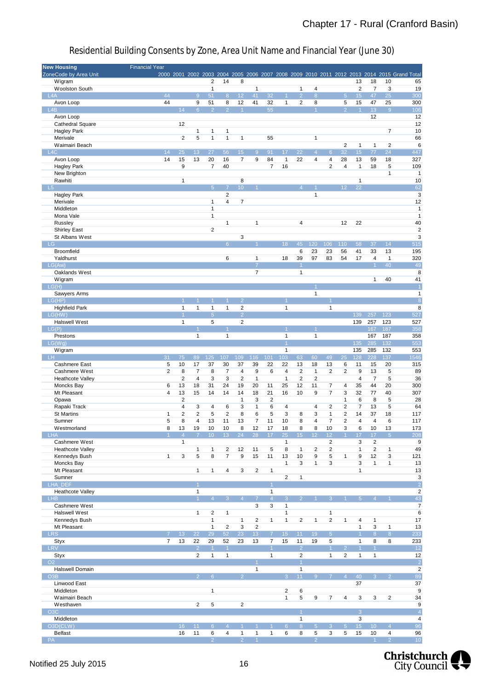| <b>New Housing</b>      | <b>Financial Year</b> |                         |                      |                 |                         |                 |                 |                      |                 |                |                |                      |                 |                      |                         |                |                                                                                             |
|-------------------------|-----------------------|-------------------------|----------------------|-----------------|-------------------------|-----------------|-----------------|----------------------|-----------------|----------------|----------------|----------------------|-----------------|----------------------|-------------------------|----------------|---------------------------------------------------------------------------------------------|
| ZoneCode by Area Unit   |                       |                         |                      |                 |                         |                 |                 |                      |                 |                |                |                      |                 |                      |                         |                | 2000 2001 2002 2003 2004 2005 2006 2007 2008 2009 2010 2011 2012 2013 2014 2015 Grand Total |
| Wigram                  |                       |                         |                      | 2               | 14                      | 8               |                 |                      |                 |                |                |                      |                 | 13                   | 18                      | 10             | 65                                                                                          |
| <b>Woolston South</b>   |                       |                         |                      | $\mathbf{1}$    |                         |                 | 1               |                      |                 | $\mathbf{1}$   | 4              |                      |                 | $\overline{2}$       | $\overline{7}$          | 3              | 19                                                                                          |
| L4A                     | 44                    |                         | 9                    | 51              | 8 <sup>°</sup>          | 12              | 41              | 32                   |                 | $\overline{2}$ | 8              |                      | $\sqrt{5}$      | 15                   | 47                      | 25             | 300                                                                                         |
| Avon Loop               | 44                    |                         | 9                    | 51              | 8                       | 12              | 41              | 32                   | $\mathbf{1}$    | $\overline{2}$ | 8              |                      | 5               | 15                   | 47                      | 25             | 300                                                                                         |
| L <sub>4</sub> B        |                       | 14                      | 6 <sup>°</sup>       | $\overline{2}$  | 2                       | $\overline{1}$  |                 | 55                   |                 |                |                |                      | $\overline{2}$  | $\overline{1}$       | 13 <sup>°</sup>         | $\overline{9}$ | 106                                                                                         |
| Avon Loop               |                       |                         |                      |                 |                         |                 |                 |                      |                 |                |                |                      |                 |                      | 12                      |                | 12                                                                                          |
| <b>Cathedral Square</b> |                       | 12                      |                      |                 |                         |                 |                 |                      |                 |                |                |                      |                 |                      |                         |                | 12                                                                                          |
| <b>Hagley Park</b>      |                       |                         | 1                    | $\mathbf{1}$    | 1                       |                 |                 |                      |                 |                |                |                      |                 |                      |                         | 7              | 10                                                                                          |
| Merivale                |                       | 2                       | 5                    | $\mathbf{1}$    | 1                       | 1               |                 | 55                   |                 |                | 1              |                      |                 |                      |                         |                | 66                                                                                          |
| Waimairi Beach          |                       |                         |                      |                 |                         |                 |                 |                      |                 |                |                |                      | $\overline{2}$  | $\mathbf{1}$         | $\mathbf{1}$            | $\overline{2}$ | $\,6$                                                                                       |
| L4C                     | 14                    | 25                      | 13 <sup>°</sup>      | 27              | 56                      | 15 <sub>1</sub> | $\overline{9}$  | 91                   | 17              | 22             | $\overline{4}$ | 6                    | 32              | 15 <sub>15</sub>     | 77                      | 24             | 447                                                                                         |
|                         |                       |                         |                      |                 |                         |                 |                 |                      |                 |                |                |                      |                 |                      |                         |                |                                                                                             |
| Avon Loop               | 14                    | 15                      | 13                   | 20              | 16                      | $\overline{7}$  | 9               | 84                   | 1               | 22             | 4              | $\overline{4}$       | 28              | 13                   | 59                      | 18             | 327                                                                                         |
| <b>Hagley Park</b>      |                       | 9                       |                      | 7               | 40                      |                 |                 | $\overline{7}$       | 16              |                |                | $\overline{2}$       | $\overline{4}$  | $\mathbf{1}$         | 18                      | 5              | 109                                                                                         |
| New Brighton            |                       |                         |                      |                 |                         |                 |                 |                      |                 |                |                |                      |                 |                      |                         | 1              | $\mathbf{1}$                                                                                |
| Rawhiti                 |                       | $\mathbf{1}$            |                      |                 |                         | 8               |                 |                      |                 |                |                |                      |                 | $\mathbf{1}$         |                         |                | 10                                                                                          |
| $-L5$                   |                       |                         |                      | 5 <sup>5</sup>  | $\overline{7}$          | 10 <sup>°</sup> |                 |                      |                 | $\overline{A}$ |                |                      | 12 <sup>°</sup> | 22                   |                         |                | 62                                                                                          |
| <b>Hagley Park</b>      |                       |                         |                      |                 | 2                       |                 |                 |                      |                 |                | 1              |                      |                 |                      |                         |                | $\mathbf{3}$                                                                                |
| Merivale                |                       |                         |                      | $\mathbf{1}$    | 4                       | $\overline{7}$  |                 |                      |                 |                |                |                      |                 |                      |                         |                | 12                                                                                          |
| Middleton               |                       |                         |                      | $\mathbf{1}$    |                         |                 |                 |                      |                 |                |                |                      |                 |                      |                         |                | $\mathbf{1}$                                                                                |
| Mona Vale               |                       |                         |                      | $\mathbf{1}$    |                         |                 |                 |                      |                 |                |                |                      |                 |                      |                         |                | $\mathbf{1}$                                                                                |
| Russley                 |                       |                         |                      |                 | 1                       |                 | 1               |                      |                 | $\overline{4}$ |                |                      | 12              | 22                   |                         |                | 40                                                                                          |
| <b>Shirley East</b>     |                       |                         |                      | $\overline{2}$  |                         |                 |                 |                      |                 |                |                |                      |                 |                      |                         |                | $\sqrt{2}$                                                                                  |
| St Albans West          |                       |                         |                      |                 |                         | 3               |                 |                      |                 |                |                |                      |                 |                      |                         |                | 3                                                                                           |
| $-LG$                   |                       |                         |                      |                 | 6 <sup>°</sup>          |                 |                 |                      | 18              | 45             | 120            | 106                  | 110             | 58                   | 37                      | 14             | $\overline{515}$                                                                            |
| Broomfield              |                       |                         |                      |                 |                         |                 |                 |                      |                 | 6              | 23             | 23                   | 56              |                      | 33                      | 13             | 195                                                                                         |
|                         |                       |                         |                      |                 |                         |                 |                 |                      |                 |                |                |                      |                 | 41                   |                         |                |                                                                                             |
| Yaldhurst               |                       |                         |                      |                 | 6                       |                 | $\mathbf{1}$    |                      | 18              | 39             | 97             | 83                   | 54              | 17                   | $\overline{4}$          | $\mathbf{1}$   | 320                                                                                         |
| LG(Aw)                  |                       |                         |                      |                 |                         |                 | $\overline{7}$  |                      |                 | $\vert$ 1      |                |                      |                 |                      | $\mathbf{1}$            | 40             | 49                                                                                          |
| Oaklands West           |                       |                         |                      |                 |                         |                 | 7               |                      |                 | $\mathbf{1}$   |                |                      |                 |                      |                         |                | 8                                                                                           |
| Wigram                  |                       |                         |                      |                 |                         |                 |                 |                      |                 |                |                |                      |                 |                      | $\mathbf{1}$            | 40             | 41                                                                                          |
| LG(H)                   |                       |                         |                      |                 |                         |                 |                 |                      |                 |                |                |                      |                 |                      |                         |                | $\overline{1}$                                                                              |
| Sawyers Arms            |                       |                         |                      |                 |                         |                 |                 |                      |                 |                | 1              |                      |                 |                      |                         |                | $\mathbf{1}$                                                                                |
| LG(HP)                  |                       |                         |                      | $\overline{1}$  | $\blacktriangleleft$    | $\overline{2}$  |                 |                      |                 |                |                |                      |                 |                      |                         |                | $\delta$                                                                                    |
| <b>Highfield Park</b>   |                       | $\mathbf{1}$            | 1                    | $\mathbf{1}$    | $\mathbf{1}$            | $\overline{2}$  |                 |                      | 1               |                |                | $\mathbf{1}$         |                 |                      |                         |                | 8                                                                                           |
| LG(HW)                  |                       | $\overline{1}$          |                      | $\overline{5}$  |                         | $\overline{2}$  |                 |                      |                 |                |                |                      |                 | 139                  | 257                     | 123            | 527                                                                                         |
| <b>Halswell West</b>    |                       | $\mathbf{1}$            |                      | 5               |                         | $\overline{2}$  |                 |                      |                 |                |                |                      |                 | 139                  | 257                     | 123            | 527                                                                                         |
| LG(P)                   |                       |                         |                      |                 |                         |                 |                 |                      |                 |                |                |                      |                 |                      | 167                     | 187            | 358                                                                                         |
| Prestons                |                       |                         | 1                    |                 | 1                       |                 |                 |                      | 1               |                | 1              |                      |                 |                      | 167                     | 187            | 358                                                                                         |
| LG(Wg)                  |                       |                         |                      |                 |                         |                 |                 |                      |                 |                |                |                      |                 | 135                  | 285                     | 132            | 553                                                                                         |
| Wigram                  |                       |                         |                      |                 |                         |                 |                 |                      | $\mathbf{1}$    |                |                |                      |                 | 135                  | 285                     | 132            | 553                                                                                         |
| <b>LH</b>               | 31                    | 75                      | 89                   | 125             | 107                     |                 |                 | 101                  | 103             | 63             | 60             | 49                   | 25              | 128                  | 228                     | 137            | 1546                                                                                        |
|                         |                       |                         |                      |                 |                         | 109             | 116             |                      |                 |                |                |                      |                 |                      |                         |                |                                                                                             |
| <b>Cashmere East</b>    | 5                     | 10                      | 17                   | 37              | 30                      | 37              | 39              | 22                   | 22              | 13             | 18             | 13                   | 6               | 11                   | 15                      | 20             | 315                                                                                         |
| Cashmere West           | $\overline{2}$        | 8                       | $\overline{7}$       | 8               | $\overline{7}$          | $\overline{4}$  | 9               | 6                    | $\overline{4}$  | $\sqrt{2}$     | $\mathbf{1}$   | $\overline{2}$       | $\overline{c}$  | 9                    | 13                      | 5              | 89                                                                                          |
| Heathcote Valley        |                       | $\overline{2}$          | $\overline{4}$       | 3               | 3                       | $\overline{2}$  | $\mathbf{1}$    |                      | $\mathbf{1}$    | $\overline{2}$ | $\overline{2}$ |                      |                 | $\overline{4}$       | $\overline{7}$          | 5              | 36                                                                                          |
| Moncks Bay              | 6                     | 13                      | 18                   | 31              | 24                      | 19              | 20              | 11                   | 25              | 12             | 11             | $\overline{7}$       | 4               | 35                   | 44                      | 20             | 300                                                                                         |
| Mt Pleasant             | 4                     | 13                      | 15                   | 14              | 14                      | 14              | 18              | 21                   | 16              | 10             | 9              | $\overline{7}$       | 3               | 32                   | 77                      | 40             | 307                                                                                         |
| Opawa                   |                       | $\overline{\mathbf{c}}$ |                      |                 |                         | $\mathbf{1}$    | 3               | 2                    |                 |                |                |                      | $\mathbf{1}$    | 6                    | 8                       | 5              | 28                                                                                          |
| Rapaki Track            |                       | $\overline{4}$          | 3                    | $\overline{4}$  | 6                       | 3               | $\mathbf{1}$    | 6                    | $\overline{4}$  |                | 4              | $\overline{2}$       | $\overline{2}$  | $\overline{7}$       | 13                      | 5              | 64                                                                                          |
| <b>St Martins</b>       | 1                     | 2                       | 2                    | 5               | 2                       | 8               | 6               | 5                    | 3               | 8              | 3              | $\mathbf{1}$         | $\overline{2}$  | 14                   | 37                      | 18             | 117                                                                                         |
| Sumner                  | 5                     | 8                       | 4                    | 13              | 11                      | 13              | $\overline{7}$  | 11                   | 10              | 8              | 4              | $\overline{7}$       | $\overline{2}$  | $\overline{4}$       | $\overline{4}$          | 6              | 117                                                                                         |
| Westmorland             | 8                     | 13                      | 19                   | 10              | 10                      | 8               | 12              | 17                   | 18              | 8              | 8              | 10                   | 3               | 6                    | 10                      | 13             | 173                                                                                         |
| <b>LHA</b>              |                       | $\overline{4}$          |                      |                 | 13                      |                 | 28              |                      | 25              | 15             | 12             | 12                   |                 | 17                   | 17                      | $\sqrt{5}$     | 208                                                                                         |
| Cashmere West           |                       | $\mathbf{1}$            |                      |                 |                         |                 |                 |                      | $\mathbf{1}$    |                |                | $\sqrt{2}$           |                 | $\mathsf 3$          | $\overline{\mathbf{c}}$ |                | 9                                                                                           |
| <b>Heathcote Valley</b> |                       |                         | $\mathbf{1}$         | $\mathbf{1}$    | $\overline{\mathbf{c}}$ | 12              | 11              | 5                    | 8               | $\mathbf{1}$   | 2              | $\overline{2}$       |                 | $\mathbf{1}$         | $\overline{2}$          | $\mathbf{1}$   | 49                                                                                          |
|                         | $\mathbf{1}$          |                         |                      |                 |                         | 9               |                 |                      |                 |                |                |                      | $\mathbf{1}$    |                      |                         |                |                                                                                             |
| Kennedys Bush           |                       | 3                       | 5                    | 8               | 7                       |                 | 15              | 11                   | 13              | 10             | 9              | 5                    |                 | 9                    | 12                      | 3              | 121                                                                                         |
| Moncks Bay              |                       |                         |                      |                 |                         |                 |                 |                      | 1               | 3              | 1              | $\mathsf 3$          |                 | 3                    | $\mathbf{1}$            | $\mathbf{1}$   | 13                                                                                          |
| Mt Pleasant             |                       |                         | $\mathbf{1}$         | $\mathbf{1}$    | 4                       | 3               | $\sqrt{2}$      | $\mathbf{1}$         |                 |                |                |                      |                 | $\mathbf{1}$         |                         |                | 13                                                                                          |
| Sumner                  |                       |                         |                      |                 |                         |                 |                 |                      | $\overline{2}$  | $\mathbf{1}$   |                |                      |                 |                      |                         |                | 3                                                                                           |
| LHA_DEF                 |                       |                         | $\overline{1}$       |                 |                         |                 |                 | $\mathbf{1}$         |                 |                |                |                      |                 |                      |                         |                | $\overline{2}$                                                                              |
| Heathcote Valley        |                       |                         | $\mathbf{1}$         |                 |                         |                 |                 | $\mathbf{1}$         |                 |                |                |                      |                 |                      |                         |                | $\sqrt{2}$                                                                                  |
| <b>LHB</b>              |                       |                         | $\blacktriangleleft$ | $\overline{4}$  | $\overline{3}$          | $\overline{4}$  | $\overline{7}$  | $\overline{4}$       | $\mathbf{3}$    | 2              |                | 3                    |                 | $\overline{5}$       |                         |                | $\overline{43}$                                                                             |
| Cashmere West           |                       |                         |                      |                 |                         |                 | 3               | 3                    | 1               |                |                |                      |                 |                      |                         |                | $\overline{7}$                                                                              |
| Halswell West           |                       |                         | 1                    | 2               | $\mathbf{1}$            |                 |                 |                      | $\mathbf{1}$    |                |                | $\mathbf{1}$         |                 |                      |                         |                | $6\phantom{1}6$                                                                             |
| Kennedys Bush           |                       |                         |                      | $\mathbf{1}$    |                         | $\mathbf{1}$    | $\sqrt{2}$      | $\mathbf{1}$         | $\mathbf{1}$    | $\sqrt{2}$     | 1              | $\sqrt{2}$           | $\mathbf{1}$    | $\sqrt{4}$           | $\mathbf{1}$            |                | 17                                                                                          |
| Mt Pleasant             |                       |                         |                      | $\mathbf{1}$    | $\overline{\mathbf{c}}$ | 3               | 2               |                      |                 |                |                |                      |                 | $\mathbf{1}$         | 3                       | $\mathbf{1}$   | 13                                                                                          |
| <b>LRS</b>              |                       | 13                      | 22                   | 29              | 52                      | 23              | 13 <sup>°</sup> | 7 <sup>1</sup>       | 15 <sub>1</sub> | 11             | 19             | $\overline{5}$       |                 | $\mathbf{1}$         | 8 <sup>°</sup>          | 8              | 233                                                                                         |
| <b>Styx</b>             | $\overline{7}$        | 13                      | 22                   | 29              | 52                      | 23              | 13              | $\overline{7}$       | 15              | 11             | 19             | 5                    |                 | $\mathbf{1}$         | 8                       | 8              | 233                                                                                         |
| LRV                     |                       |                         | $\overline{2}$       | $\vert$ 1       | $\vert$ 1               |                 |                 | $\blacktriangleleft$ |                 | $\overline{2}$ |                | $\blacktriangleleft$ | $\overline{2}$  | $\blacktriangleleft$ | $\mathbf{1}$            |                | $\overline{12}$                                                                             |
| Styx                    |                       |                         | $\overline{2}$       | $\mathbf{1}$    | $\mathbf{1}$            |                 |                 | $\mathbf{1}$         |                 | $\sqrt{2}$     |                | $\mathbf{1}$         | $\overline{2}$  | $\mathbf{1}$         | $\mathbf{1}$            |                | 12                                                                                          |
| O2                      |                       |                         |                      |                 |                         |                 |                 |                      |                 | $\overline{1}$ |                |                      |                 |                      |                         |                |                                                                                             |
|                         |                       |                         |                      |                 |                         |                 |                 |                      |                 |                |                |                      |                 |                      |                         |                | $\overline{2}$                                                                              |
| Halswell Domain         |                       |                         |                      |                 |                         |                 | $\mathbf{1}$    |                      |                 | $\mathbf{1}$   |                |                      |                 |                      |                         |                | $\overline{2}$                                                                              |
| O3B                     |                       |                         | $\overline{2}$       | $6\phantom{1}6$ |                         | 2 <sup>1</sup>  |                 |                      | $\overline{3}$  | 11             | 9 <sup>°</sup> | $\overline{7}$       | $\overline{4}$  | 40                   | 3                       | $\overline{2}$ | $\overline{89}$                                                                             |
| Linwood East            |                       |                         |                      |                 |                         |                 |                 |                      |                 |                |                |                      |                 | 37                   |                         |                | 37                                                                                          |
| Middleton               |                       |                         |                      | $\mathbf{1}$    |                         |                 |                 |                      | 2               | 6              |                |                      |                 |                      |                         |                | 9                                                                                           |
| Waimairi Beach          |                       |                         |                      |                 |                         |                 |                 |                      | $\mathbf{1}$    | 5              | 9              | $\overline{7}$       | 4               | 3                    | 3                       | $\sqrt{2}$     | 34                                                                                          |
| Westhaven               |                       |                         | $\overline{2}$       | 5               |                         | $\overline{2}$  |                 |                      |                 |                |                |                      |                 |                      |                         |                | 9                                                                                           |
| O3C                     |                       |                         |                      |                 |                         |                 |                 |                      |                 |                |                |                      |                 | $\overline{3}$       |                         |                | $\overline{4}$                                                                              |
| Middleton               |                       |                         |                      |                 |                         |                 |                 |                      |                 | $\mathbf{1}$   |                |                      |                 | 3                    |                         |                | 4                                                                                           |
| O3D(CLW)                |                       | 16                      | 11                   | 6 <sup>°</sup>  | $\overline{4}$          |                 |                 |                      | 6 <sup>°</sup>  | 8 <sup>°</sup> | 5 <sup>5</sup> | $\mathbf{3}$         | 5 <sub>5</sub>  | 15 <sub>15</sub>     | 10 <sup>°</sup>         | $\overline{4}$ | $\overline{96}$                                                                             |
| <b>Belfast</b>          |                       | 16                      | 11                   | 6               | 4                       | $\mathbf{1}$    | 1               | $\mathbf{1}$         | 6               | 8              | 5              | 3                    | 5               | 15                   | 10                      | 4              | 96                                                                                          |
| PA                      |                       |                         |                      | $\overline{2}$  |                         | $\mathcal{P}$   |                 |                      |                 |                | $\overline{2}$ |                      |                 |                      |                         | $\overline{2}$ | 10 <sup>°</sup>                                                                             |
|                         |                       |                         |                      |                 |                         |                 |                 |                      |                 |                |                |                      |                 |                      |                         |                |                                                                                             |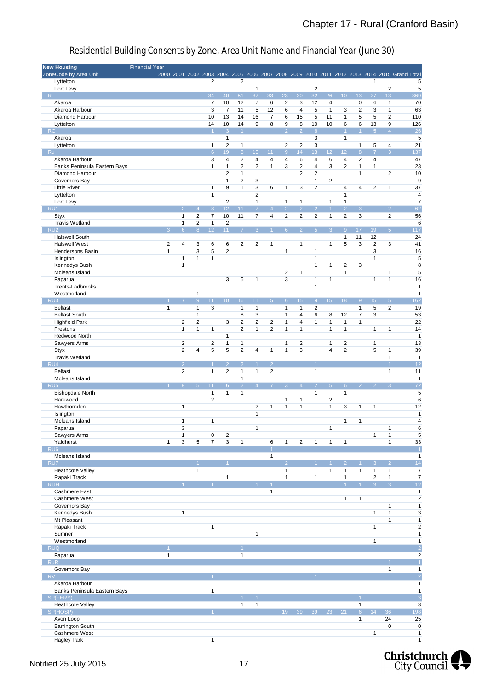| <b>New Housing</b>                       | <b>Financial Year</b> |                |                         |                         |                      |                         |                   |                |                     |                     |                |                         |                                         |                      |                      |                         |                                                                                             |
|------------------------------------------|-----------------------|----------------|-------------------------|-------------------------|----------------------|-------------------------|-------------------|----------------|---------------------|---------------------|----------------|-------------------------|-----------------------------------------|----------------------|----------------------|-------------------------|---------------------------------------------------------------------------------------------|
| ZoneCode by Area Unit                    |                       |                |                         |                         |                      |                         |                   |                |                     |                     |                |                         |                                         |                      |                      |                         | 2000 2001 2002 2003 2004 2005 2006 2007 2008 2009 2010 2011 2012 2013 2014 2015 Grand Total |
| Lyttelton                                |                       |                |                         | $\overline{2}$          |                      | $\overline{2}$          |                   |                |                     |                     |                |                         |                                         |                      | $\mathbf{1}$         |                         | 5                                                                                           |
| Port Levy                                |                       |                |                         |                         |                      |                         | $\mathbf{1}$      |                |                     |                     | $\sqrt{2}$     |                         |                                         |                      |                      | $\sqrt{2}$              | 5                                                                                           |
| R                                        |                       |                |                         | 34                      | 40                   | 51                      | 37                | 33             | 23                  | 30                  | 32             | 26                      | 10                                      | 13                   | 27                   | 13                      | 369                                                                                         |
| Akaroa                                   |                       |                |                         | $\overline{7}$          | 10                   | 12                      | $\overline{7}$    | 6              | $\overline{2}$      | 3                   | 12             | 4                       |                                         | 0                    | 6                    | $\mathbf{1}$            | 70                                                                                          |
| Akaroa Harbour                           |                       |                |                         | 3                       | $\overline{7}$       | 11                      | 5                 | 12             | 6                   | 4                   | 5              | $\mathbf{1}$            | 3                                       | 2                    | 3                    | $\mathbf{1}$            | 63                                                                                          |
| Diamond Harbour                          |                       |                |                         | 10                      | 13                   | 14<br>14                | 16<br>9           | 7              | 6                   | 15                  | 5              | 11<br>10                | $\mathbf{1}$                            | 5                    | 5                    | $\overline{\mathbf{c}}$ | 110                                                                                         |
| Lyttelton<br>RC                          |                       |                |                         | 14<br>$\overline{1}$    | 10<br>$\overline{3}$ | $\blacktriangleleft$    |                   | 8              | 9<br>$\overline{2}$ | 8<br>$\overline{2}$ | 10<br>6        |                         | 6<br>$\overline{1}$                     | 6<br>$\overline{1}$  | 13<br>5 <sup>5</sup> | 9<br>$\overline{4}$     | 126<br>$\overline{26}$                                                                      |
| Akaroa                                   |                       |                |                         |                         | $\mathbf{1}$         |                         |                   |                |                     |                     | 3              |                         | $\mathbf{1}$                            |                      |                      |                         | 5                                                                                           |
| Lyttelton                                |                       |                |                         | $\mathbf{1}$            | 2                    | $\mathbf{1}$            |                   |                | 2                   | $\overline{c}$      | $\mathsf 3$    |                         |                                         | $\mathbf{1}$         | 5                    | 4                       | 21                                                                                          |
| Ru                                       |                       |                |                         | $6\phantom{1}$          | 19                   | $8\phantom{1}$          | 15 <sub>1</sub>   | 11             | $\overline{9}$      | 14                  | 13             | 12 <sub>2</sub>         | 12                                      | $\overline{8}$       | $\overline{7}$       | $\overline{3}$          | 137                                                                                         |
| Akaroa Harbour                           |                       |                |                         | 3                       | $\overline{4}$       | $\overline{2}$          | $\overline{4}$    | 4              | $\overline{4}$      | 6                   | $\overline{4}$ | 6                       | $\overline{4}$                          | $\overline{2}$       | 4                    |                         | 47                                                                                          |
| Banks Peninsula Eastern Bays             |                       |                |                         | $\mathbf{1}$            | $\mathbf{1}$         | $\overline{2}$          | $\overline{c}$    | $\mathbf{1}$   | 3                   | 2                   | $\overline{4}$ | 3                       | $\overline{2}$                          | $\mathbf{1}$         | $\mathbf{1}$         |                         | 23                                                                                          |
| Diamond Harbour                          |                       |                |                         |                         | 2                    | $\mathbf{1}$            |                   |                |                     | 2                   | $\overline{c}$ |                         |                                         | $\mathbf{1}$         |                      | $\overline{c}$          | 10                                                                                          |
| Governors Bay                            |                       |                |                         |                         | $\mathbf{1}$         | $\overline{\mathbf{c}}$ | 3                 |                |                     |                     | $\mathbf{1}$   | $\overline{\mathbf{c}}$ |                                         |                      |                      |                         | 9                                                                                           |
| <b>Little River</b>                      |                       |                |                         | $\mathbf{1}$            | 9                    | $\mathbf{1}$            | 3                 | 6              | $\mathbf{1}$        | 3                   | $\overline{2}$ |                         | $\overline{4}$                          | 4                    | $\overline{2}$       | $\mathbf{1}$            | 37                                                                                          |
| Lyttelton                                |                       |                |                         | $\mathbf{1}$            |                      |                         | $\overline{2}$    |                |                     |                     |                |                         | $\mathbf{1}$                            |                      |                      |                         | 4                                                                                           |
| Port Levy                                |                       |                |                         |                         | $\overline{2}$       |                         | $\mathbf{1}$      |                | $\mathbf{1}$        | 1                   |                | $\mathbf{1}$            | $\mathbf{1}$                            |                      |                      |                         | $\overline{7}$                                                                              |
| RU <sub>1</sub>                          |                       | $\mathcal{P}$  | $\overline{4}$          | $\boldsymbol{8}$        | 12                   | 11                      | $\overline{7}$    | $\overline{4}$ | $\overline{2}$      | $\overline{2}$      | $\overline{2}$ | $\overline{1}$          | $\overline{2}$                          | $\overline{3}$       |                      | $\overline{2}$          | 62                                                                                          |
| <b>Styx</b>                              |                       | $\mathbf{1}$   | $\overline{c}$          | $\overline{\mathbf{7}}$ | 10                   | 11                      | $\overline{7}$    | 4              | $\overline{2}$      | $\overline{2}$      | $\overline{2}$ | $\mathbf{1}$            | $\overline{2}$                          | 3                    |                      | $\overline{2}$          | 56                                                                                          |
| Travis Wetland                           |                       | $\mathbf{1}$   | $\overline{2}$          | $\mathbf{1}$            | 2                    |                         |                   |                |                     |                     |                |                         |                                         |                      |                      |                         | 6                                                                                           |
| RU <sub>2</sub>                          | 3                     | 6 <sup>°</sup> | 8                       | 12                      | 11                   | $\overline{7}$          | 3 <sup>1</sup>    |                | 6 <sup>1</sup>      | $\overline{2}$      | 5 <sup>1</sup> | 3 <sup>°</sup>          | $\overline{9}$                          | 17                   | 19                   | 5 <sup>1</sup>          | 117                                                                                         |
| <b>Halswell South</b>                    |                       |                |                         |                         |                      |                         |                   |                |                     |                     |                |                         | $\mathbf{1}$                            | 11                   | 12                   |                         | 24                                                                                          |
| <b>Halswell West</b>                     | $\overline{2}$        | $\overline{4}$ | 3                       | 6                       | 6                    | $\overline{2}$          | $\overline{2}$    | 1              |                     | $\mathbf{1}$        |                | $\mathbf{1}$            | 5                                       | 3                    | $\overline{2}$       | 3                       | 41                                                                                          |
| Hendersons Basin                         | $\mathbf{1}$          |                | 3                       | 5                       | $\overline{2}$       |                         |                   |                | $\mathbf{1}$        |                     | $\mathbf{1}$   |                         |                                         |                      | 3                    |                         | 16                                                                                          |
| Islington                                |                       | 1              | $\mathbf{1}$            | $\mathbf{1}$            |                      |                         |                   |                |                     |                     | $\mathbf{1}$   |                         |                                         |                      | $\mathbf{1}$         |                         | 5                                                                                           |
| Kennedys Bush                            |                       | $\mathbf{1}$   |                         |                         |                      |                         |                   |                | $\overline{2}$      | 1                   | $\mathbf{1}$   | 1                       | $\overline{\mathbf{c}}$<br>$\mathbf{1}$ | 3                    |                      | $\mathbf{1}$            | 8<br>5                                                                                      |
| Mcleans Island<br>Paparua                |                       |                |                         |                         | 3                    | 5                       | $\mathbf{1}$      |                | 3                   |                     | $\mathbf{1}$   | $\mathbf{1}$            |                                         |                      | $\mathbf{1}$         | $\mathbf{1}$            | 16                                                                                          |
| Trents-Ladbrooks                         |                       |                |                         |                         |                      |                         |                   |                |                     |                     | $\mathbf{1}$   |                         |                                         |                      |                      |                         | $\mathbf{1}$                                                                                |
| Westmorland                              |                       |                | $\mathbf{1}$            |                         |                      |                         |                   |                |                     |                     |                |                         |                                         |                      |                      |                         | $\mathbf{1}$                                                                                |
| RU <sub>3</sub>                          |                       |                | 9                       | 11                      | 10 <sup>1</sup>      | 16                      | 11                | 5              | 6                   | 15                  | $\overline{9}$ | 15 <sub>1</sub>         | 18                                      | $\overline{9}$       | 15 <sup>15</sup>     | 5 <sup>5</sup>          | 162                                                                                         |
| <b>Belfast</b>                           | $\mathbf{1}$          |                | $\mathbf{1}$            | 3                       |                      | $\mathbf{1}$            | $\mathbf{1}$      |                | $\mathbf{1}$        | 1                   | $\overline{2}$ |                         |                                         | $\mathbf{1}$         | 5                    | $\overline{c}$          | 19                                                                                          |
| <b>Belfast South</b>                     |                       |                | $\mathbf{1}$            |                         |                      | 8                       | 3                 |                | $\mathbf{1}$        | 4                   | 6              | 8                       | 12                                      | 7                    | 3                    |                         | 53                                                                                          |
| <b>Highfield Park</b>                    |                       | $\overline{2}$ | $\overline{\mathbf{c}}$ |                         | 3                    | 2                       | $\overline{c}$    | 2              | 1                   | 4                   | $\mathbf{1}$   | $\mathbf{1}$            | $\mathbf{1}$                            | $\mathbf{1}$         |                      |                         | 22                                                                                          |
| Prestons                                 |                       | $\mathbf{1}$   | 1                       | $\mathbf{1}$            |                      | $\overline{2}$          | $\mathbf{1}$      | 2              | $\mathbf{1}$        | 1                   |                | $\mathbf{1}$            | $\mathbf{1}$                            |                      | $\mathbf{1}$         | $\mathbf{1}$            | 14                                                                                          |
| Redwood North                            |                       |                |                         |                         | $\mathbf{1}$         |                         |                   |                |                     |                     |                |                         |                                         |                      |                      |                         | $\mathbf{1}$                                                                                |
| Sawyers Arms                             |                       | $\overline{2}$ |                         | $\overline{2}$          | 1                    | $\mathbf{1}$            |                   |                | $\mathbf{1}$        | 2                   |                | $\mathbf{1}$            | $\overline{2}$                          |                      | $\mathbf{1}$         |                         | 13                                                                                          |
| <b>Styx</b>                              |                       | $\overline{2}$ | 4                       | 5                       | 5                    | $\overline{2}$          | 4                 | $\mathbf{1}$   | $\mathbf{1}$        | 3                   |                | $\overline{4}$          | $\overline{2}$                          |                      | 5                    | $\mathbf{1}$            | 39                                                                                          |
| <b>Travis Wetland</b>                    |                       |                |                         |                         |                      |                         |                   |                |                     |                     |                |                         |                                         |                      |                      | $\mathbf{1}$            | $\mathbf{1}$                                                                                |
| $RU_4$                                   |                       | $\overline{2}$ |                         | $\overline{1}$          | $\overline{2}$       | $\overline{2}$          | $\mathbf{1}$      | 2 <sup>1</sup> |                     |                     | $\overline{1}$ |                         |                                         |                      |                      | $\overline{1}$          | 12                                                                                          |
| <b>Belfast</b>                           |                       | $\overline{2}$ |                         | $\mathbf{1}$            | 2                    | $\mathbf{1}$            | $\mathbf{1}$      | 2              |                     |                     | $\mathbf{1}$   |                         |                                         |                      |                      | $\mathbf{1}$            | 11                                                                                          |
| Mcleans Island                           |                       |                |                         |                         |                      | $\mathbf{1}$            |                   |                |                     |                     |                |                         |                                         |                      |                      |                         | $\mathbf{1}$                                                                                |
| RU <sub>5</sub>                          |                       | $\overline{9}$ | $\overline{5}$          | 11                      | $6\phantom{1}$       | $\overline{2}$          | $\overline{4}$    |                | 3                   | $\overline{4}$      | $\overline{2}$ | 5 <sup>5</sup>          | $6\phantom{1}6$                         | $\overline{2}$       | $\overline{2}$       | 3                       | 72                                                                                          |
| <b>Bishopdale North</b>                  |                       |                |                         | $\mathbf{1}$            | 1                    | $\mathbf{1}$            |                   |                |                     |                     | $\mathbf{1}$   |                         | $\mathbf{1}$                            |                      |                      |                         | 5                                                                                           |
| Harewood                                 |                       |                |                         | $\overline{2}$          |                      |                         |                   |                | $\mathbf{1}$        | 1                   |                | $\overline{c}$          |                                         |                      |                      |                         | 6                                                                                           |
| Hawthornden                              |                       | 1              |                         |                         |                      |                         | 2<br>$\mathbf{1}$ | 1              | 1                   | $\mathbf{1}$        |                | $\mathbf{1}$            | 3                                       | 1                    | $\mathbf{1}$         |                         | 12                                                                                          |
| Islington<br>Mcleans Island              |                       | $\mathbf{1}$   |                         | $\mathbf{1}$            |                      |                         |                   |                |                     |                     |                |                         | $\mathbf{1}$                            | 1                    |                      |                         | $\mathbf{1}$<br>4                                                                           |
| Paparua                                  |                       | 3              |                         |                         |                      |                         | $\mathbf{1}$      |                |                     |                     |                | $\mathbf{1}$            |                                         |                      |                      | 1                       | 6                                                                                           |
| Sawyers Arms                             |                       | $\mathbf{1}$   |                         | $\pmb{0}$               | $\sqrt{2}$           |                         |                   |                |                     |                     |                |                         |                                         |                      | $\mathbf{1}$         | 1                       | 5                                                                                           |
| Yaldhurst                                | $\mathbf{1}$          | 3              | 5                       | $\overline{7}$          | 3                    | $\mathbf{1}$            |                   | 6              | $\mathbf{1}$        | $\overline{2}$      | $\mathbf{1}$   | $\mathbf{1}$            | $\mathbf{1}$                            |                      |                      | $\mathbf{1}$            | 33                                                                                          |
| RU <sub>6</sub>                          |                       |                |                         |                         |                      |                         |                   |                |                     |                     |                |                         |                                         |                      |                      |                         | $\overline{1}$                                                                              |
| Mcleans Island                           |                       |                |                         |                         |                      |                         |                   | $\mathbf{1}$   |                     |                     |                |                         |                                         |                      |                      |                         | $\mathbf{1}$                                                                                |
| RU7                                      |                       |                |                         |                         | $\overline{1}$       |                         |                   |                | $\overline{2}$      |                     |                |                         | $\mathcal{P}$                           | $\overline{1}$       | 3                    | $\overline{2}$          | 14                                                                                          |
| Heathcote Valley                         |                       |                | $\mathbf{1}$            |                         |                      |                         |                   |                | $\mathbf{1}$        |                     |                | $\mathbf{1}$            | $\mathbf{1}$                            | $\mathbf{1}$         | $\mathbf{1}$         | $\mathbf{1}$            | $\overline{7}$                                                                              |
| Rapaki Track                             |                       |                |                         |                         | $\mathbf{1}$         |                         |                   |                | $\mathbf{1}$        |                     | $\mathbf{1}$   |                         | $\mathbf{1}$                            |                      | $\overline{2}$       | $\mathbf{1}$            | $\overline{7}$                                                                              |
| <b>RUH</b>                               |                       |                |                         |                         |                      |                         |                   |                |                     |                     |                |                         | $\overline{1}$                          | $\blacktriangleleft$ | 3 <sup>°</sup>       | $\overline{3}$          | 12                                                                                          |
| Cashmere East                            |                       |                |                         |                         |                      |                         |                   | $\mathbf{1}$   |                     |                     |                |                         |                                         |                      |                      |                         | $\mathbf{1}$                                                                                |
| Cashmere West                            |                       |                |                         |                         |                      |                         |                   |                |                     |                     |                |                         | $\mathbf{1}$                            | $\mathbf{1}$         |                      |                         | $\overline{c}$                                                                              |
| Governors Bay                            |                       |                |                         |                         |                      |                         |                   |                |                     |                     |                |                         |                                         |                      |                      | $\mathbf{1}$            | $\mathbf 1$                                                                                 |
| Kennedys Bush                            |                       | $\mathbf{1}$   |                         |                         |                      |                         |                   |                |                     |                     |                |                         |                                         |                      | $\mathbf{1}$         | $\mathbf{1}$            | 3                                                                                           |
| Mt Pleasant                              |                       |                |                         |                         |                      |                         |                   |                |                     |                     |                |                         |                                         |                      |                      | $\mathbf{1}$            | $\mathbf 1$                                                                                 |
| Rapaki Track                             |                       |                |                         | $\mathbf{1}$            |                      |                         |                   |                |                     |                     |                |                         |                                         |                      | $\mathbf{1}$         |                         | $\overline{\mathbf{c}}$                                                                     |
| Sumner                                   |                       |                |                         |                         |                      |                         | $\mathbf{1}$      |                |                     |                     |                |                         |                                         |                      |                      |                         | $\mathbf{1}$                                                                                |
| Westmorland                              |                       |                |                         |                         |                      |                         |                   |                |                     |                     |                |                         |                                         |                      | $\mathbf{1}$         |                         | $\mathbf 1$                                                                                 |
| <b>RUQ</b>                               |                       |                |                         |                         |                      |                         |                   |                |                     |                     |                |                         |                                         |                      |                      |                         | $\overline{2}$                                                                              |
| Paparua                                  | 1                     |                |                         |                         |                      | $\mathbf{1}$            |                   |                |                     |                     |                |                         |                                         |                      |                      |                         | $\boldsymbol{2}$                                                                            |
| RuR                                      |                       |                |                         |                         |                      |                         |                   |                |                     |                     |                |                         |                                         |                      |                      |                         | $\overline{1}$                                                                              |
| Governors Bay                            |                       |                |                         |                         |                      |                         |                   |                |                     |                     |                |                         |                                         |                      |                      | $\mathbf{1}$            | $\mathbf{1}$                                                                                |
| RV                                       |                       |                |                         |                         |                      |                         |                   |                |                     |                     |                |                         |                                         |                      |                      |                         | $\overline{2}$                                                                              |
| Akaroa Harbour                           |                       |                |                         | $\mathbf{1}$            |                      |                         |                   |                |                     |                     | $\mathbf{1}$   |                         |                                         |                      |                      |                         | $\mathbf{1}$<br>$\mathbf 1$                                                                 |
| Banks Peninsula Eastern Bays<br>SP(FERY) |                       |                |                         |                         |                      |                         |                   |                |                     |                     |                |                         |                                         |                      |                      |                         | $\overline{3}$                                                                              |
| Heathcote Valley                         |                       |                |                         |                         |                      | $\mathbf{1}$            | $\mathbf{1}$      |                |                     |                     |                |                         |                                         | $\mathbf{1}$         |                      |                         | 3                                                                                           |
| SP(HOSP)                                 |                       |                |                         |                         |                      |                         |                   |                | 19                  | 39                  | 39             | 23                      | 21                                      | 6 <sup>°</sup>       | 14                   | 36                      | 198                                                                                         |
| Avon Loop                                |                       |                |                         |                         |                      |                         |                   |                |                     |                     |                |                         |                                         | $\mathbf{1}$         |                      | 24                      | 25                                                                                          |
| Barrington South                         |                       |                |                         |                         |                      |                         |                   |                |                     |                     |                |                         |                                         |                      |                      | $\pmb{0}$               | $\pmb{0}$                                                                                   |
| Cashmere West                            |                       |                |                         |                         |                      |                         |                   |                |                     |                     |                |                         |                                         |                      | $\mathbf{1}$         |                         | $\mathbf{1}$                                                                                |
| <b>Hagley Park</b>                       |                       |                |                         | $\mathbf{1}$            |                      |                         |                   |                |                     |                     |                |                         |                                         |                      |                      |                         | $\mathbf{1}$                                                                                |